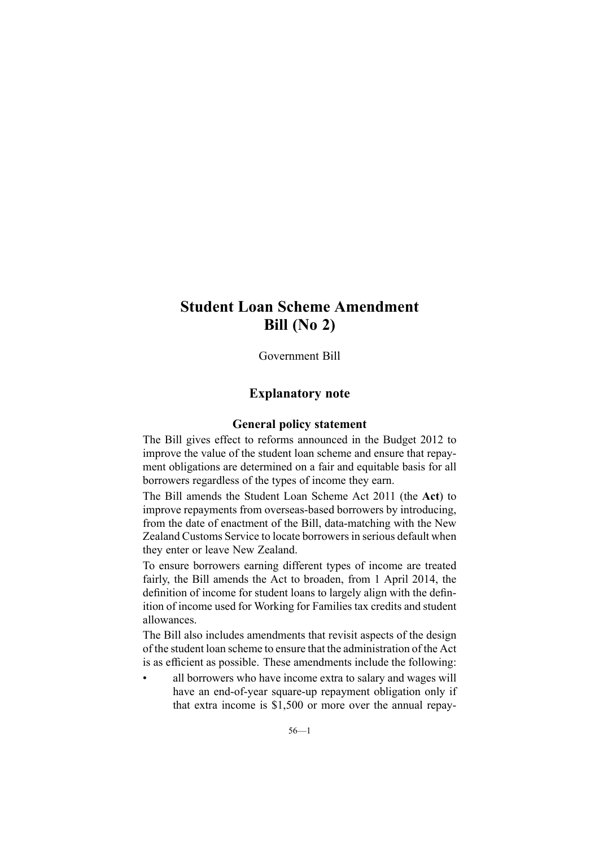Government Bill

### **Explanatory note**

#### **General policy statement**

The Bill gives effect to reforms announced in the Budget 2012 to improve the value of the student loan scheme and ensure that repayment obligations are determined on <sup>a</sup> fair and equitable basis for all borrowers regardless of the types of income they earn.

The Bill amends the Student Loan Scheme Act 2011 (the **Act**) to improve repayments from overseas-based borrowers by introducing, from the date of enactment of the Bill, data-matching with the New Zealand Customs Service to locate borrowers in serious default when they enter or leave New Zealand.

To ensure borrowers earning different types of income are treated fairly, the Bill amends the Act to broaden, from 1 April 2014, the definition of income for student loans to largely align with the definition of income used for Working for Families tax credits and student allowances.

The Bill also includes amendments that revisit aspects of the design of the student loan scheme to ensure that the administration of the Act is as efficient as possible. These amendments include the following:

• all borrowers who have income extra to salary and wages will have an end-of-year square-up repaymen<sup>t</sup> obligation only if that extra income is \$1,500 or more over the annual repay-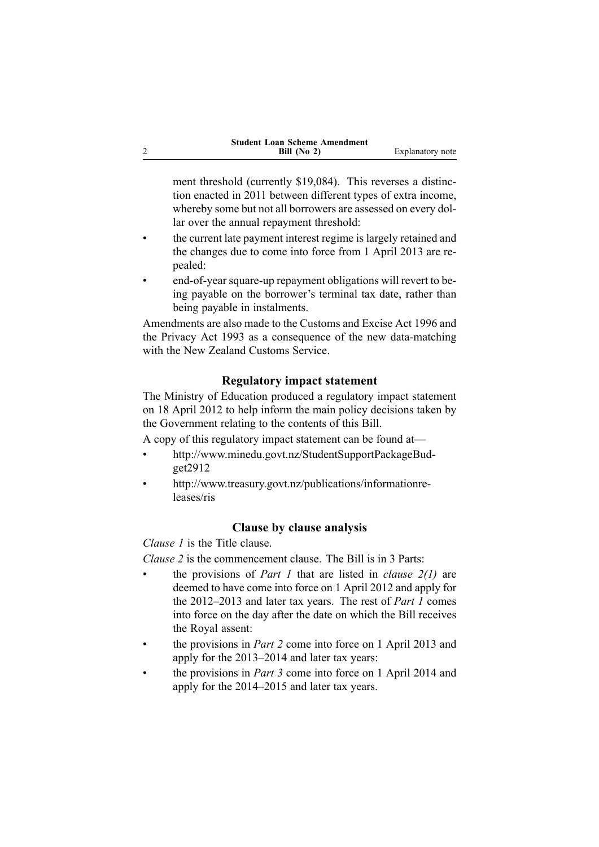| <b>Student Loan Scheme Amendment</b> |                  |
|--------------------------------------|------------------|
| Bill $(No 2)$                        | Explanatory note |

ment threshold (currently \$19,084). This reverses <sup>a</sup> distinction enacted in 2011 between different types of extra income, whereby some but not all borrowers are assessed on every dollar over the annual repaymen<sup>t</sup> threshold:

- • the current late paymen<sup>t</sup> interest regime is largely retained and the changes due to come into force from 1 April 2013 are repealed:
- • end-of-year square-up repaymen<sup>t</sup> obligations will revert to being payable on the borrower's terminal tax date, rather than being payable in instalments.

Amendments are also made to the Customs and Excise Act 1996 and the Privacy Act 1993 as <sup>a</sup> consequence of the new data-matching with the New Zealand Customs Service.

### **Regulatory impact statement**

The Ministry of Education produced <sup>a</sup> regulatory impact statement on 18 April 2012 to help inform the main policy decisions taken by the Government relating to the contents of this Bill.

A copy of this regulatory impact statement can be found at—

- • [http://www.minedu.govt.nz/StudentSupportPackageBud](http://www.minedu.govt.nz/StudentSupportPackageBudget2912)ge[t2912](http://www.minedu.govt.nz/StudentSupportPackageBudget2912)
- • [http://www.treasury.govt.nz/publications/informationre](http://www.treasury.govt.nz/publications/informationreleases/ris)[leases/ris](http://www.treasury.govt.nz/publications/informationreleases/ris)

#### **Clause by clause analysis**

*Clause 1* is the Title clause.

2

*Clause 2* is the commencement clause. The Bill is in 3 Parts:

- • the provisions of *Part 1* that are listed in *clause 2(1)* are deemed to have come into force on 1 April 2012 and apply for the 2012–2013 and later tax years. The rest of *Part 1* comes into force on the day after the date on which the Bill receives the Royal assent:
- • the provisions in *Part 2* come into force on 1 April 2013 and apply for the 2013–2014 and later tax years:
- • the provisions in *Part 3* come into force on 1 April 2014 and apply for the 2014–2015 and later tax years.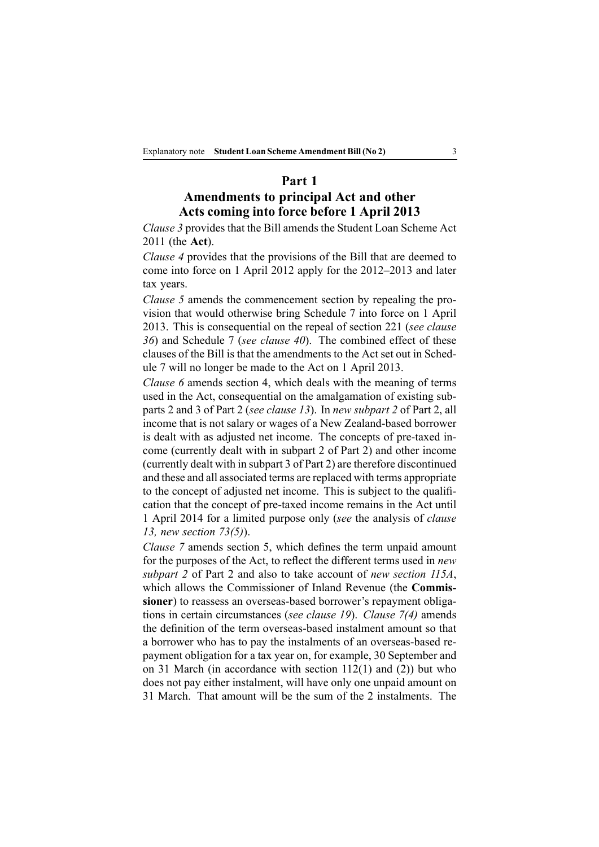#### **Part 1**

# **Amendments to principal Act and other Acts coming into force before 1 April 2013**

*Clause 3* provides that the Bill amends the Student Loan Scheme Act 2011 (the **Act**).

*Clause 4* provides that the provisions of the Bill that are deemed to come into force on 1 April 2012 apply for the 2012–2013 and later tax years.

*Clause 5* amends the commencement section by repealing the provision that would otherwise bring Schedule 7 into force on 1 April 2013. This is consequential on the repeal of section 221 (*see clause 36*) and Schedule 7 (*see clause 40*). The combined effect of these clauses of the Bill is that the amendments to the Act set out in Schedule 7 will no longer be made to the Act on 1 April 2013.

*Clause 6* amends section 4, which deals with the meaning of terms used in the Act, consequential on the amalgamation of existing subparts 2 and 3 of Part 2 (*see clause 13*). In *new subpart 2* of Part 2, all income that is not salary or wages of <sup>a</sup> New Zealand-based borrower is dealt with as adjusted net income. The concepts of pre-taxed income (currently dealt with in subpart 2 of Part 2) and other income (currently dealt with in subpart 3 of Part 2) are therefore discontinued and these and all associated terms are replaced with terms appropriate to the concep<sup>t</sup> of adjusted net income. This is subject to the qualification that the concep<sup>t</sup> of pre-taxed income remains in the Act until 1 April 2014 for <sup>a</sup> limited purpose only (*see* the analysis of *clause 13, new section 73(5)*).

*Clause 7* amends section 5, which defines the term unpaid amount for the purposes of the Act, to reflect the different terms used in *new subpart 2* of Part 2 and also to take account of *new section 115A*, which allows the Commissioner of Inland Revenue (the **Commissioner**) to reassess an overseas-based borrower's repaymen<sup>t</sup> obligations in certain circumstances (*see clause 19*). *Clause 7(4)* amends the definition of the term overseas-based instalment amount so that <sup>a</sup> borrower who has to pay the instalments of an overseas-based repaymen<sup>t</sup> obligation for <sup>a</sup> tax year on, for example, 30 September and on 31 March (in accordance with section 112(1) and (2)) but who does not pay either instalment, will have only one unpaid amount on 31 March. That amount will be the sum of the 2 instalments. The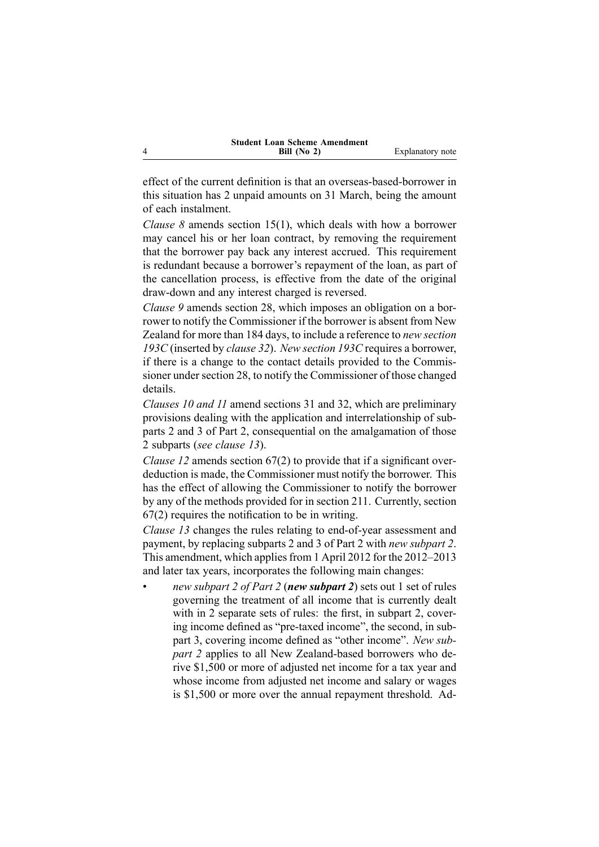| <b>Student Loan Scheme Amendment</b> |                  |
|--------------------------------------|------------------|
| Bill (No 2)                          | Explanatory note |

effect of the current definition is that an overseas-based-borrower in this situation has 2 unpaid amounts on 31 March, being the amount of each instalment.

4

•

*Clause 8* amends section 15(1), which deals with how <sup>a</sup> borrower may cancel his or her loan contract, by removing the requirement that the borrower pay back any interest accrued. This requirement is redundant because <sup>a</sup> borrower's repaymen<sup>t</sup> of the loan, as par<sup>t</sup> of the cancellation process, is effective from the date of the original draw-down and any interest charged is reversed.

*Clause 9* amends section 28, which imposes an obligation on <sup>a</sup> borrower to notify the Commissioner if the borrower is absent from New Zealand for more than 184 days, to include <sup>a</sup> reference to *new section 193C* (inserted by *clause 32*). *New section 193C* requires <sup>a</sup> borrower, if there is <sup>a</sup> change to the contact details provided to the Commissioner under section 28, to notify the Commissioner of those changed details.

*Clauses 10 and 11* amend sections 31 and 32, which are preliminary provisions dealing with the application and interrelationship of subparts 2 and 3 of Part 2, consequential on the amalgamation of those 2 subparts (*see clause 13*).

*Clause 12* amends section 67(2) to provide that if <sup>a</sup> significant overdeduction is made, the Commissioner must notify the borrower. This has the effect of allowing the Commissioner to notify the borrower by any of the methods provided for in section 211. Currently, section 67(2) requires the notification to be in writing.

*Clause 13* changes the rules relating to end-of-year assessment and payment, by replacing subparts 2 and 3 of Part 2 with *new subpart 2*. This amendment, which applies from 1 April 2012 for the 2012–2013 and later tax years, incorporates the following main changes:

 *new subpart 2 of Part 2* (*new subpart 2*) sets out 1 set of rules governing the treatment of all income that is currently dealt with in 2 separate sets of rules: the first, in subpart 2, covering income defined as "pre-taxed income", the second, in subpar<sup>t</sup> 3, covering income defined as "other income". *New subpar<sup>t</sup> 2* applies to all New Zealand-based borrowers who derive \$1,500 or more of adjusted net income for <sup>a</sup> tax year and whose income from adjusted net income and salary or wages is \$1,500 or more over the annual repaymen<sup>t</sup> threshold. Ad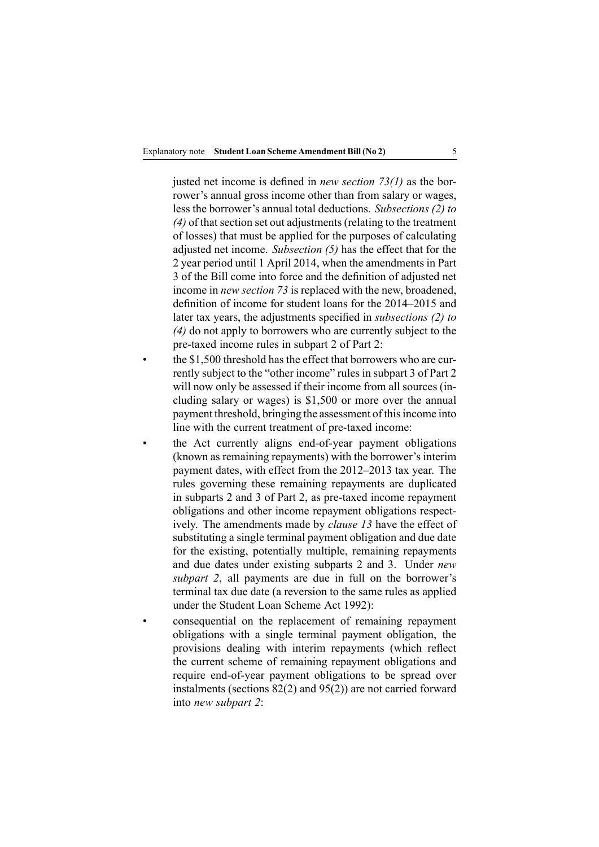justed net income is defined in *new section 73(1)* as the borrower's annual gross income other than from salary or wages, less the borrower's annual total deductions. *Subsections (2) to* (4) of that section set out adjustments (relating to the treatment of losses) that must be applied for the purposes of calculating adjusted net income. *Subsection (5)* has the effect that for the 2 year period until 1 April 2014, when the amendments in Part 3 of the Bill come into force and the definition of adjusted net income in *new section 73* is replaced with the new, broadened, definition of income for student loans for the 2014–2015 and later tax years, the adjustments specified in *subsections (2) to (4)* do not apply to borrowers who are currently subject to the pre-taxed income rules in subpart 2 of Part 2:

- • the \$1,500 threshold has the effect that borrowers who are currently subject to the "other income" rules in subpart 3 of Part 2 will now only be assessed if their income from all sources (including salary or wages) is \$1,500 or more over the annual paymen<sup>t</sup> threshold, bringing the assessment of thisincome into line with the current treatment of pre-taxed income:
- • the Act currently aligns end-of-year paymen<sup>t</sup> obligations (known as remaining repayments) with the borrower's interim paymen<sup>t</sup> dates, with effect from the 2012–2013 tax year. The rules governing these remaining repayments are duplicated in subparts 2 and 3 of Part 2, as pre-taxed income repaymen<sup>t</sup> obligations and other income repaymen<sup>t</sup> obligations respectively. The amendments made by *clause 13* have the effect of substituting <sup>a</sup> single terminal paymen<sup>t</sup> obligation and due date for the existing, potentially multiple, remaining repayments and due dates under existing subparts 2 and 3. Under *new subpart 2*, all payments are due in full on the borrower's terminal tax due date (a reversion to the same rules as applied under the Student Loan Scheme Act 1992):
- consequential on the replacement of remaining repaymen<sup>t</sup> obligations with <sup>a</sup> single terminal paymen<sup>t</sup> obligation, the provisions dealing with interim repayments (which reflect the current scheme of remaining repaymen<sup>t</sup> obligations and require end-of-year paymen<sup>t</sup> obligations to be spread over instalments (sections 82(2) and 95(2)) are not carried forward into *new subpart 2*:

•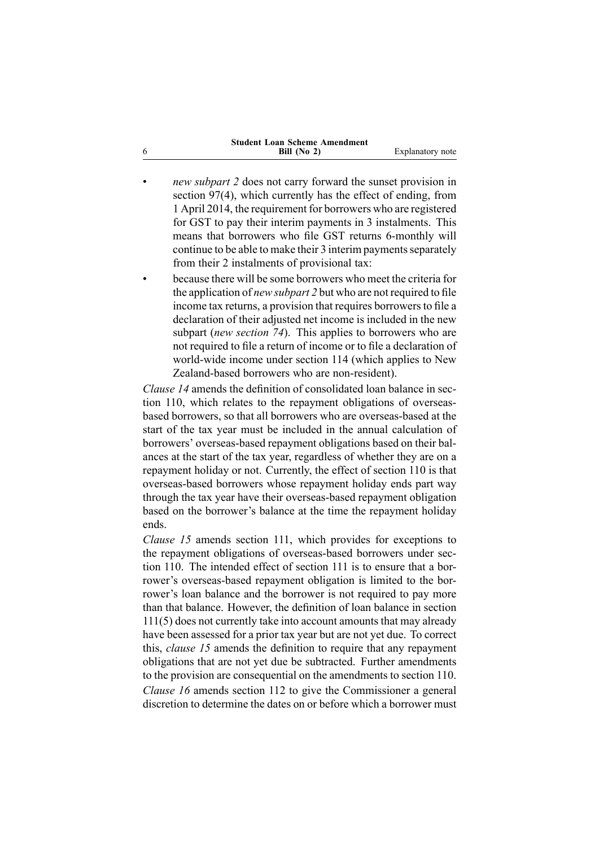| <b>Student Loan Scheme Amendment</b> |                  |
|--------------------------------------|------------------|
| Bill $(No 2)$                        | Explanatory note |

6

- • *new subpart 2* does not carry forward the sunset provision in section 97(4), which currently has the effect of ending, from 1 April 2014, the requirement for borrowers who are registered for GST to pay their interim payments in 3 instalments. This means that borrowers who file GST returns 6-monthly will continue to be able to make their 3 interim payments separately from their 2 instalments of provisional tax:
- • because there will be some borrowers who meet the criteria for the application of *new subpart 2* but who are not required to file income tax returns, a provision that requires borrowers to file a declaration of their adjusted net income is included in the new subpart (*new section 74*). This applies to borrowers who are not required to file <sup>a</sup> return of income or to file <sup>a</sup> declaration of world-wide income under section 114 (which applies to New Zealand-based borrowers who are non-resident).

*Clause 14* amends the definition of consolidated loan balance in section 110, which relates to the repaymen<sup>t</sup> obligations of overseasbased borrowers, so that all borrowers who are overseas-based at the start of the tax year must be included in the annual calculation of borrowers' overseas-based repaymen<sup>t</sup> obligations based on their balances at the start of the tax year, regardless of whether they are on <sup>a</sup> repaymen<sup>t</sup> holiday or not. Currently, the effect of section 110 is that overseas-based borrowers whose repaymen<sup>t</sup> holiday ends par<sup>t</sup> way through the tax year have their overseas-based repaymen<sup>t</sup> obligation based on the borrower's balance at the time the repaymen<sup>t</sup> holiday ends.

*Clause 15* amends section 111, which provides for exceptions to the repaymen<sup>t</sup> obligations of overseas-based borrowers under section 110. The intended effect of section 111 is to ensure that <sup>a</sup> borrower's overseas-based repaymen<sup>t</sup> obligation is limited to the borrower's loan balance and the borrower is not required to pay more than that balance. However, the definition of loan balance in section 111(5) does not currently take into account amounts that may already have been assessed for <sup>a</sup> prior tax year but are not ye<sup>t</sup> due. To correct this, *clause 15* amends the definition to require that any repaymen<sup>t</sup> obligations that are not ye<sup>t</sup> due be subtracted. Further amendments to the provision are consequential on the amendments to section 110. *Clause 16* amends section 112 to give the Commissioner <sup>a</sup> general discretion to determine the dates on or before which <sup>a</sup> borrower must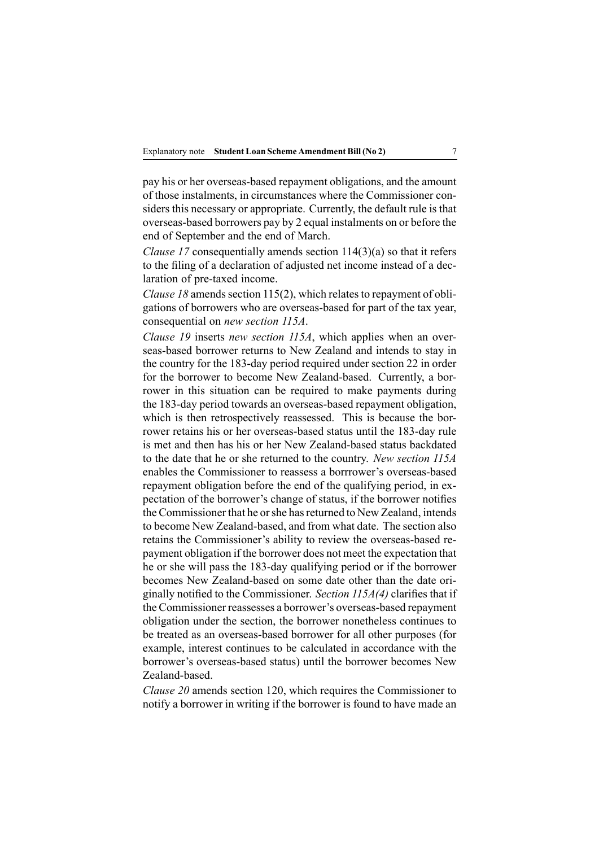pay his or her overseas-based repaymen<sup>t</sup> obligations, and the amount of those instalments, in circumstances where the Commissioner considers this necessary or appropriate. Currently, the default rule is that overseas-based borrowers pay by 2 equal instalments on or before the end of September and the end of March.

*Clause 17* consequentially amends section 114(3)(a) so that it refers to the filing of <sup>a</sup> declaration of adjusted net income instead of <sup>a</sup> declaration of pre-taxed income.

*Clause 18* amends section 115(2), which relates to repayment of obligations of borrowers who are overseas-based for par<sup>t</sup> of the tax year, consequential on *new section 115A*.

*Clause 19* inserts *new section 115A*, which applies when an overseas-based borrower returns to New Zealand and intends to stay in the country for the 183-day period required under section 22 in order for the borrower to become New Zealand-based. Currently, <sup>a</sup> borrower in this situation can be required to make payments during the 183-day period towards an overseas-based repaymen<sup>t</sup> obligation, which is then retrospectively reassessed. This is because the borrower retains his or her overseas-based status until the 183-day rule is met and then has his or her New Zealand-based status backdated to the date that he or she returned to the country. *New section 115A* enables the Commissioner to reassess <sup>a</sup> borrrower's overseas-based repaymen<sup>t</sup> obligation before the end of the qualifying period, in expectation of the borrower's change of status, if the borrower notifies the Commissioner that he orshe hasreturned to New Zealand, intends to become New Zealand-based, and from what date. The section also retains the Commissioner's ability to review the overseas-based repaymen<sup>t</sup> obligation if the borrower does not meet the expectation that he or she will pass the 183-day qualifying period or if the borrower becomes New Zealand-based on some date other than the date originally notified to the Commissioner. *Section 115A(4)* clarifies that if the Commissioner reassesses <sup>a</sup> borrower's overseas-based repaymen<sup>t</sup> obligation under the section, the borrower nonetheless continues to be treated as an overseas-based borrower for all other purposes (for example, interest continues to be calculated in accordance with the borrower's overseas-based status) until the borrower becomes New Zealand-based.

*Clause 20* amends section 120, which requires the Commissioner to notify <sup>a</sup> borrower in writing if the borrower is found to have made an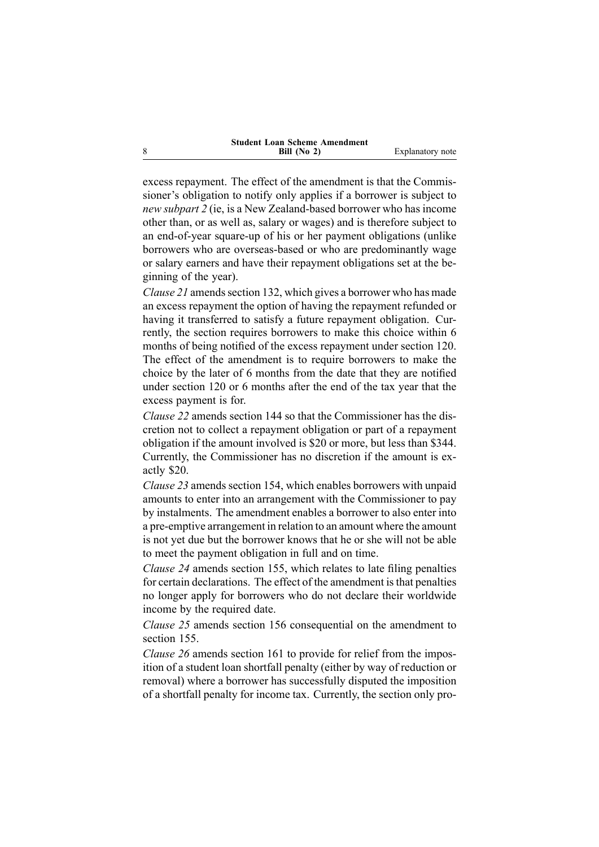| <b>Student Loan Scheme Amendment</b> |                  |
|--------------------------------------|------------------|
| Bill $(No 2)$                        | Explanatory note |

excess repayment. The effect of the amendment is that the Commissioner's obligation to notify only applies if <sup>a</sup> borrower is subject to *new subpart 2* (ie, is <sup>a</sup> New Zealand-based borrower who has income other than, or as well as, salary or wages) and is therefore subject to an end-of-year square-up of his or her paymen<sup>t</sup> obligations (unlike borrowers who are overseas-based or who are predominantly wage or salary earners and have their repaymen<sup>t</sup> obligations set at the beginning of the year).

*Clause* 21 amends section 132, which gives a borrower who has made an excess repaymen<sup>t</sup> the option of having the repaymen<sup>t</sup> refunded or having it transferred to satisfy <sup>a</sup> future repaymen<sup>t</sup> obligation. Currently, the section requires borrowers to make this choice within 6 months of being notified of the excess repaymen<sup>t</sup> under section 120. The effect of the amendment is to require borrowers to make the choice by the later of 6 months from the date that they are notified under section 120 or 6 months after the end of the tax year that the excess paymen<sup>t</sup> is for.

*Clause 22* amends section 144 so that the Commissioner has the discretion not to collect <sup>a</sup> repaymen<sup>t</sup> obligation or par<sup>t</sup> of <sup>a</sup> repaymen<sup>t</sup> obligation if the amount involved is \$20 or more, but less than \$344. Currently, the Commissioner has no discretion if the amount is exactly \$20.

*Clause 23* amends section 154, which enables borrowers with unpaid amounts to enter into an arrangemen<sup>t</sup> with the Commissioner to pay by instalments. The amendment enables <sup>a</sup> borrower to also enter into <sup>a</sup> pre-emptive arrangemen<sup>t</sup> in relation to an amount where the amount is not ye<sup>t</sup> due but the borrower knows that he or she will not be able to meet the paymen<sup>t</sup> obligation in full and on time.

*Clause 24* amends section 155, which relates to late filing penalties for certain declarations. The effect of the amendment is that penalties no longer apply for borrowers who do not declare their worldwide income by the required date.

*Clause 25* amends section 156 consequential on the amendment to section 155.

*Clause 26* amends section 161 to provide for relief from the imposition of <sup>a</sup> student loan shortfall penalty (either by way of reduction or removal) where <sup>a</sup> borrower has successfully disputed the imposition of <sup>a</sup> shortfall penalty for income tax. Currently, the section only pro-

8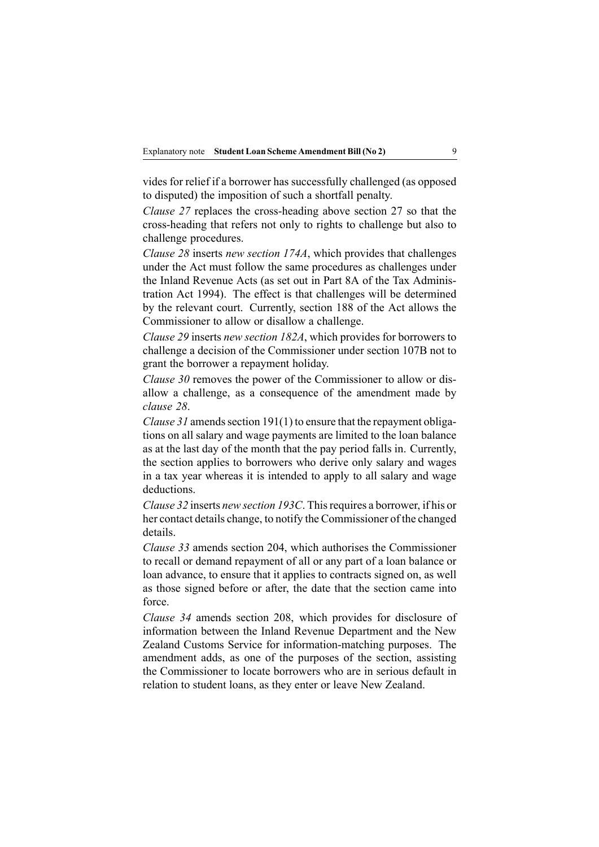vides for relief if <sup>a</sup> borrower has successfully challenged (as opposed to disputed) the imposition of such <sup>a</sup> shortfall penalty.

*Clause 27* replaces the cross-heading above section 27 so that the cross-heading that refers not only to rights to challenge but also to challenge procedures.

*Clause 28* inserts *new section 174A*, which provides that challenges under the Act must follow the same procedures as challenges under the Inland Revenue Acts (as set out in Part 8A of the Tax Administration Act 1994). The effect is that challenges will be determined by the relevant court. Currently, section 188 of the Act allows the Commissioner to allow or disallow <sup>a</sup> challenge.

*Clause 29* inserts *new section 182A*, which provides for borrowers to challenge <sup>a</sup> decision of the Commissioner under section 107B not to gran<sup>t</sup> the borrower <sup>a</sup> repaymen<sup>t</sup> holiday.

*Clause 30* removes the power of the Commissioner to allow or disallow <sup>a</sup> challenge, as <sup>a</sup> consequence of the amendment made by *clause 28*.

*Clause*  $31$  amends section 191(1) to ensure that the repayment obligations on all salary and wage payments are limited to the loan balance as at the last day of the month that the pay period falls in. Currently, the section applies to borrowers who derive only salary and wages in <sup>a</sup> tax year whereas it is intended to apply to all salary and wage deductions.

*Clause 32* inserts *new section 193C*. Thisrequires <sup>a</sup> borrower, if his or her contact details change, to notify the Commissioner of the changed details.

*Clause 33* amends section 204, which authorises the Commissioner to recall or demand repaymen<sup>t</sup> of all or any par<sup>t</sup> of <sup>a</sup> loan balance or loan advance, to ensure that it applies to contracts signed on, as well as those signed before or after, the date that the section came into force.

*Clause 34* amends section 208, which provides for disclosure of information between the Inland Revenue Department and the New Zealand Customs Service for information-matching purposes. The amendment adds, as one of the purposes of the section, assisting the Commissioner to locate borrowers who are in serious default in relation to student loans, as they enter or leave New Zealand.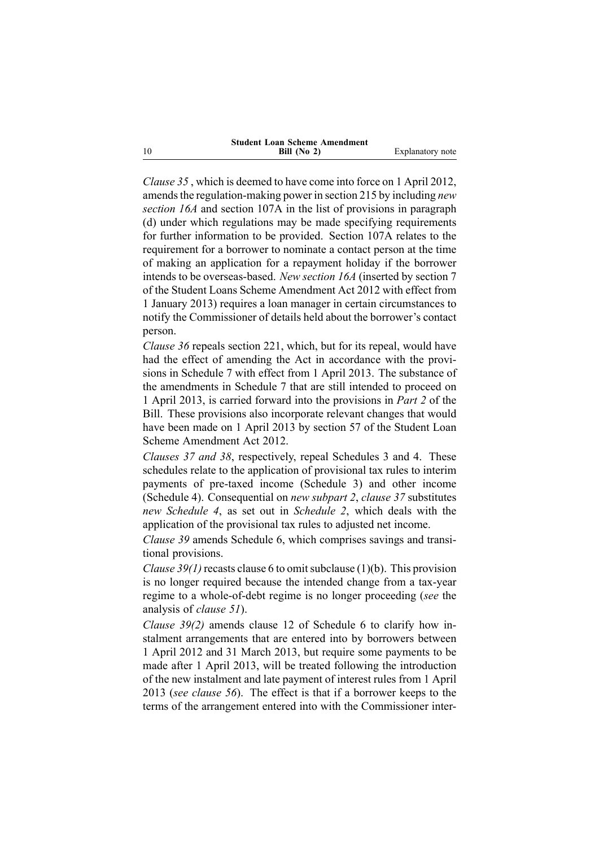| <b>Student Loan Scheme Amendment</b> |                  |
|--------------------------------------|------------------|
| Bill $(No 2)$                        | Explanatory note |

*Clause 35* , which is deemed to have come into force on 1 April 2012, amends the regulation-making power in section 215 by including *new section 16A* and section 107A in the list of provisions in paragraph (d) under which regulations may be made specifying requirements for further information to be provided. Section 107A relates to the requirement for <sup>a</sup> borrower to nominate <sup>a</sup> contact person at the time of making an application for <sup>a</sup> repaymen<sup>t</sup> holiday if the borrower intends to be overseas-based. *New section 16A* (inserted by section 7 of the Student Loans Scheme Amendment Act 2012 with effect from 1 January 2013) requires <sup>a</sup> loan manager in certain circumstances to notify the Commissioner of details held about the borrower's contact person.

*Clause 36* repeals section 221, which, but for its repeal, would have had the effect of amending the Act in accordance with the provisions in Schedule 7 with effect from 1 April 2013. The substance of the amendments in Schedule 7 that are still intended to proceed on 1 April 2013, is carried forward into the provisions in *Part 2* of the Bill. These provisions also incorporate relevant changes that would have been made on 1 April 2013 by section 57 of the Student Loan Scheme Amendment Act 2012.

*Clauses 37 and 38*, respectively, repeal Schedules 3 and 4. These schedules relate to the application of provisional tax rules to interim payments of pre-taxed income (Schedule 3) and other income (Schedule 4). Consequential on *new subpart 2*, *clause 37* substitutes *new Schedule 4*, as set out in *Schedule 2*, which deals with the application of the provisional tax rules to adjusted net income.

*Clause 39* amends Schedule 6, which comprises savings and transitional provisions.

*Clause* 39(1) recasts clause 6 to omit subclause (1)(b). This provision is no longer required because the intended change from <sup>a</sup> tax-year regime to <sup>a</sup> whole-of-debt regime is no longer proceeding (*see* the analysis of *clause 51*).

*Clause 39(2)* amends clause 12 of Schedule 6 to clarify how instalment arrangements that are entered into by borrowers between 1 April 2012 and 31 March 2013, but require some payments to be made after 1 April 2013, will be treated following the introduction of the new instalment and late paymen<sup>t</sup> of interest rules from 1 April 2013 (*see clause 56*). The effect is that if <sup>a</sup> borrower keeps to the terms of the arrangemen<sup>t</sup> entered into with the Commissioner inter-

10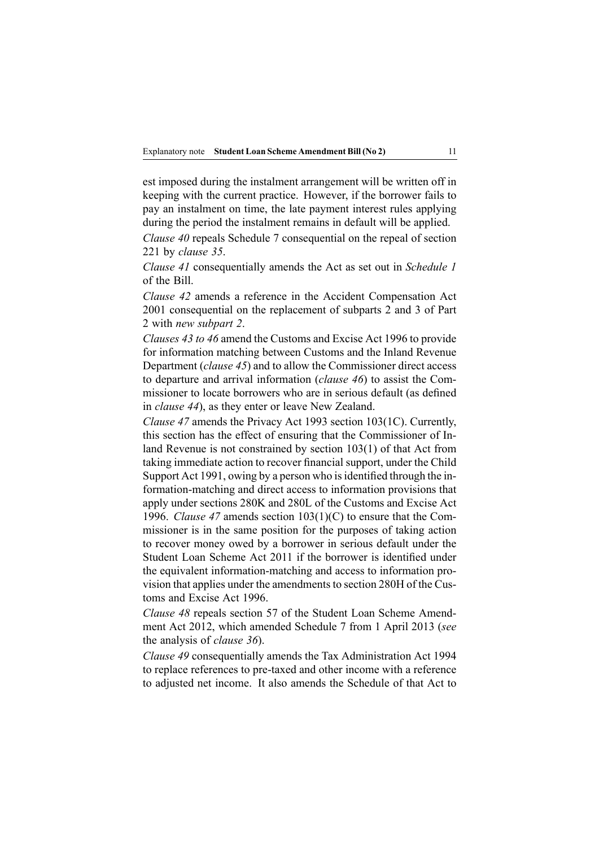est imposed during the instalment arrangemen<sup>t</sup> will be written off in keeping with the current practice. However, if the borrower fails to pay an instalment on time, the late paymen<sup>t</sup> interest rules applying during the period the instalment remains in default will be applied.

*Clause 40* repeals Schedule 7 consequential on the repeal of section 221 by *clause 35*.

*Clause 41* consequentially amends the Act as set out in *Schedule 1* of the Bill.

*Clause 42* amends <sup>a</sup> reference in the Accident Compensation Act 2001 consequential on the replacement of subparts 2 and 3 of Part 2 with *new subpart 2*.

*Clauses 43 to 46* amend the Customs and Excise Act 1996 to provide for information matching between Customs and the Inland Revenue Department (*clause 45*) and to allow the Commissioner direct access to departure and arrival information (*clause 46*) to assist the Commissioner to locate borrowers who are in serious default (as defined in *clause 44*), as they enter or leave New Zealand.

*Clause 47* amends the Privacy Act 1993 section 103(1C). Currently, this section has the effect of ensuring that the Commissioner of Inland Revenue is not constrained by section 103(1) of that Act from taking immediate action to recover financial support, under the Child Support Act 1991, owing by a person who is identified through the information-matching and direct access to information provisions that apply under sections 280K and 280L of the Customs and Excise Act 1996. *Clause 47* amends section 103(1)(C) to ensure that the Commissioner is in the same position for the purposes of taking action to recover money owed by <sup>a</sup> borrower in serious default under the Student Loan Scheme Act 2011 if the borrower is identified under the equivalent information-matching and access to information provision that applies under the amendments to section 280H of the Customs and Excise Act 1996.

*Clause 48* repeals section 57 of the Student Loan Scheme Amendment Act 2012, which amended Schedule 7 from 1 April 2013 (*see* the analysis of *clause 36*).

*Clause 49* consequentially amends the Tax Administration Act 1994 to replace references to pre-taxed and other income with <sup>a</sup> reference to adjusted net income. It also amends the Schedule of that Act to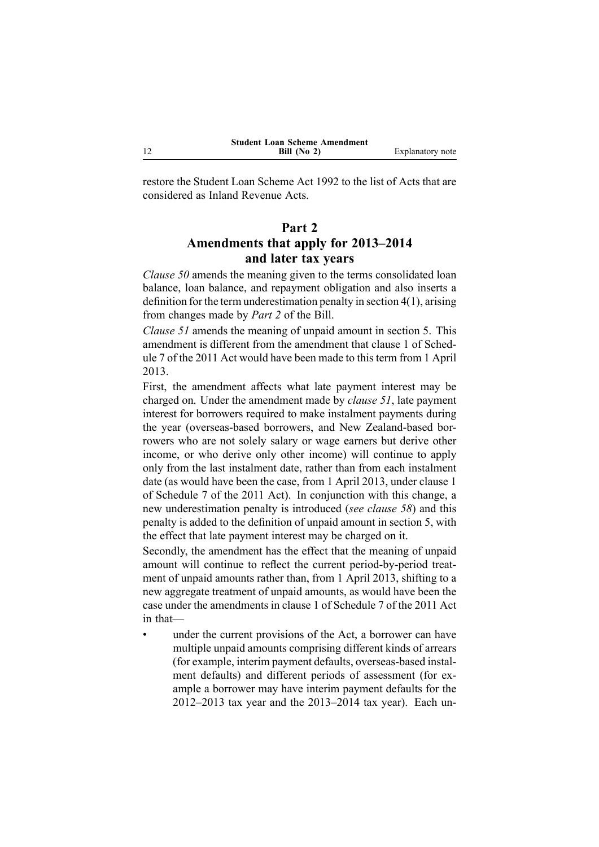restore the Student Loan Scheme Act 1992 to the list of Acts that are considered as Inland Revenue Acts.

# **Part 2 Amendments that apply for 2013–2014 and later tax years**

*Clause 50* amends the meaning given to the terms consolidated loan balance, loan balance, and repaymen<sup>t</sup> obligation and also inserts <sup>a</sup> definition for the term underestimation penalty in section 4(1), arising from changes made by *Part 2* of the Bill.

*Clause 51* amends the meaning of unpaid amount in section 5. This amendment is different from the amendment that clause 1 of Schedule 7 of the 2011 Act would have been made to this term from 1 April 2013.

First, the amendment affects what late paymen<sup>t</sup> interest may be charged on. Under the amendment made by *clause 51*, late paymen<sup>t</sup> interest for borrowers required to make instalment payments during the year (overseas-based borrowers, and New Zealand-based borrowers who are not solely salary or wage earners but derive other income, or who derive only other income) will continue to apply only from the last instalment date, rather than from each instalment date (as would have been the case, from 1 April 2013, under clause 1 of Schedule 7 of the 2011 Act). In conjunction with this change, <sup>a</sup> new underestimation penalty is introduced (*see clause 58*) and this penalty is added to the definition of unpaid amount in section 5, with the effect that late paymen<sup>t</sup> interest may be charged on it.

Secondly, the amendment has the effect that the meaning of unpaid amount will continue to reflect the current period-by-period treatment of unpaid amounts rather than, from 1 April 2013, shifting to <sup>a</sup> new aggregate treatment of unpaid amounts, as would have been the case under the amendments in clause 1 of Schedule 7 of the 2011 Act in that—

 under the current provisions of the Act, <sup>a</sup> borrower can have multiple unpaid amounts comprising different kinds of arrears (for example, interim paymen<sup>t</sup> defaults, overseas-based instalment defaults) and different periods of assessment (for example <sup>a</sup> borrower may have interim paymen<sup>t</sup> defaults for the 2012–2013 tax year and the 2013–2014 tax year). Each un-

12

•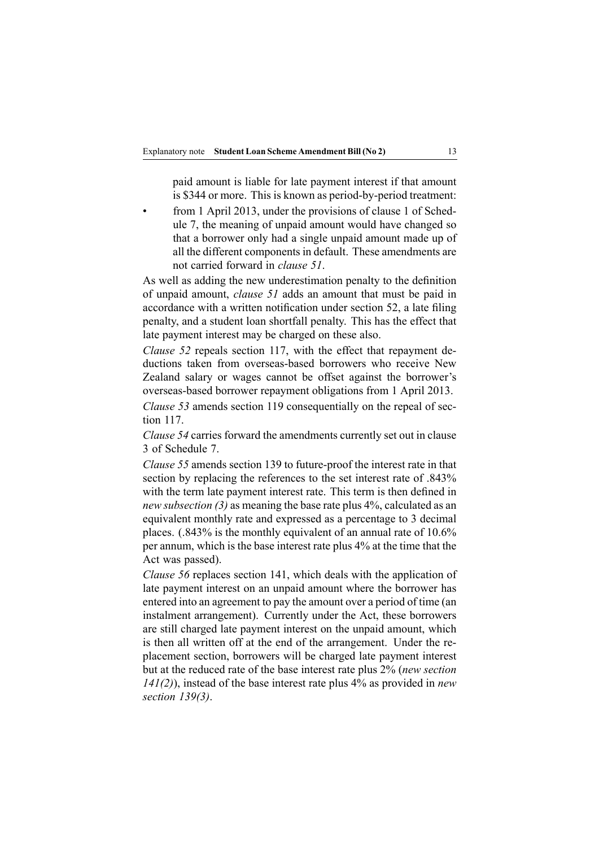paid amount is liable for late paymen<sup>t</sup> interest if that amount is \$344 or more. This is known as period-by-period treatment:

• from 1 April 2013, under the provisions of clause 1 of Schedule 7, the meaning of unpaid amount would have changed so that <sup>a</sup> borrower only had <sup>a</sup> single unpaid amount made up of all the different components in default. These amendments are not carried forward in *clause 51*.

As well as adding the new underestimation penalty to the definition of unpaid amount, *clause 51* adds an amount that must be paid in accordance with <sup>a</sup> written notification under section 52, <sup>a</sup> late filing penalty, and <sup>a</sup> student loan shortfall penalty. This has the effect that late paymen<sup>t</sup> interest may be charged on these also.

*Clause* 52 repeals section 117, with the effect that repayment deductions taken from overseas-based borrowers who receive New Zealand salary or wages cannot be offset against the borrower's overseas-based borrower repaymen<sup>t</sup> obligations from 1 April 2013.

*Clause 53* amends section 119 consequentially on the repeal of section 117.

*Clause 54* carries forward the amendments currently set out in clause 3 of Schedule 7.

*Clause 55* amends section 139 to future-proof the interest rate in that section by replacing the references to the set interest rate of .843% with the term late paymen<sup>t</sup> interest rate. This term is then defined in *new subsection (3)* as meaning the base rate plus 4%, calculated as an equivalent monthly rate and expressed as <sup>a</sup> percentage to 3 decimal places. (.843% is the monthly equivalent of an annual rate of 10.6% per annum, which is the base interest rate plus 4% at the time that the Act was passed).

*Clause 56* replaces section 141, which deals with the application of late paymen<sup>t</sup> interest on an unpaid amount where the borrower has entered into an agreemen<sup>t</sup> to pay the amount over <sup>a</sup> period of time (an instalment arrangement). Currently under the Act, these borrowers are still charged late paymen<sup>t</sup> interest on the unpaid amount, which is then all written off at the end of the arrangement. Under the replacement section, borrowers will be charged late paymen<sup>t</sup> interest but at the reduced rate of the base interest rate plus 2% (*new section 141(2)*), instead of the base interest rate plus 4% as provided in *new section 139(3)*.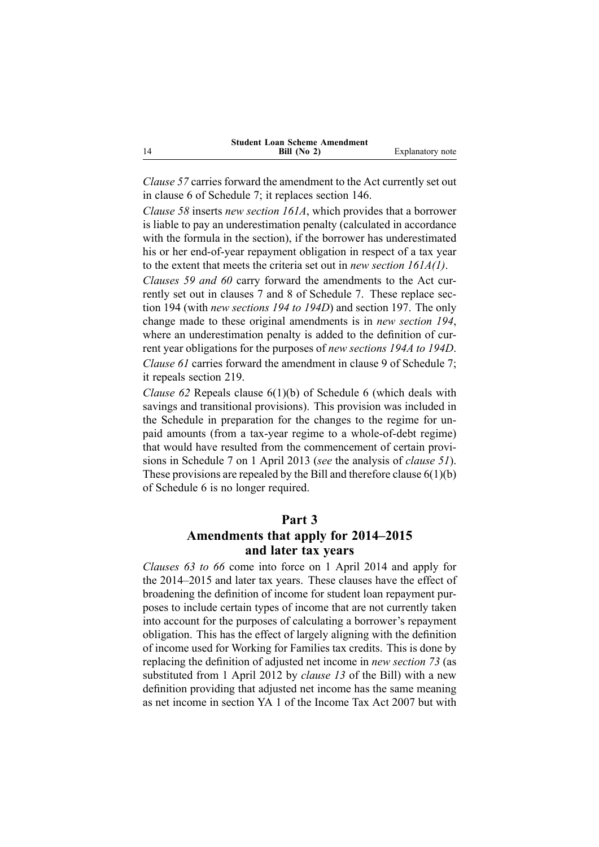|    | <b>Student Loan Scheme Amendment</b> |                  |
|----|--------------------------------------|------------------|
| 14 | Bill $(No 2)$                        | Explanatory note |

*Clause 57* carries forward the amendment to the Act currently set out in clause 6 of Schedule 7; it replaces section 146.

*Clause 58* inserts *new section 161A*, which provides that <sup>a</sup> borrower is liable to pay an underestimation penalty (calculated in accordance with the formula in the section), if the borrower has underestimated his or her end-of-year repaymen<sup>t</sup> obligation in respec<sup>t</sup> of <sup>a</sup> tax year to the extent that meets the criteria set out in *new section 161A(1)*.

*Clauses 59 and 60* carry forward the amendments to the Act currently set out in clauses 7 and 8 of Schedule 7. These replace section 194 (with *new sections 194 to 194D*) and section 197. The only change made to these original amendments is in *new section 194*, where an underestimation penalty is added to the definition of current year obligations for the purposes of *new sections 194A to 194D*. *Clause 61* carries forward the amendment in clause 9 of Schedule 7; it repeals section 219.

*Clause 62* Repeals clause 6(1)(b) of Schedule 6 (which deals with savings and transitional provisions). This provision was included in the Schedule in preparation for the changes to the regime for unpaid amounts (from <sup>a</sup> tax-year regime to <sup>a</sup> whole-of-debt regime) that would have resulted from the commencement of certain provisions in Schedule 7 on 1 April 2013 (*see* the analysis of *clause 51*). These provisions are repealed by the Bill and therefore clause  $6(1)(b)$ of Schedule 6 is no longer required.

#### **Part 3**

## **Amendments that apply for 2014–2015 and later tax years**

*Clauses 63 to 66* come into force on 1 April 2014 and apply for the 2014–2015 and later tax years. These clauses have the effect of broadening the definition of income for student loan repaymen<sup>t</sup> purposes to include certain types of income that are not currently taken into account for the purposes of calculating <sup>a</sup> borrower's repaymen<sup>t</sup> obligation. This has the effect of largely aligning with the definition of income used for Working for Families tax credits. This is done by replacing the definition of adjusted net income in *new section 73* (as substituted from 1 April 2012 by *clause 13* of the Bill) with <sup>a</sup> new definition providing that adjusted net income has the same meaning as net income in section YA 1 of the Income Tax Act 2007 but with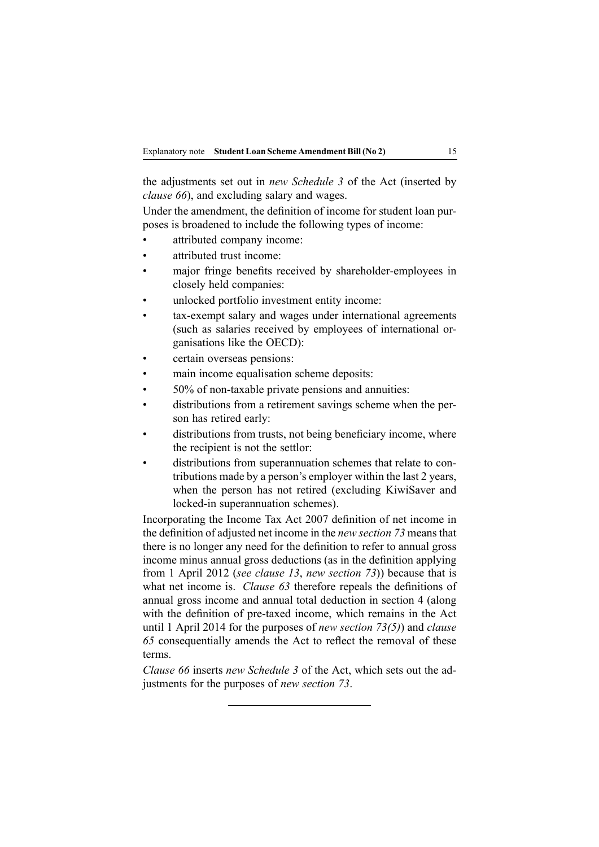the adjustments set out in *new Schedule 3* of the Act (inserted by *clause 66*), and excluding salary and wages.

Under the amendment, the definition of income for student loan purposes is broadened to include the following types of income:

- •attributed company income:
- •attributed trust income:
- • major fringe benefits received by shareholder-employees in closely held companies:
- •unlocked portfolio investment entity income:
- • tax-exempt salary and wages under international agreements (such as salaries received by employees of international organisations like the OECD):
- •certain overseas pensions:
- •main income equalisation scheme deposits:
- •50% of non-taxable private pensions and annuities:
- • distributions from <sup>a</sup> retirement savings scheme when the person has retired early:
- •distributions from trusts, not being beneficiary income, where the recipient is not the settlor:
- • distributions from superannuation schemes that relate to contributions made by <sup>a</sup> person's employer within the last 2 years, when the person has not retired (excluding KiwiSaver and locked-in superannuation schemes).

Incorporating the Income Tax Act 2007 definition of net income in the definition of adjusted net income in the *new section 73* meansthat there is no longer any need for the definition to refer to annual gross income minus annual gross deductions (as in the definition applying from 1 April 2012 (*see clause 13*, *new section 73*)) because that is what net income is. *Clause 63* therefore repeals the definitions of annual gross income and annual total deduction in section 4 (along with the definition of pre-taxed income, which remains in the Act until 1 April 2014 for the purposes of *new section 73(5)*) and *clause 65* consequentially amends the Act to reflect the removal of these terms.

*Clause 66* inserts *new Schedule 3* of the Act, which sets out the adjustments for the purposes of *new section 73*.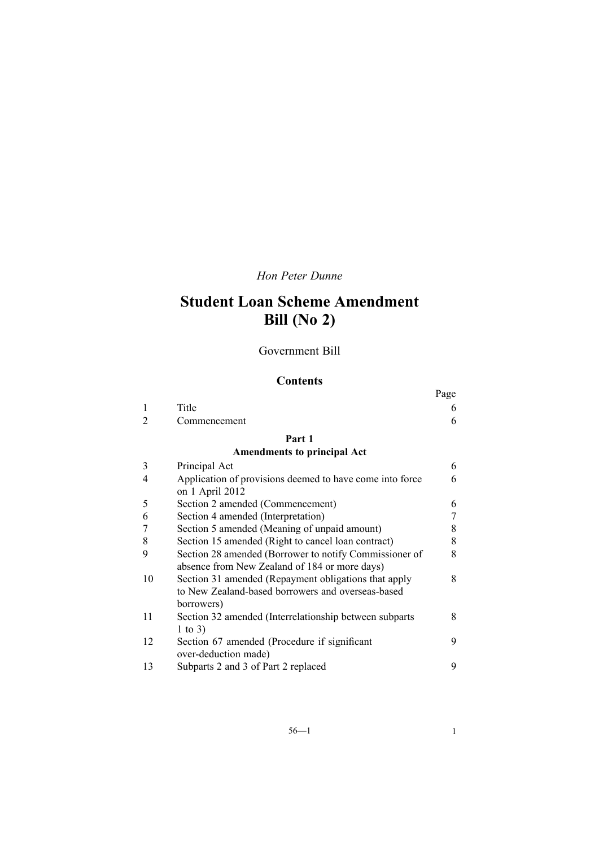# *Hon Peter Dunne*

# **Student Loan Scheme Amendment Bill (No 2)**

Government Bill

## **Contents**

|    |                                                                                                         | Page |
|----|---------------------------------------------------------------------------------------------------------|------|
| 1  | Title                                                                                                   | 6    |
| 2  | Commencement                                                                                            | 6    |
|    | Part 1                                                                                                  |      |
|    | <b>Amendments to principal Act</b>                                                                      |      |
| 3  | Principal Act                                                                                           | 6    |
| 4  | Application of provisions deemed to have come into force<br>on 1 April 2012                             | 6    |
| 5  | Section 2 amended (Commencement)                                                                        | 6    |
| 6  | Section 4 amended (Interpretation)                                                                      | 7    |
| 7  | Section 5 amended (Meaning of unpaid amount)                                                            | 8    |
| 8  | Section 15 amended (Right to cancel loan contract)                                                      | 8    |
| 9  | Section 28 amended (Borrower to notify Commissioner of<br>absence from New Zealand of 184 or more days) | 8    |
| 10 | Section 31 amended (Repayment obligations that apply                                                    | 8    |
|    | to New Zealand-based borrowers and overseas-based<br>borrowers)                                         |      |
| 11 | Section 32 amended (Interrelationship between subparts<br>1 to 3)                                       | 8    |
| 12 | Section 67 amended (Procedure if significant<br>over-deduction made)                                    | 9    |
| 13 | Subparts 2 and 3 of Part 2 replaced                                                                     | 9    |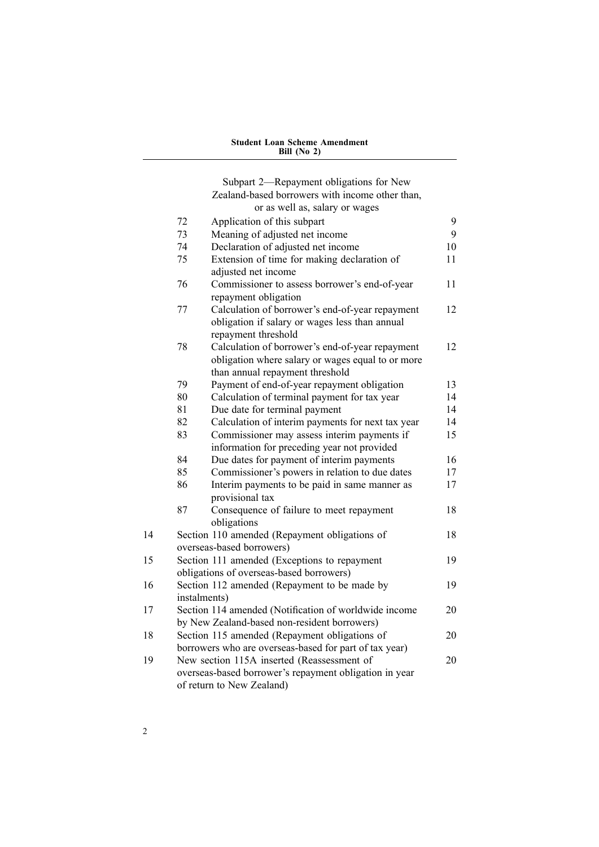[Subpart](#page-24-0) 2—[Repayment](#page-24-0) obligations for New [Zealand-based](#page-24-0) borrowers with income other than, or as well as, [salary](#page-24-0) or wages 72 [Application](#page-24-0) of this subpart [9](#page-24-0) 73 [Meaning](#page-24-0) of adjusted net income [9](#page-24-0) 74 [Declaration](#page-25-0) of adjusted net income [10](#page-25-0) 75 Extension of time for making [declaration](#page-26-0) of [adjusted](#page-26-0) net income [11](#page-26-0) 76 [Commissioner](#page-26-0) to assess borrower's end-of-year repaymen<sup>t</sup> [obligation](#page-26-0) [11](#page-26-0) 77 Calculation of borrower's [end-of-year](#page-27-0) repaymen<sup>t</sup> [obligation](#page-27-0) if salary or wages less than annual repaymen<sup>t</sup> [threshold](#page-27-0) [12](#page-27-0) 78 Calculation of borrower's [end-of-year](#page-27-0) repaymen<sup>t</sup> [obligation](#page-27-0) where salary or wages equal to or more than annual [repaymen](#page-27-0)<sup>t</sup> threshold [12](#page-27-0) 79 Payment of [end-of-year](#page-28-0) repaymen<sup>t</sup> obligation [13](#page-28-0) 80 [Calculation](#page-29-0) of terminal payment for tax year [14](#page-29-0) 81 Due date for [terminal](#page-29-0) payment [14](#page-29-0) 82 [Calculation](#page-29-0) of interim payments for next tax year [14](#page-29-0) 83 [Commissioner](#page-30-0) may assess interim payments if information for [preceding](#page-30-0) year not provided [15](#page-30-0) 84 Due dates for [paymen](#page-31-0)<sup>t</sup> of interim payments [16](#page-31-0) 85 [Commissioner's](#page-32-0) powers in relation to due dates [17](#page-32-0) 86 Interim [paymen](#page-32-0)ts to be paid in same manner as prov[isional](#page-32-0) tax [17](#page-32-0) 87 [Consequence](#page-33-0) of failure to meet repaymen<sup>t</sup> [obligations](#page-33-0) [18](#page-33-0) 14 Section 110 amended [\(Repayment](#page-33-0) obligations of [overseas-based](#page-33-0) borrowers) [18](#page-33-0) 15 Section 111 amended [\(Exceptions](#page-34-0) to repaymen<sup>t</sup> obligations of [overseas-based](#page-34-0) borrowers) [19](#page-34-0) 16 Section 112 amended [\(Repayment](#page-34-0) to be made by [instalments\)](#page-34-0) [19](#page-34-0) 17 Section 114 amended [\(Notification](#page-35-0) of worldwide income by New [Zealand-based](#page-35-0) non-resident borrowers) [20](#page-35-0) 18 Section 115 amended [\(Repayment](#page-35-0) obligations of borrowers who are [overseas-based](#page-35-0) for par<sup>t</sup> of tax year) [20](#page-35-0) 19 New section 115A inserted [\(Reassessment](#page-35-0) of [overseas-based](#page-35-0) borrower's repaymen<sup>t</sup> obligation in year of return to New [Zealand\)](#page-35-0) [20](#page-35-0)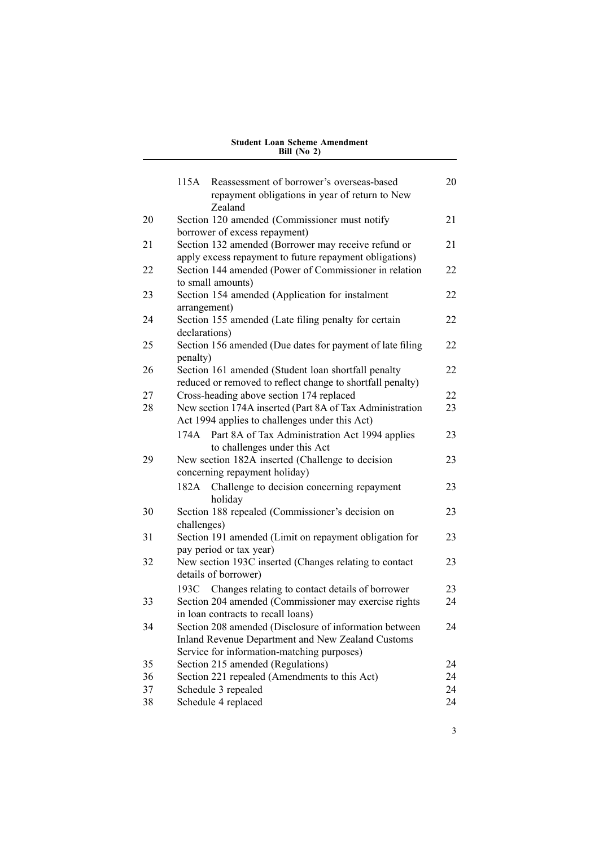|    | 115A          | Reassessment of borrower's overseas-based<br>repayment obligations in year of return to New<br>Zealand                                                    | 20 |
|----|---------------|-----------------------------------------------------------------------------------------------------------------------------------------------------------|----|
| 20 |               | Section 120 amended (Commissioner must notify<br>borrower of excess repayment)                                                                            | 21 |
| 21 |               | Section 132 amended (Borrower may receive refund or<br>apply excess repayment to future repayment obligations)                                            | 21 |
| 22 |               | Section 144 amended (Power of Commissioner in relation<br>to small amounts)                                                                               | 22 |
| 23 | arrangement)  | Section 154 amended (Application for instalment                                                                                                           | 22 |
| 24 | declarations) | Section 155 amended (Late filing penalty for certain                                                                                                      | 22 |
| 25 | penalty)      | Section 156 amended (Due dates for payment of late filing                                                                                                 | 22 |
| 26 |               | Section 161 amended (Student loan shortfall penalty<br>reduced or removed to reflect change to shortfall penalty)                                         | 22 |
| 27 |               | Cross-heading above section 174 replaced                                                                                                                  | 22 |
| 28 |               | New section 174A inserted (Part 8A of Tax Administration<br>Act 1994 applies to challenges under this Act)                                                | 23 |
|    | 174A          | Part 8A of Tax Administration Act 1994 applies<br>to challenges under this Act                                                                            | 23 |
| 29 |               | New section 182A inserted (Challenge to decision<br>concerning repayment holiday)                                                                         | 23 |
|    | 182A          | Challenge to decision concerning repayment<br>holiday                                                                                                     | 23 |
| 30 | challenges)   | Section 188 repealed (Commissioner's decision on                                                                                                          | 23 |
| 31 |               | Section 191 amended (Limit on repayment obligation for<br>pay period or tax year)                                                                         | 23 |
| 32 |               | New section 193C inserted (Changes relating to contact<br>details of borrower)                                                                            | 23 |
|    | 193C -        | Changes relating to contact details of borrower                                                                                                           | 23 |
| 33 |               | Section 204 amended (Commissioner may exercise rights<br>in loan contracts to recall loans)                                                               | 24 |
| 34 |               | Section 208 amended (Disclosure of information between<br>Inland Revenue Department and New Zealand Customs<br>Service for information-matching purposes) | 24 |
| 35 |               | Section 215 amended (Regulations)                                                                                                                         | 24 |
| 36 |               | Section 221 repealed (Amendments to this Act)                                                                                                             | 24 |
| 37 |               | Schedule 3 repealed                                                                                                                                       | 24 |
| 38 |               | Schedule 4 replaced                                                                                                                                       | 24 |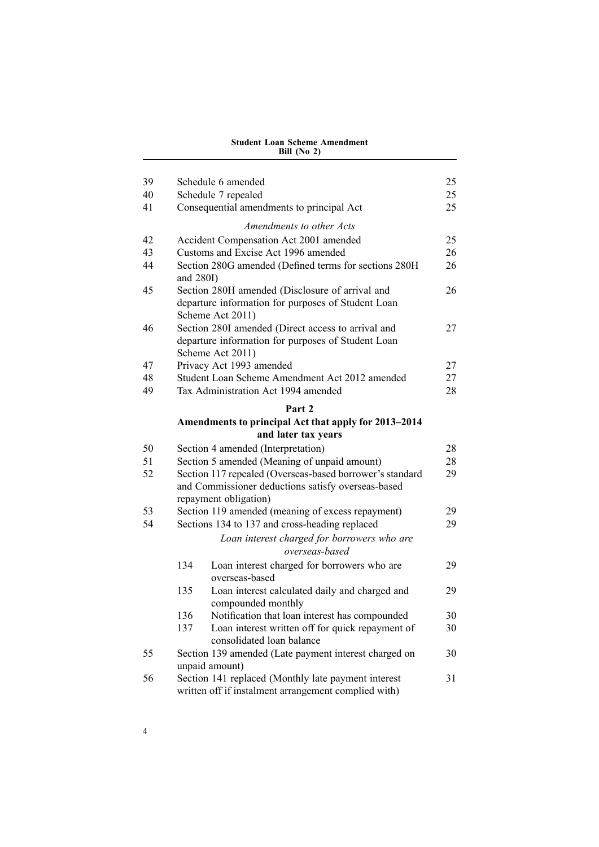| 39<br>40<br>41 | Schedule 6 amended<br>Schedule 7 repealed<br>Consequential amendments to principal Act                                                  | 25<br>25<br>25 |
|----------------|-----------------------------------------------------------------------------------------------------------------------------------------|----------------|
|                | Amendments to other Acts                                                                                                                |                |
| 42             | Accident Compensation Act 2001 amended                                                                                                  | 25             |
| 43             | Customs and Excise Act 1996 amended                                                                                                     | 26             |
| 44             | Section 280G amended (Defined terms for sections 280H<br>and 280I)                                                                      | 26             |
| 45             | Section 280H amended (Disclosure of arrival and<br>departure information for purposes of Student Loan<br>Scheme Act 2011)               | 26             |
| 46             | Section 280I amended (Direct access to arrival and<br>departure information for purposes of Student Loan<br>Scheme Act 2011)            | 27             |
| 47             | Privacy Act 1993 amended                                                                                                                | 27             |
| 48             | Student Loan Scheme Amendment Act 2012 amended                                                                                          | 27             |
| 49             | Tax Administration Act 1994 amended                                                                                                     | 28             |
|                | Part 2                                                                                                                                  |                |
|                | Amendments to principal Act that apply for 2013-2014                                                                                    |                |
|                | and later tax years                                                                                                                     |                |
| 50             | Section 4 amended (Interpretation)                                                                                                      | 28             |
| 51             | Section 5 amended (Meaning of unpaid amount)                                                                                            | 28             |
| 52             | Section 117 repealed (Overseas-based borrower's standard<br>and Commissioner deductions satisfy overseas-based<br>repayment obligation) | 29             |
| 53             | Section 119 amended (meaning of excess repayment)                                                                                       | 29             |
| 54             | Sections 134 to 137 and cross-heading replaced                                                                                          | 29             |
|                | Loan interest charged for borrowers who are<br>overseas-based                                                                           |                |
|                | 134<br>Loan interest charged for borrowers who are<br>overseas-based                                                                    | 29             |
|                | 135<br>Loan interest calculated daily and charged and<br>compounded monthly                                                             | 29             |
|                | 136<br>Notification that loan interest has compounded                                                                                   | 30             |
|                | 137<br>Loan interest written off for quick repayment of<br>consolidated loan balance                                                    | 30             |
| 55             | Section 139 amended (Late payment interest charged on<br>unpaid amount)                                                                 | 30             |
| 56             | Section 141 replaced (Monthly late payment interest<br>written off if instalment arrangement complied with)                             | 31             |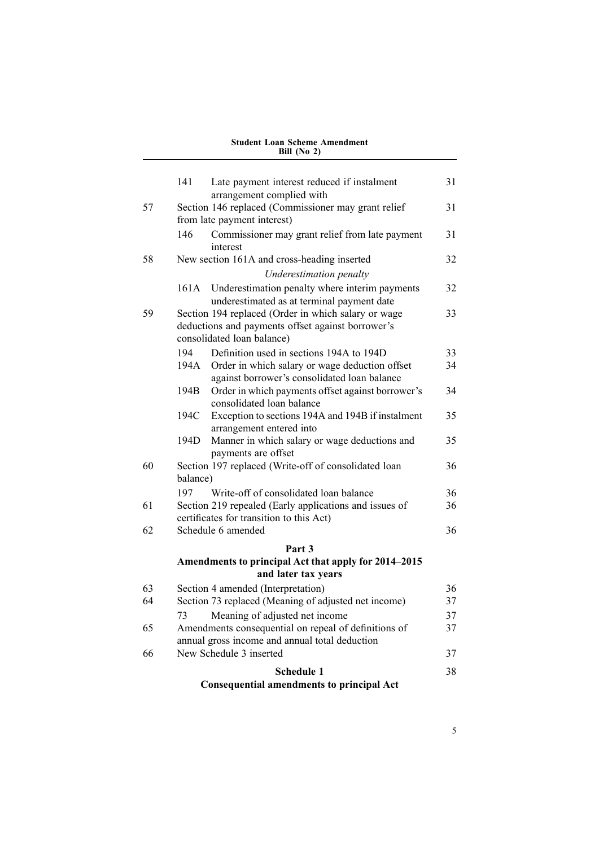|    | 141      | Late payment interest reduced if instalment                                        | 31 |
|----|----------|------------------------------------------------------------------------------------|----|
|    |          | arrangement complied with                                                          |    |
| 57 |          | Section 146 replaced (Commissioner may grant relief<br>from late payment interest) | 31 |
|    | 146      | Commissioner may grant relief from late payment<br>interest                        | 31 |
| 58 |          | New section 161A and cross-heading inserted                                        | 32 |
|    |          | Underestimation penalty                                                            |    |
|    | 161A     | Underestimation penalty where interim payments                                     | 32 |
|    |          | underestimated as at terminal payment date                                         |    |
| 59 |          | Section 194 replaced (Order in which salary or wage                                | 33 |
|    |          | deductions and payments offset against borrower's                                  |    |
|    |          | consolidated loan balance)                                                         |    |
|    | 194      | Definition used in sections 194A to 194D                                           | 33 |
|    | 194A     | Order in which salary or wage deduction offset                                     | 34 |
|    |          | against borrower's consolidated loan balance                                       |    |
|    | 194B     | Order in which payments offset against borrower's<br>consolidated loan balance     | 34 |
|    | 194C     | Exception to sections 194A and 194B if instalment                                  | 35 |
|    |          | arrangement entered into                                                           |    |
|    | 194D     | Manner in which salary or wage deductions and                                      | 35 |
|    |          | payments are offset                                                                |    |
| 60 |          | Section 197 replaced (Write-off of consolidated loan                               | 36 |
|    | balance) |                                                                                    |    |
|    | 197      | Write-off of consolidated loan balance                                             | 36 |
| 61 |          | Section 219 repealed (Early applications and issues of                             | 36 |
|    |          | certificates for transition to this Act)                                           |    |
| 62 |          | Schedule 6 amended                                                                 | 36 |
|    |          | Part 3                                                                             |    |
|    |          | Amendments to principal Act that apply for 2014-2015                               |    |
|    |          | and later tax years                                                                |    |
| 63 |          | Section 4 amended (Interpretation)                                                 | 36 |
| 64 |          | Section 73 replaced (Meaning of adjusted net income)                               | 37 |
|    | 73       | Meaning of adjusted net income                                                     | 37 |
| 65 |          | Amendments consequential on repeal of definitions of                               | 37 |
|    |          | annual gross income and annual total deduction                                     |    |
| 66 |          | New Schedule 3 inserted                                                            | 37 |
|    |          | <b>Schedule 1</b>                                                                  | 38 |
|    |          | <b>Consequential amendments to principal Act</b>                                   |    |
|    |          |                                                                                    |    |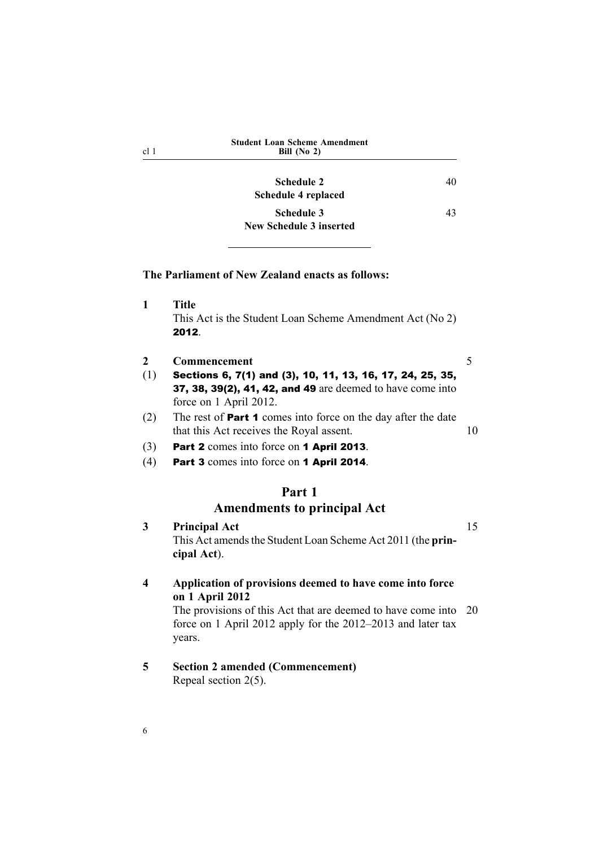<span id="page-21-0"></span>

| cl <sub>1</sub>       | <b>Student Loan Scheme Amendment</b><br>Bill (No $2$ )                                                                                                                                                               |    |
|-----------------------|----------------------------------------------------------------------------------------------------------------------------------------------------------------------------------------------------------------------|----|
|                       | <b>Schedule 2</b><br>40<br>Schedule 4 replaced                                                                                                                                                                       |    |
|                       | <b>Schedule 3</b><br>43<br><b>New Schedule 3 inserted</b>                                                                                                                                                            |    |
|                       | The Parliament of New Zealand enacts as follows:                                                                                                                                                                     |    |
| 1                     | <b>Title</b><br>This Act is the Student Loan Scheme Amendment Act (No 2)<br>2012.                                                                                                                                    |    |
| $\overline{2}$<br>(1) | Commencement<br>Sections 6, 7(1) and (3), 10, 11, 13, 16, 17, 24, 25, 35,<br>37, 38, 39(2), 41, 42, and 49 are deemed to have come into<br>force on 1 April 2012.                                                    | 5  |
| (2)                   | The rest of <b>Part 1</b> comes into force on the day after the date<br>that this Act receives the Royal assent.                                                                                                     |    |
| (3)<br>(4)            | Part 2 comes into force on 1 April 2013.<br>Part 3 comes into force on 1 April 2014.                                                                                                                                 |    |
|                       | Part 1<br><b>Amendments to principal Act</b>                                                                                                                                                                         |    |
| 3                     | <b>Principal Act</b><br>This Act amends the Student Loan Scheme Act 2011 (the prin-<br>cipal Act).                                                                                                                   |    |
| 4                     | Application of provisions deemed to have come into force<br>on 1 April 2012<br>The provisions of this Act that are deemed to have come into<br>force on 1 April 2012 apply for the 2012–2013 and later tax<br>years. | 20 |
| 5                     | <b>Section 2 amended (Commencement)</b><br>Repeal section $2(5)$ .                                                                                                                                                   |    |

6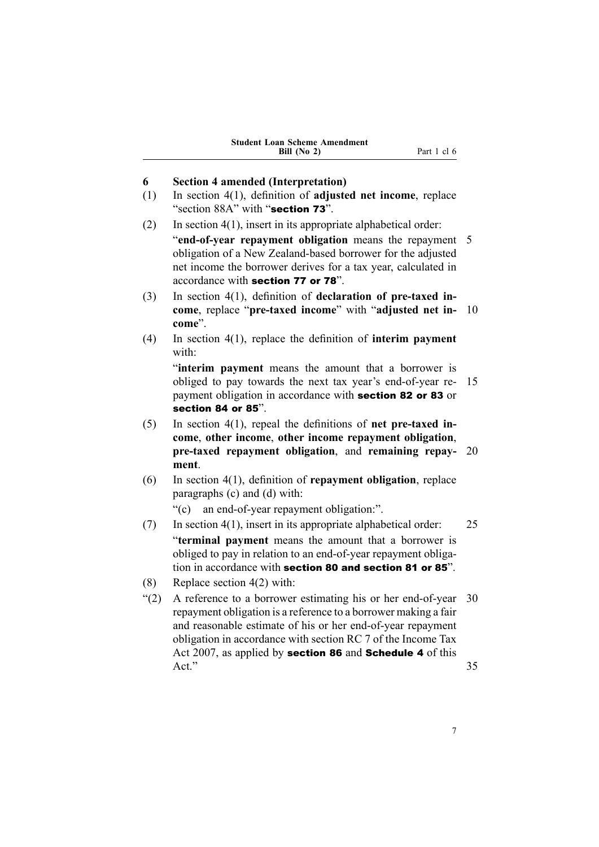<span id="page-22-0"></span>

|     | Bill (No 2)<br>Part 1 cl 6                                                                                                                                                                                                                                                                                                    |    |
|-----|-------------------------------------------------------------------------------------------------------------------------------------------------------------------------------------------------------------------------------------------------------------------------------------------------------------------------------|----|
| 6   | <b>Section 4 amended (Interpretation)</b>                                                                                                                                                                                                                                                                                     |    |
| (1) | In section $4(1)$ , definition of adjusted net income, replace<br>"section 88A" with "section 73".                                                                                                                                                                                                                            |    |
| (2) | In section $4(1)$ , insert in its appropriate alphabetical order:                                                                                                                                                                                                                                                             |    |
|     | "end-of-year repayment obligation means the repayment<br>obligation of a New Zealand-based borrower for the adjusted<br>net income the borrower derives for a tax year, calculated in<br>accordance with section 77 or 78".                                                                                                   | 5  |
| (3) | In section 4(1), definition of declaration of pre-taxed in-<br>come, replace "pre-taxed income" with "adjusted net in-<br>come".                                                                                                                                                                                              | 10 |
| (4) | In section $4(1)$ , replace the definition of interim payment<br>with:                                                                                                                                                                                                                                                        |    |
|     | "interim payment means the amount that a borrower is<br>obliged to pay towards the next tax year's end-of-year re-<br>payment obligation in accordance with section 82 or 83 or<br>section 84 or 85".                                                                                                                         | 15 |
| (5) | In section $4(1)$ , repeal the definitions of net pre-taxed in-                                                                                                                                                                                                                                                               |    |
|     | come, other income, other income repayment obligation,                                                                                                                                                                                                                                                                        |    |
|     | pre-taxed repayment obligation, and remaining repay-<br>ment.                                                                                                                                                                                                                                                                 | 20 |
| (6) | In section $4(1)$ , definition of repayment obligation, replace<br>paragraphs (c) and (d) with:                                                                                                                                                                                                                               |    |
|     | "(c) an end-of-year repayment obligation:".                                                                                                                                                                                                                                                                                   |    |
| (7) | In section $4(1)$ , insert in its appropriate alphabetical order:                                                                                                                                                                                                                                                             | 25 |
|     | "terminal payment means the amount that a borrower is<br>obliged to pay in relation to an end-of-year repayment obliga-<br>tion in accordance with section 80 and section 81 or 85".                                                                                                                                          |    |
| (8) | Replace section $4(2)$ with:                                                                                                                                                                                                                                                                                                  |    |
| (2) | A reference to a borrower estimating his or her end-of-year 30<br>repayment obligation is a reference to a borrower making a fair<br>and reasonable estimate of his or her end-of-year repayment<br>obligation in accordance with section RC 7 of the Income Tax<br>Act 2007, as applied by section 86 and Schedule 4 of this |    |
|     | Act."                                                                                                                                                                                                                                                                                                                         | 35 |
|     |                                                                                                                                                                                                                                                                                                                               |    |

**Student Loan Scheme Amendment**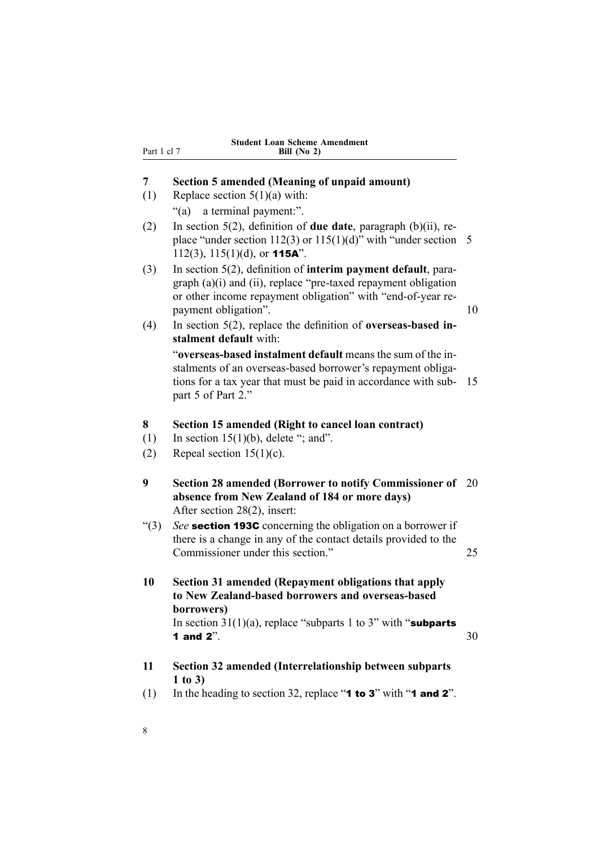|  |               | <b>Student Loan Scheme Amendment</b> |
|--|---------------|--------------------------------------|
|  | Bill $(No 2)$ |                                      |

### **7 Section 5 amended (Meaning of unpaid amount)**

(1) Replace section  $5(1)(a)$  with:

<span id="page-23-0"></span>Part 1 cl 7

- "(a) <sup>a</sup> terminal payment:".
- (2) In section 5(2), definition of **due date**, paragraph (b)(ii), replace "under section 112(3) or  $115(1)(d)$ " with "under section 5 112(3),  $115(1)(d)$ , or **115A**".
- (3) In section 5(2), definition of **interim paymen<sup>t</sup> default**, paragraph (a)(i) and (ii), replace "pre-taxed repaymen<sup>t</sup> obligation or other income repaymen<sup>t</sup> obligation" with "end-of-year repayment obligation". 10
- (4) In section 5(2), replace the definition of **overseas-based instalment default** with:

"**overseas-based instalment default** means the sum of the instalments of an overseas-based borrower's repaymen<sup>t</sup> obligations for <sup>a</sup> tax year that must be paid in accordance with sub- 15 par<sup>t</sup> 5 of Part 2."

#### **8 Section 15 amended (Right to cancel loan contract)**

- (1) In section  $15(1)(b)$ , delete "; and".
- (2) Repeal section  $15(1)(c)$ .
- **9 Section 28 amended (Borrower to notify Commissioner of** 20 **absence from New Zealand of 184 or more days)** After section 28(2), insert:
- "(3) *See* section 193C concerning the obligation on <sup>a</sup> borrower if there is <sup>a</sup> change in any of the contact details provided to the Commissioner under this section." 25
- **10 Section 31 amended (Repayment obligations that apply to New Zealand-based borrowers and overseas-based borrowers)**

In section  $31(1)(a)$ , replace "subparts 1 to 3" with "subparts" **1** and  $2^{\prime\prime}$ .  $30^{\prime\prime}$ 

- **11 Section 32 amended (Interrelationship between subparts 1 to 3)**
- (1) In the heading to section 32, replace "**1 to 3**" with "**1 and 2**".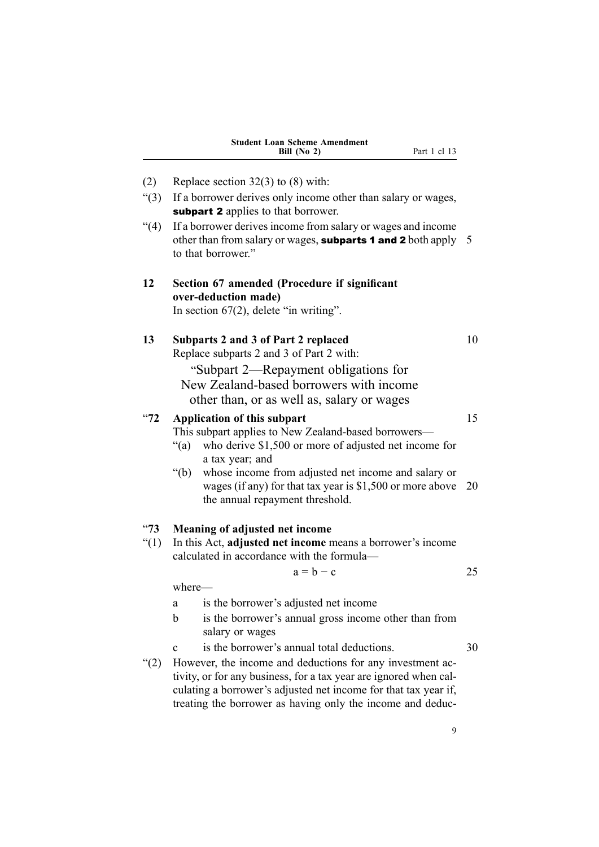<span id="page-24-0"></span>

|                  | <b>Student Loan Scheme Amendment</b><br>Part 1 cl 13<br>Bill $(No 2)$                                                                                                                                                                                                                                                                                 |          |
|------------------|-------------------------------------------------------------------------------------------------------------------------------------------------------------------------------------------------------------------------------------------------------------------------------------------------------------------------------------------------------|----------|
| (2)              | Replace section $32(3)$ to (8) with:                                                                                                                                                                                                                                                                                                                  |          |
| (3)              | If a borrower derives only income other than salary or wages,<br>subpart 2 applies to that borrower.                                                                                                                                                                                                                                                  |          |
| (4)              | If a borrower derives income from salary or wages and income<br>other than from salary or wages, subparts 1 and 2 both apply $5$<br>to that borrower."                                                                                                                                                                                                |          |
| 12               | Section 67 amended (Procedure if significant<br>over-deduction made)<br>In section $67(2)$ , delete "in writing".                                                                                                                                                                                                                                     |          |
| 13               | Subparts 2 and 3 of Part 2 replaced<br>Replace subparts 2 and 3 of Part 2 with:<br>"Subpart 2—Repayment obligations for<br>New Zealand-based borrowers with income<br>other than, or as well as, salary or wages                                                                                                                                      | 10       |
| $^{14}72$        | <b>Application of this subpart</b><br>This subpart applies to New Zealand-based borrowers—<br>$\lq(a)$<br>who derive \$1,500 or more of adjusted net income for<br>a tax year; and<br>whose income from adjusted net income and salary or<br>" $(b)$<br>wages (if any) for that tax year is $$1,500$ or more above<br>the annual repayment threshold. | 15<br>20 |
| $^{14}73$<br>(1) | Meaning of adjusted net income<br>In this Act, adjusted net income means a borrower's income<br>calculated in accordance with the formula-<br>$a = b - c$                                                                                                                                                                                             | 25       |
|                  | where-                                                                                                                                                                                                                                                                                                                                                |          |
|                  | is the borrower's adjusted net income<br>a<br>is the borrower's annual gross income other than from<br>$\mathbf b$<br>salary or wages                                                                                                                                                                                                                 |          |
|                  | is the borrower's annual total deductions.<br>$\mathbf c$                                                                                                                                                                                                                                                                                             | 30       |
| (2)              | However, the income and deductions for any investment ac-<br>tivity, or for any business, for a tax year are ignored when cal-<br>culating a borrower's adjusted net income for that tax year if,<br>treating the borrower as having only the income and deduc-                                                                                       |          |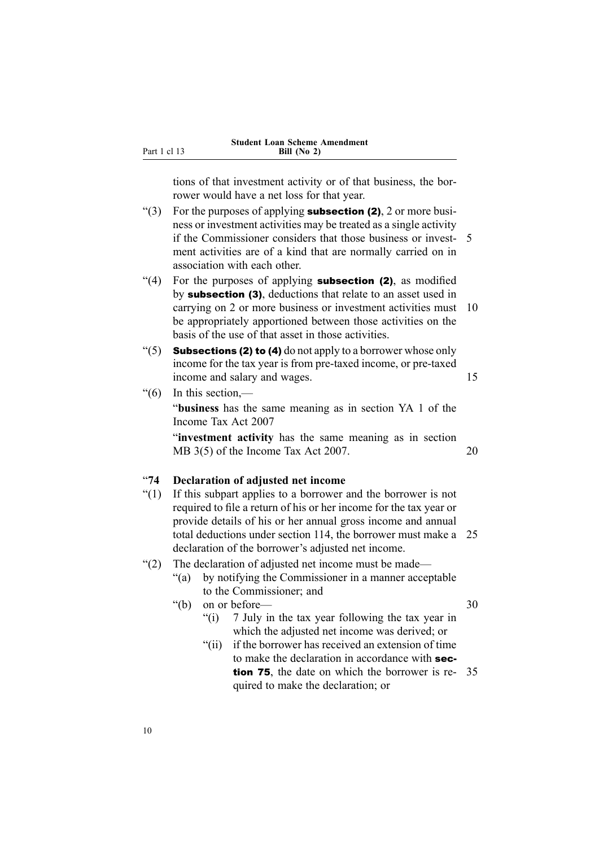tions of that investment activity or of that business, the borrower would have <sup>a</sup> net loss for that year.

- "(3) For the purposes of applying **subsection (2)**, 2 or more business or investment activities may be treated as <sup>a</sup> single activity if the Commissioner considers that those business or invest- 5 ment activities are of <sup>a</sup> kind that are normally carried on in association with each other.
- "(4) For the purposes of applying **subsection (2)**, as modified by subsection (3), deductions that relate to an asset used in carrying on 2 or more business or investment activities must 10 be appropriately apportioned between those activities on the basis of the use of that asset in those activities.
- "(5) **Subsections (2) to (4)** do not apply to a borrower whose only income for the tax year is from pre-taxed income, or pre-taxed income and salary and wages. 15
- $\degree$ (6) In this section,—

<span id="page-25-0"></span>Part 1 cl 13

"**business** has the same meaning as in section YA 1 of the Income Tax Act 2007

"**investment activity** has the same meaning as in section MB 3(5) of the Income Tax Act 2007. 20

## "**74 Declaration of adjusted net income**

- "(1) If this subpart applies to <sup>a</sup> borrower and the borrower is not required to file <sup>a</sup> return of his or her income for the tax year or provide details of his or her annual gross income and annual total deductions under section 114, the borrower must make <sup>a</sup> 25 declaration of the borrower's adjusted net income.
- "(2) The declaration of adjusted net income must be made—
	- "(a) by notifying the Commissioner in <sup>a</sup> manner acceptable to the Commissioner; and

"(b) on or before — 30

- "(i) 7 July in the tax year following the tax year in which the adjusted net income was derived; or
- "(ii) if the borrower has received an extension of time to make the declaration in accordance with section 75, the date on which the borrower is re- 35 quired to make the declaration; or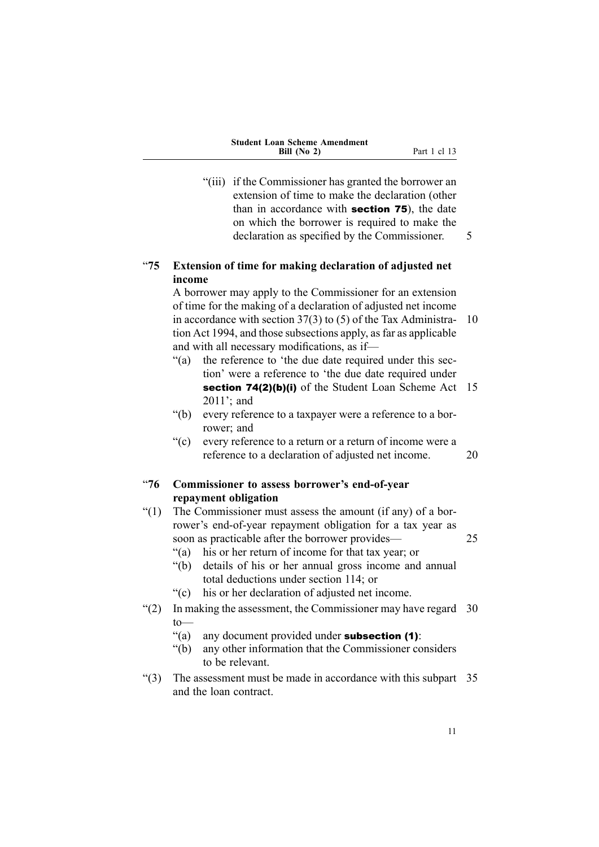<span id="page-26-0"></span>

| <b>Student Loan Scheme Amendment</b> |              |
|--------------------------------------|--------------|
| Bill $(No 2)$                        | Part 1 cl 13 |

"(iii) if the Commissioner has granted the borrower an extension of time to make the declaration (other than in accordance with section <sup>75</sup>), the date on which the borrower is required to make the declaration as specified by the Commissioner. 5

"**75 Extension of time for making declaration of adjusted net income**

A borrower may apply to the Commissioner for an extension of time for the making of <sup>a</sup> declaration of adjusted net income in accordance with section 37(3) to (5) of the Tax Administra- 10 tion Act 1994, and those subsections apply, as far as applicable and with all necessary modifications, as if—

- "(a) the reference to 'the due date required under this section' were <sup>a</sup> reference to 'the due date required under section 74(2)(b)(i) of the Student Loan Scheme Act 15 2011'; and
- "(b) every reference to <sup>a</sup> taxpayer were <sup>a</sup> reference to <sup>a</sup> borrower; and
- "(c) every reference to <sup>a</sup> return or <sup>a</sup> return of income were <sup>a</sup> reference to <sup>a</sup> declaration of adjusted net income. 20
- "**76 Commissioner to assess borrower's end-of-year repayment obligation**
- "(1) The Commissioner must assess the amount (if any) of <sup>a</sup> borrower's end-of-year repaymen<sup>t</sup> obligation for <sup>a</sup> tax year as soon as practicable after the borrower provides— 25
	- "(a) his or her return of income for that tax year; or
	- "(b) details of his or her annual gross income and annual total deductions under section 114; or
	- "(c) his or her declaration of adjusted net income.
- "(2) In making the assessment, the Commissioner may have regard 30 to—
	- "(a) any document provided under **subsection**  $(1)$ :
	- "(b) any other information that the Commissioner considers to be relevant.
- $(3)$  The assessment must be made in accordance with this subpart 35 and the loan contract.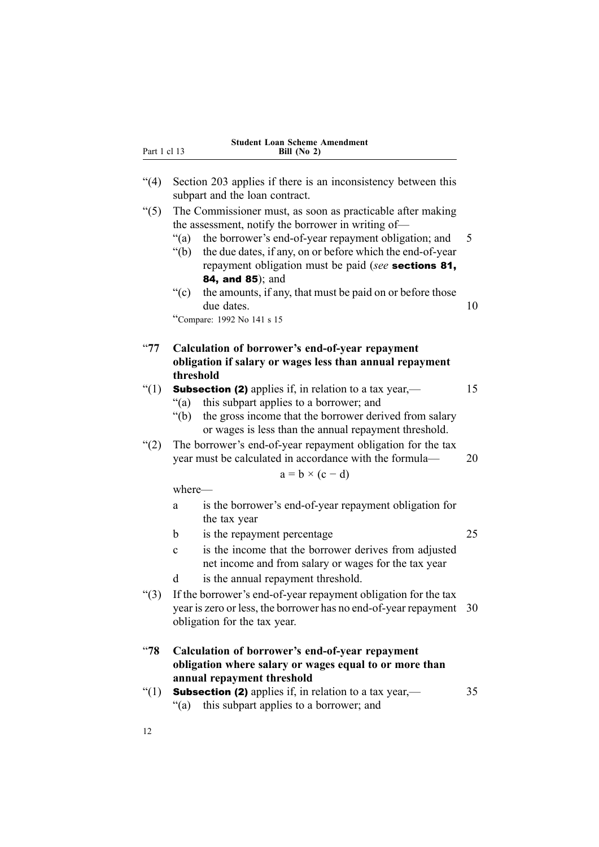<span id="page-27-0"></span>

| Part 1 cl 13  | <b>Student Loan Scheme Amendment</b><br>Bill $(No 2)$                                                                                                                                                                                                                                                                                      |    |
|---------------|--------------------------------------------------------------------------------------------------------------------------------------------------------------------------------------------------------------------------------------------------------------------------------------------------------------------------------------------|----|
| (4)           | Section 203 applies if there is an inconsistency between this<br>subpart and the loan contract.                                                                                                                                                                                                                                            |    |
| $\degree$ (5) | The Commissioner must, as soon as practicable after making<br>the assessment, notify the borrower in writing of—<br>the borrower's end-of-year repayment obligation; and<br>" $(a)$ "<br>the due dates, if any, on or before which the end-of-year<br>" $(b)$ "<br>repayment obligation must be paid (see sections 81,<br>84, and 85); and | 5  |
|               | $\degree$ (c)<br>the amounts, if any, that must be paid on or before those<br>due dates.<br>"Compare: 1992 No 141 s 15                                                                                                                                                                                                                     | 10 |
| $^{\circ}77$  | Calculation of borrower's end-of-year repayment<br>obligation if salary or wages less than annual repayment                                                                                                                                                                                                                                |    |
| " $(1)$       | threshold<br><b>Subsection (2)</b> applies if, in relation to a tax year,—<br>this subpart applies to a borrower; and<br>" $(a)$<br>" $(b)$<br>the gross income that the borrower derived from salary<br>or wages is less than the annual repayment threshold.                                                                             | 15 |
| (2)           | The borrower's end-of-year repayment obligation for the tax<br>year must be calculated in accordance with the formula-<br>$a = b \times (c - d)$                                                                                                                                                                                           | 20 |
|               | where-                                                                                                                                                                                                                                                                                                                                     |    |
|               | is the borrower's end-of-year repayment obligation for<br>a<br>the tax year                                                                                                                                                                                                                                                                |    |
|               | b<br>is the repayment percentage                                                                                                                                                                                                                                                                                                           | 25 |
|               | is the income that the borrower derives from adjusted<br>$\mathbf c$<br>net income and from salary or wages for the tax year                                                                                                                                                                                                               |    |
|               | is the annual repayment threshold.<br>d                                                                                                                                                                                                                                                                                                    |    |
| ``(3)         | If the borrower's end-of-year repayment obligation for the tax<br>year is zero or less, the borrower has no end-of-year repayment<br>obligation for the tax year.                                                                                                                                                                          | 30 |
| ~478          | Calculation of borrower's end-of-year repayment<br>obligation where salary or wages equal to or more than                                                                                                                                                                                                                                  |    |
| " $(1)$       | annual repayment threshold<br><b>Subsection (2)</b> applies if, in relation to a tax year,—<br>this subpart applies to a borrower; and<br>" $(a)$ "                                                                                                                                                                                        | 35 |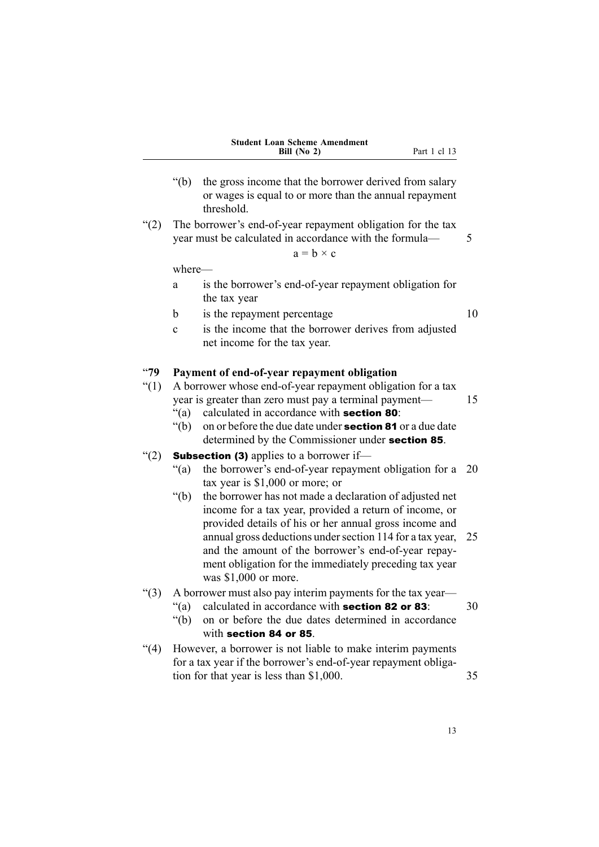| <b>Student Loan Scheme Amendment</b> |
|--------------------------------------|
| Bill $(No 2)$                        |

- **Part 1 cl 13**
- <span id="page-28-0"></span>"(b) the gross income that the borrower derived from salary or wages is equal to or more than the annual repaymen<sup>t</sup> threshold.
- "(2) The borrower's end-of-year repaymen<sup>t</sup> obligation for the tax year must be calculated in accordance with the formula— 5

$$
a = b \times c
$$

where—

- <sup>a</sup> is the borrower's end-of-year repaymen<sup>t</sup> obligation for the tax year
- b is the repayment percentage 10
- <sup>c</sup> is the income that the borrower derives from adjusted net income for the tax year.

### "**79 Payment of end-of-year repayment obligation**

"(1) A borrower whose end-of-year repaymen<sup>t</sup> obligation for <sup>a</sup> tax year is greater than zero must pay a terminal payment— 15

- "(a) calculated in accordance with section <sup>80</sup>:
- "(b) on or before the due date under **section 81** or a due date determined by the Commissioner under section <sup>85</sup>.

### "(2) **Subsection (3)** applies to a borrower if-

- "(a) the borrower's end-of-year repaymen<sup>t</sup> obligation for <sup>a</sup> 20 tax year is \$1,000 or more; or
- "(b) the borrower has not made <sup>a</sup> declaration of adjusted net income for <sup>a</sup> tax year, provided <sup>a</sup> return of income, or provided details of his or her annual gross income and annual gross deductions undersection 114 for <sup>a</sup> tax year, 25 and the amount of the borrower's end-of-year repayment obligation for the immediately preceding tax year was \$1,000 or more.

#### "(3) A borrower must also pay interim payments for the tax year—

"(a) calculated in accordance with **section 82 or 83**:  $30$ 

- "(b) on or before the due dates determined in accordance with section 84 or 85.
- "(4) However, <sup>a</sup> borrower is not liable to make interim payments for <sup>a</sup> tax year if the borrower's end-of-year repaymen<sup>t</sup> obligation for that year is less than \$1,000. 35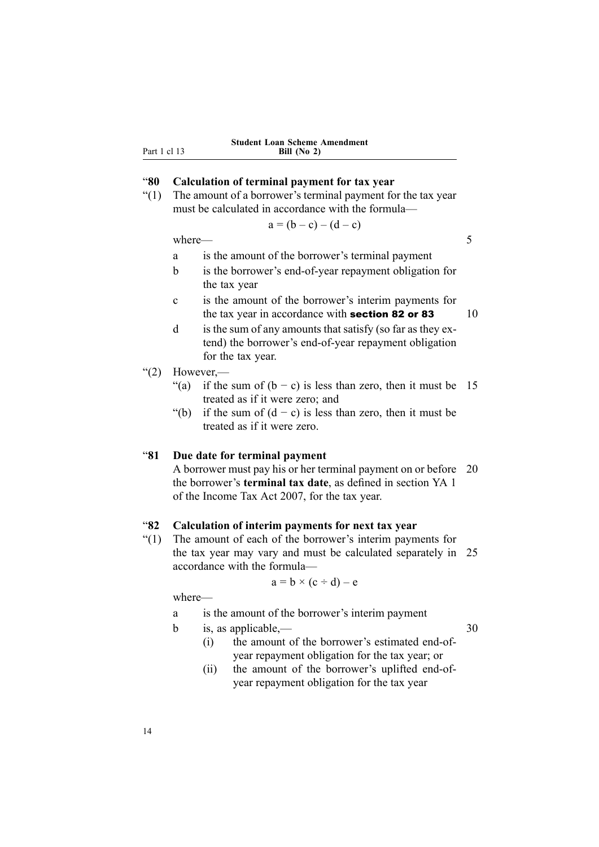<span id="page-29-0"></span>Part 1 cl 13

#### **Student Loan Scheme Amendment Bill (No 2)**

### "**80 Calculation of terminal payment for tax year**

"(1) The amount of <sup>a</sup> borrower's terminal paymen<sup>t</sup> for the tax year must be calculated in accordance with the formula—

$$
a = (b - c) - (d - c)
$$

where  $\sim$  5

- <sup>a</sup> is the amount of the borrower's terminal paymen<sup>t</sup>
- b is the borrower's end-of-year repaymen<sup>t</sup> obligation for the tax year
- <sup>c</sup> is the amount of the borrower's interim payments for the tax year in accordance with **section 82 or 83**  $10$
- d is the sum of any amounts that satisfy (so far as they extend) the borrower's end-of-year repaymen<sup>t</sup> obligation for the tax year.
- " $(2)$  However,—
	- "(a) if the sum of  $(b c)$  is less than zero, then it must be 15 treated as if it were zero; and
	- "(b) if the sum of  $(d c)$  is less than zero, then it must be treated as if it were zero.

### "**81 Due date for terminal payment**

A borrower must pay his or her terminal paymen<sup>t</sup> on or before 20 the borrower's **terminal tax date**, as defined in section YA 1 of the Income Tax Act 2007, for the tax year.

### "**82 Calculation of interim payments for next tax year**

"(1) The amount of each of the borrower's interim payments for the tax year may vary and must be calculated separately in 25 accordance with the formula—

$$
a = b \times (c \div d) - e
$$

where—

- <sup>a</sup> is the amount of the borrower's interim paymen<sup>t</sup>
- b is, as applicable,  $-$  30

- (i) the amount of the borrower's estimated end-ofyear repaymen<sup>t</sup> obligation for the tax year; or
- (ii) the amount of the borrower's uplifted end-ofyear repaymen<sup>t</sup> obligation for the tax year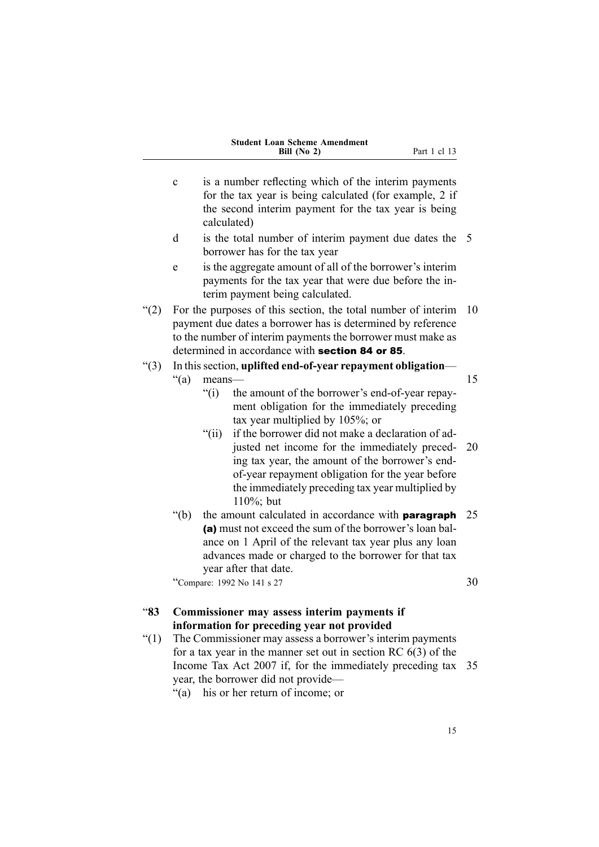| <b>Student Loan Scheme Amendment</b> |
|--------------------------------------|
| Bill $(No 2)$                        |

- <span id="page-30-0"></span><sup>c</sup> is <sup>a</sup> number reflecting which of the interim payments for the tax year is being calculated (for example, 2 if the second interim paymen<sup>t</sup> for the tax year is being calculated) d is the total number of interim paymen<sup>t</sup> due dates the 5 borrower has for the tax year <sup>e</sup> is the aggregate amount of all of the borrower's interim payments for the tax year that were due before the interim paymen<sup>t</sup> being calculated. "(2) For the purposes of this section, the total number of interim  $10$ paymen<sup>t</sup> due dates <sup>a</sup> borrower has is determined by reference to the number of interim payments the borrower must make as determined in accordance with section 84 or 85. "(3) In thissection, **uplifted end-of-year repaymen<sup>t</sup> obligation**  $f'(a)$  means— 15 "(i) the amount of the borrower's end-of-year repayment obligation for the immediately preceding tax year multiplied by 105%; or "(ii) if the borrower did not make a declaration of adjusted net income for the immediately preced- 20 ing tax year, the amount of the borrower's endof-year repaymen<sup>t</sup> obligation for the year before the immediately preceding tax year multiplied by 110%; but "(b) the amount calculated in accordance with **paragraph**  $25$ (a) must not exceed the sum of the borrower's loan balance on 1 April of the relevant tax year plus any loan advances made or charged to the borrower for that tax year after that date. "Compare: 1992 No 141 s 27 30 "**83 Commissioner may assess interim payments if information for preceding year not provided**
- "(1) The Commissioner may assess <sup>a</sup> borrower's interim payments for <sup>a</sup> tax year in the manner set out in section RC 6(3) of the Income Tax Act 2007 if, for the immediately preceding tax 35 year, the borrower did not provide—
	- "(a) his or her return of income; or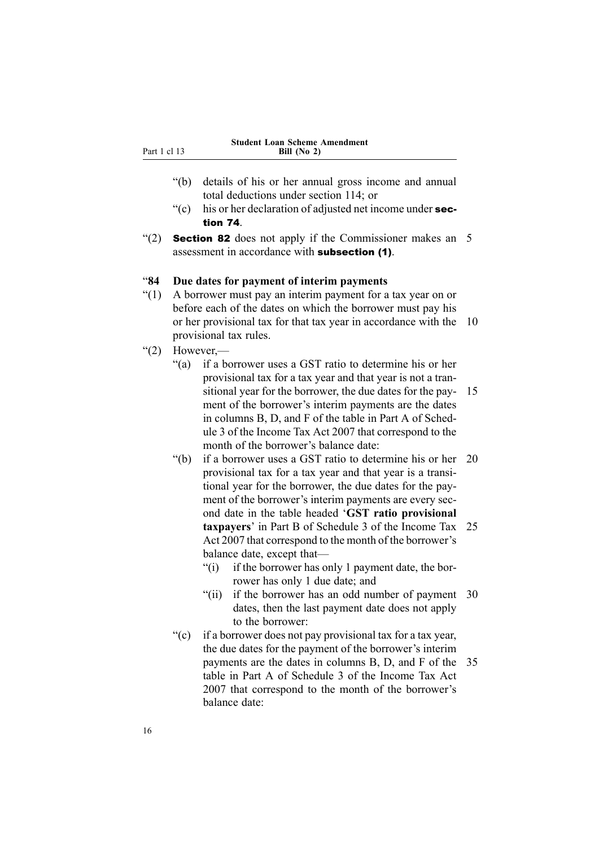<span id="page-31-0"></span>

| Part 1 cl |  |  |
|-----------|--|--|

- "(b) details of his or her annual gross income and annual total deductions under section 114; or
- " $(c)$  his or her declaration of adjusted net income under section 74.
- "(2) **Section 82** does not apply if the Commissioner makes an 5 assessment in accordance with subsection (1).

### "**84 Due dates for payment of interim payments**

- "(1) A borrower must pay an interim paymen<sup>t</sup> for <sup>a</sup> tax year on or before each of the dates on which the borrower must pay his or her provisional tax for that tax year in accordance with the 10 provisional tax rules.
- " $(2)$  However,
	- "(a) if <sup>a</sup> borrower uses <sup>a</sup> GST ratio to determine his or her provisional tax for <sup>a</sup> tax year and that year is not <sup>a</sup> transitional year for the borrower, the due dates for the pay- 15 ment of the borrower's interim payments are the dates in columns B, D, and F of the table in Part A of Schedule 3 of the Income Tax Act 2007 that correspond to the month of the borrower's balance date:
	- "(b) if <sup>a</sup> borrower uses <sup>a</sup> GST ratio to determine his or her 20 provisional tax for <sup>a</sup> tax year and that year is <sup>a</sup> transitional year for the borrower, the due dates for the payment of the borrower's interim payments are every second date in the table headed '**GST ratio provisional taxpayers**' in Part B of Schedule 3 of the Income Tax 25 Act 2007 that correspond to the month of the borrower's balance date, excep<sup>t</sup> that—
		- "(i) if the borrower has only 1 paymen<sup>t</sup> date, the borrower has only 1 due date; and
		- "(ii) if the borrower has an odd number of paymen<sup>t</sup> 30 dates, then the last paymen<sup>t</sup> date does not apply to the borrower:
	- "(c) if <sup>a</sup> borrower does not pay provisional tax for <sup>a</sup> tax year, the due dates for the paymen<sup>t</sup> of the borrower's interim payments are the dates in columns B, D, and F of the 35 table in Part A of Schedule 3 of the Income Tax Act 2007 that correspond to the month of the borrower's balance date: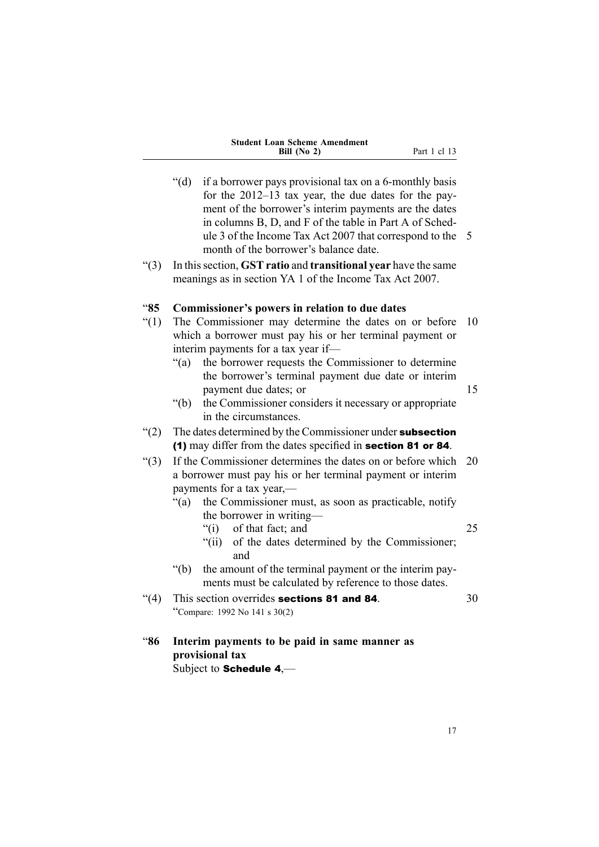|  | <b>Student Loan Scheme Amendment</b> |
|--|--------------------------------------|
|  | Bill $(No 2)$                        |

<span id="page-32-0"></span>"(d) if <sup>a</sup> borrower pays provisional tax on <sup>a</sup> 6-monthly basis for the 2012–13 tax year, the due dates for the payment of the borrower's interim payments are the dates in columns B, D, and F of the table in Part A of Schedule 3 of the Income Tax Act 2007 that correspond to the 5 month of the borrower's balance date. "(3) In thissection, **GST ratio** and **transitional year** have the same meanings as in section YA 1 of the Income Tax Act 2007. "**85 Commissioner's powers in relation to due dates** "(1) The Commissioner may determine the dates on or before 10 which <sup>a</sup> borrower must pay his or her terminal paymen<sup>t</sup> or interim payments for <sup>a</sup> tax year if— "(a) the borrower requests the Commissioner to determine the borrower's terminal paymen<sup>t</sup> due date or interim payment due dates; or 15 "(b) the Commissioner considers it necessary or appropriate in the circumstances.  $\degree$ (2) The dates determined by the Commissioner under subsection (1) may differ from the dates specified in section <sup>81</sup> or <sup>84</sup>. "(3) If the Commissioner determines the dates on or before which 20 <sup>a</sup> borrower must pay his or her terminal paymen<sup>t</sup> or interim payments for <sup>a</sup> tax year,— "(a) the Commissioner must, as soon as practicable, notify the borrower in writing— "(i) of that fact; and 25 "(ii) of the dates determined by the Commissioner; and "(b) the amount of the terminal paymen<sup>t</sup> or the interim payments must be calculated by reference to those dates. " $(4)$  This section overrides **sections 81 and 84**.  $30$ "Compare: <sup>1992</sup> No <sup>141</sup> <sup>s</sup> 30(2) "**86 Interim payments to be paid in same manner as provisional tax** Subject to Schedule <sup>4</sup>,—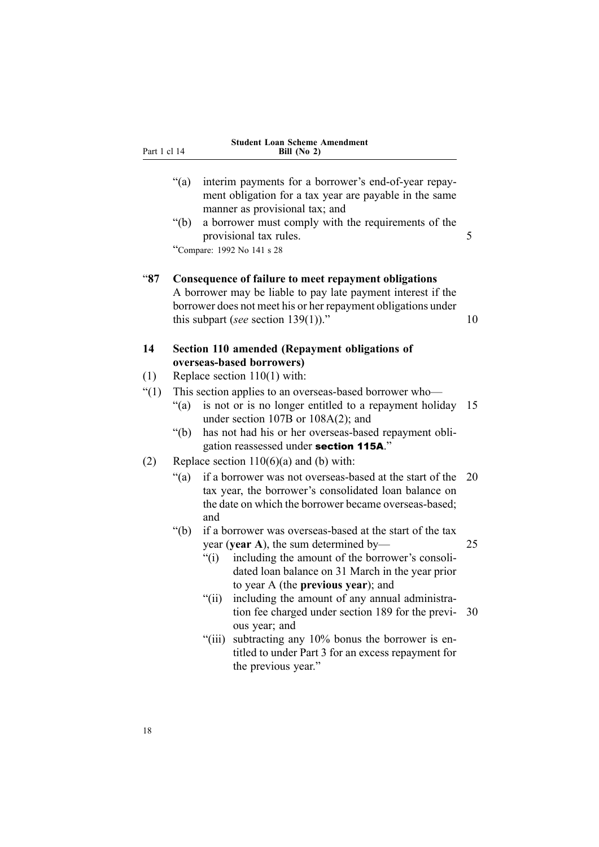<span id="page-33-0"></span>

|              | <b>Student Loan Scheme Amendment</b> |
|--------------|--------------------------------------|
| Part 1 cl 14 | Bill $(No 2)$                        |

- "(a) interim payments for <sup>a</sup> borrower's end-of-year repayment obligation for <sup>a</sup> tax year are payable in the same manner as provisional tax; and
- "(b) <sup>a</sup> borrower must comply with the requirements of the provisional tax rules. 5

"Compare: <sup>1992</sup> No <sup>141</sup> <sup>s</sup> <sup>28</sup>

### "**87 Consequence of failure to meet repayment obligations**

A borrower may be liable to pay late paymen<sup>t</sup> interest if the borrower does not meet his or her repaymen<sup>t</sup> obligations under this subpart (*see* section 139(1))."  $10$ 

### **14 Section 110 amended (Repayment obligations of overseas-based borrowers)**

- (1) Replace section 110(1) with:
- "(1) This section applies to an overseas-based borrower who—
	- "(a) is not or is no longer entitled to <sup>a</sup> repaymen<sup>t</sup> holiday 15 under section 107B or 108A(2); and
	- "(b) has not had his or her overseas-based repaymen<sup>t</sup> obligation reassessed under section 115A."
- (2) Replace section  $110(6)(a)$  and (b) with:
	- "(a) if <sup>a</sup> borrower was not overseas-based at the start of the 20 tax year, the borrower's consolidated loan balance on the date on which the borrower became overseas-based; and
	- "(b) if <sup>a</sup> borrower was overseas-based at the start of the tax year (**year A**), the sum determined by— 25

"(i) including the amount of the borrower's consolidated loan balance on 31 March in the year prior to year A (the **previous year**); and

- "(ii) including the amount of any annual administration fee charged under section 189 for the previ- 30 ous year; and
- "(iii) subtracting any 10% bonus the borrower is entitled to under Part 3 for an excess repaymen<sup>t</sup> for the previous year."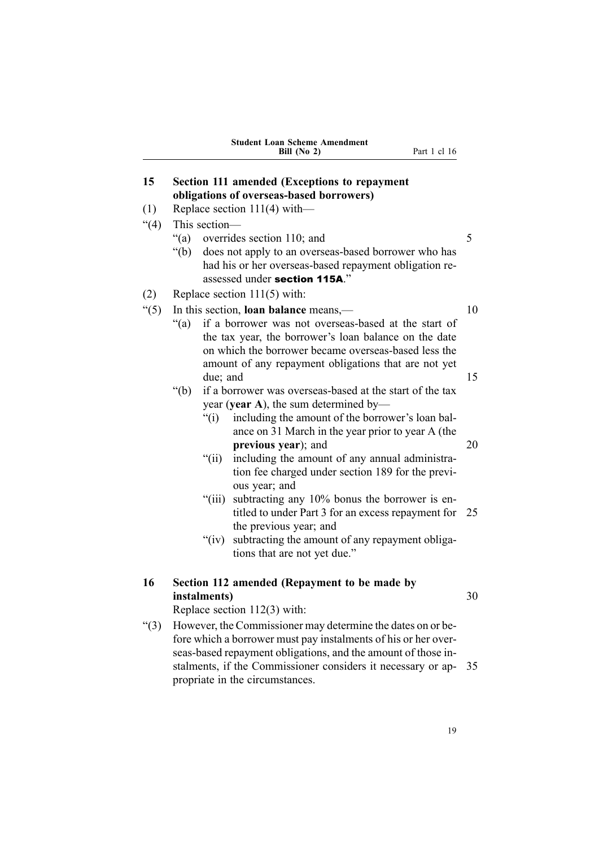<span id="page-34-0"></span>

|              | <b>Student Loan Scheme Amendment</b><br>Part 1 cl 16<br>Bill (No 2)                                                                                                                                                                        |    |
|--------------|--------------------------------------------------------------------------------------------------------------------------------------------------------------------------------------------------------------------------------------------|----|
| 15           | Section 111 amended (Exceptions to repayment                                                                                                                                                                                               |    |
|              | obligations of overseas-based borrowers)                                                                                                                                                                                                   |    |
| (1)          | Replace section $111(4)$ with-                                                                                                                                                                                                             |    |
| (4)          | This section-                                                                                                                                                                                                                              | 5  |
|              | $\degree$ (a)<br>overrides section 110; and<br>$\degree$ (b)<br>does not apply to an overseas-based borrower who has<br>had his or her overseas-based repayment obligation re-<br>assessed under section 115A."                            |    |
| (2)          | Replace section $111(5)$ with:                                                                                                                                                                                                             |    |
| $\degree(5)$ | In this section, <b>loan balance</b> means,—                                                                                                                                                                                               | 10 |
|              | if a borrower was not overseas-based at the start of<br>" $(a)$ "<br>the tax year, the borrower's loan balance on the date<br>on which the borrower became overseas-based less the<br>amount of any repayment obligations that are not yet |    |
|              | due; and                                                                                                                                                                                                                                   | 15 |
|              | " $(b)$<br>if a borrower was overseas-based at the start of the tax                                                                                                                                                                        |    |
|              | year (year A), the sum determined by—                                                                                                                                                                                                      |    |
|              | " $(i)$<br>including the amount of the borrower's loan bal-<br>ance on 31 March in the year prior to year A (the                                                                                                                           |    |
|              | previous year); and                                                                                                                                                                                                                        | 20 |
|              | " $(i)$ "<br>including the amount of any annual administra-<br>tion fee charged under section 189 for the previ-<br>ous year; and                                                                                                          |    |
|              | subtracting any 10% bonus the borrower is en-<br>"(iii)<br>titled to under Part 3 for an excess repayment for                                                                                                                              | 25 |
|              | the previous year; and<br>" $(iv)$<br>subtracting the amount of any repayment obliga-<br>tions that are not yet due."                                                                                                                      |    |
| 16           | Section 112 amended (Repayment to be made by<br>instalments)                                                                                                                                                                               | 30 |
|              | Replace section 112(3) with:                                                                                                                                                                                                               |    |
| ``(3)        | However, the Commissioner may determine the dates on or be-<br>fore which a borrower must pay instalments of his or her over-<br>seas-based repayment obligations, and the amount of those in-                                             |    |
|              | stalments, if the Commissioner considers it necessary or ap-<br>propriate in the circumstances.                                                                                                                                            | 35 |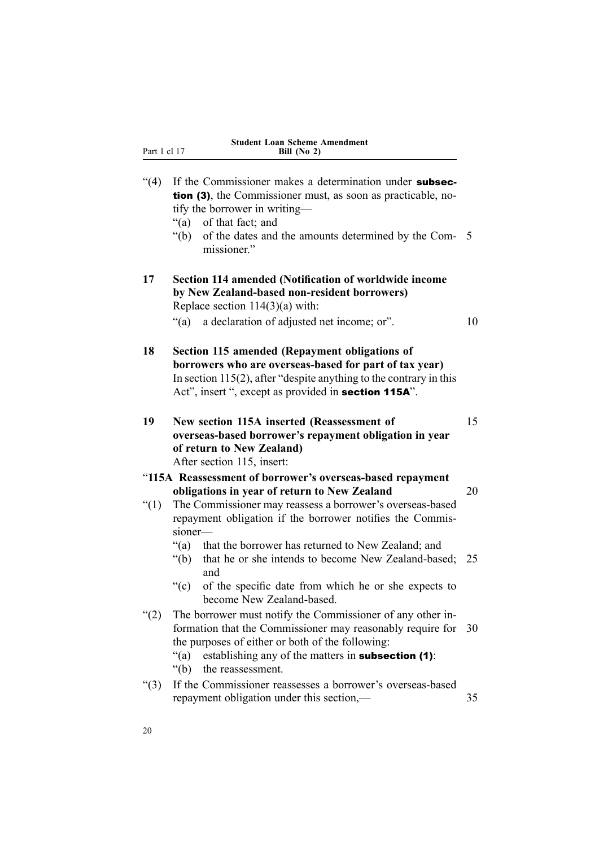<span id="page-35-0"></span>

| Par |  |
|-----|--|

| (4)  | If the Commissioner makes a determination under subsec-<br><b>tion (3)</b> , the Commissioner must, as soon as practicable, no-<br>tify the borrower in writing—<br>"(a)<br>of that fact; and<br>" $(b)$<br>of the dates and the amounts determined by the Com- 5<br>missioner."      |    |
|------|---------------------------------------------------------------------------------------------------------------------------------------------------------------------------------------------------------------------------------------------------------------------------------------|----|
| 17   | Section 114 amended (Notification of worldwide income<br>by New Zealand-based non-resident borrowers)<br>Replace section $114(3)(a)$ with:<br>$\degree$ (a)<br>a declaration of adjusted net income; or".                                                                             | 10 |
| 18   | Section 115 amended (Repayment obligations of<br>borrowers who are overseas-based for part of tax year)<br>In section $115(2)$ , after "despite anything to the contrary in this<br>Act", insert ", except as provided in section 115A".                                              |    |
| 19   | New section 115A inserted (Reassessment of<br>overseas-based borrower's repayment obligation in year<br>of return to New Zealand)<br>After section 115, insert:                                                                                                                       | 15 |
|      | "115A Reassessment of borrower's overseas-based repayment                                                                                                                                                                                                                             |    |
|      | obligations in year of return to New Zealand                                                                                                                                                                                                                                          | 20 |
| (1)  | The Commissioner may reassess a borrower's overseas-based<br>repayment obligation if the borrower notifies the Commis-                                                                                                                                                                |    |
|      | sioner-                                                                                                                                                                                                                                                                               |    |
|      | " $(a)$ "<br>that the borrower has returned to New Zealand; and<br>" $(b)$ "<br>that he or she intends to become New Zealand-based;<br>and                                                                                                                                            | 25 |
|      | ``(c)<br>of the specific date from which he or she expects to<br>become New Zealand-based.                                                                                                                                                                                            |    |
| (2)  | The borrower must notify the Commissioner of any other in-<br>formation that the Commissioner may reasonably require for<br>the purposes of either or both of the following:<br>establishing any of the matters in subsection (1):<br>$\degree$ (a)<br>the reassessment.<br>" $(b)$ " | 30 |
| "(3) | If the Commissioner reassesses a borrower's overseas-based<br>repayment obligation under this section,—                                                                                                                                                                               | 35 |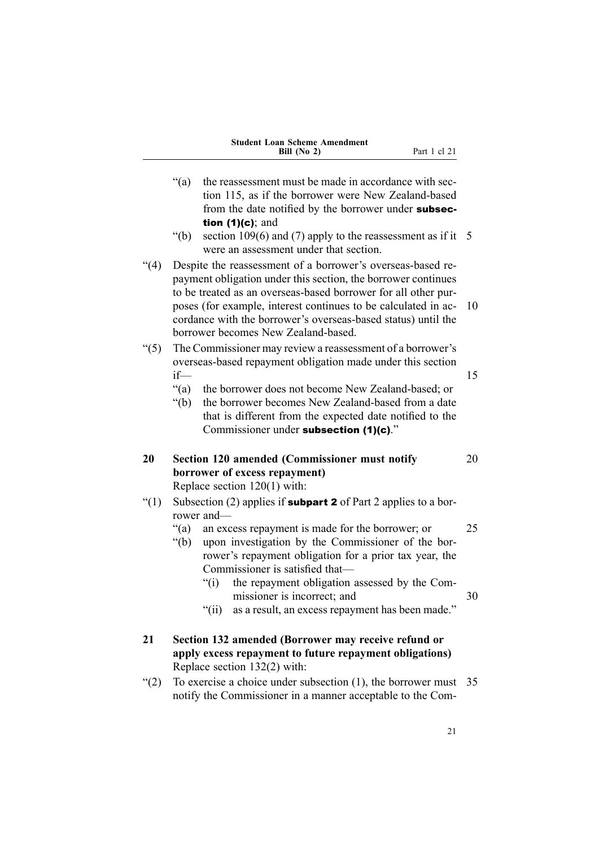| <b>Student Loan Scheme Amendment</b> |  |
|--------------------------------------|--|
| Bill $(No 2)$                        |  |

<span id="page-36-0"></span>

|          | $\lq(a)$           | the reassessment must be made in accordance with sec-<br>tion 115, as if the borrower were New Zealand-based                                                                                                                                                                                                                                                             |    |
|----------|--------------------|--------------------------------------------------------------------------------------------------------------------------------------------------------------------------------------------------------------------------------------------------------------------------------------------------------------------------------------------------------------------------|----|
|          |                    | from the date notified by the borrower under subsec-                                                                                                                                                                                                                                                                                                                     |    |
|          |                    | tion $(1)(c)$ ; and                                                                                                                                                                                                                                                                                                                                                      |    |
|          | " $(b)$ "          | section 109 $(6)$ and $(7)$ apply to the reassessment as if it<br>were an assessment under that section.                                                                                                                                                                                                                                                                 | 5  |
| (4)      |                    | Despite the reassessment of a borrower's overseas-based re-<br>payment obligation under this section, the borrower continues<br>to be treated as an overseas-based borrower for all other pur-<br>poses (for example, interest continues to be calculated in ac-<br>cordance with the borrower's overseas-based status) until the<br>borrower becomes New Zealand-based. | 10 |
| $\lq(5)$ |                    | The Commissioner may review a reassessment of a borrower's<br>overseas-based repayment obligation made under this section                                                                                                                                                                                                                                                |    |
|          | $if$ —             |                                                                                                                                                                                                                                                                                                                                                                          | 15 |
|          | " $(a)$<br>" $(b)$ | the borrower does not become New Zealand-based; or<br>the borrower becomes New Zealand-based from a date<br>that is different from the expected date notified to the<br>Commissioner under subsection (1)(c)."                                                                                                                                                           |    |
| 20       |                    | Section 120 amended (Commissioner must notify                                                                                                                                                                                                                                                                                                                            | 20 |
|          |                    | borrower of excess repayment)                                                                                                                                                                                                                                                                                                                                            |    |
|          |                    | Replace section $120(1)$ with:                                                                                                                                                                                                                                                                                                                                           |    |
| $\lq(1)$ |                    | Subsection (2) applies if <b>subpart 2</b> of Part 2 applies to a bor-<br>rower and-                                                                                                                                                                                                                                                                                     |    |
|          | " $(a)$ "          | an excess repayment is made for the borrower; or                                                                                                                                                                                                                                                                                                                         | 25 |
|          | " $(b)$            | upon investigation by the Commissioner of the bor-<br>rower's repayment obligation for a prior tax year, the                                                                                                                                                                                                                                                             |    |
|          |                    | Commissioner is satisfied that-<br>" $(i)$<br>the repayment obligation assessed by the Com-                                                                                                                                                                                                                                                                              |    |
|          |                    | missioner is incorrect; and                                                                                                                                                                                                                                                                                                                                              | 30 |
|          |                    | " $(ii)$<br>as a result, an excess repayment has been made."                                                                                                                                                                                                                                                                                                             |    |
| 21       |                    | Section 132 amended (Borrower may receive refund or                                                                                                                                                                                                                                                                                                                      |    |
|          |                    | apply excess repayment to future repayment obligations)                                                                                                                                                                                                                                                                                                                  |    |
|          |                    | Replace section 132(2) with:                                                                                                                                                                                                                                                                                                                                             |    |

notify the Commissioner in <sup>a</sup> manner acceptable to the Com-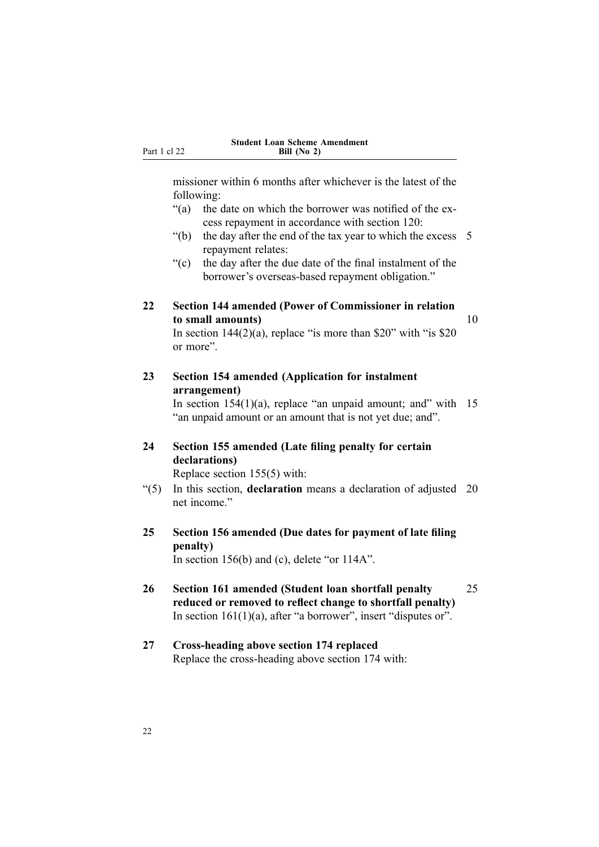<span id="page-37-0"></span>missioner within 6 months after whichever is the latest of the following:

- "(a) the date on which the borrower was notified of the excess repaymen<sup>t</sup> in accordance with section 120:
- "(b) the day after the end of the tax year to which the excess  $5$ repaymen<sup>t</sup> relates:
- "(c) the day after the due date of the final instalment of the borrower's overseas-based repaymen<sup>t</sup> obligation."

### **22 Section 144 amended (Power of Commissioner in relation to small amounts)** 10

In section  $144(2)(a)$ , replace "is more than \$20" with "is \$20 or more".

**23 Section 154 amended (Application for instalment arrangement)**

In section  $154(1)(a)$ , replace "an unpaid amount; and" with 15 "an unpaid amount or an amount that is not ye<sup>t</sup> due; and".

## **24 Section 155 amended (Late filing penalty for certain declarations)**

Replace section 155(5) with:

- "(5) In this section, **declaration** means <sup>a</sup> declaration of adjusted 20 net income"
- **25 Section 156 amended (Due dates for payment of late filing penalty)** In section 156(b) and (c), delete "or 114A".
- **26 Section 161 amended (Student loan shortfall penalty** 25 **reduced or removed to reflect change to shortfall penalty)** In section  $161(1)(a)$ , after "a borrower", insert "disputes or".

### **27 Cross-heading above section 174 replaced** Replace the cross-heading above section 174 with: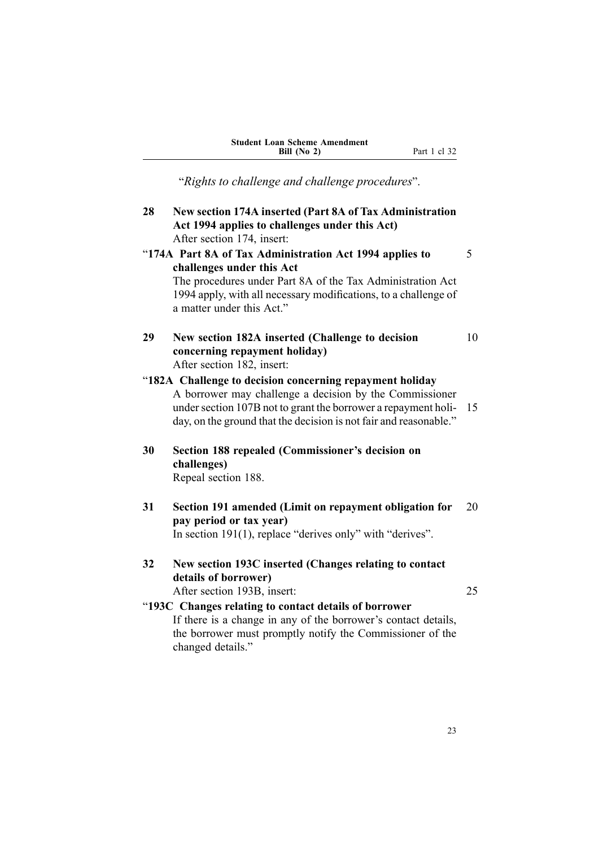| <b>Student Loan Scheme Amendment</b> |
|--------------------------------------|
| Bill $(No 2)$                        |

"*Rights to challenge and challenge procedures*".

<span id="page-38-0"></span>

| 28 | New section 174A inserted (Part 8A of Tax Administration<br>Act 1994 applies to challenges under this Act)<br>After section 174, insert:                                                                                                                   |    |
|----|------------------------------------------------------------------------------------------------------------------------------------------------------------------------------------------------------------------------------------------------------------|----|
|    | "174A Part 8A of Tax Administration Act 1994 applies to<br>challenges under this Act<br>The procedures under Part 8A of the Tax Administration Act<br>1994 apply, with all necessary modifications, to a challenge of<br>a matter under this Act."         | 5  |
| 29 | New section 182A inserted (Challenge to decision<br>concerning repayment holiday)<br>After section 182, insert:                                                                                                                                            | 10 |
|    | "182A Challenge to decision concerning repayment holiday<br>A borrower may challenge a decision by the Commissioner<br>under section 107B not to grant the borrower a repayment holi-<br>day, on the ground that the decision is not fair and reasonable." | 15 |
| 30 | Section 188 repealed (Commissioner's decision on<br>challenges)<br>Repeal section 188.                                                                                                                                                                     |    |
| 31 | Section 191 amended (Limit on repayment obligation for<br>pay period or tax year)<br>In section $191(1)$ , replace "derives only" with "derives".                                                                                                          | 20 |
| 32 | New section 193C inserted (Changes relating to contact<br>details of borrower)<br>After section 193B, insert:                                                                                                                                              | 25 |
|    | "193C Changes relating to contact details of borrower<br>If there is a change in ony of the horrower's contact details                                                                                                                                     |    |

If there is <sup>a</sup> change in any of the borrower's contact details, the borrower must promptly notify the Commissioner of the changed details."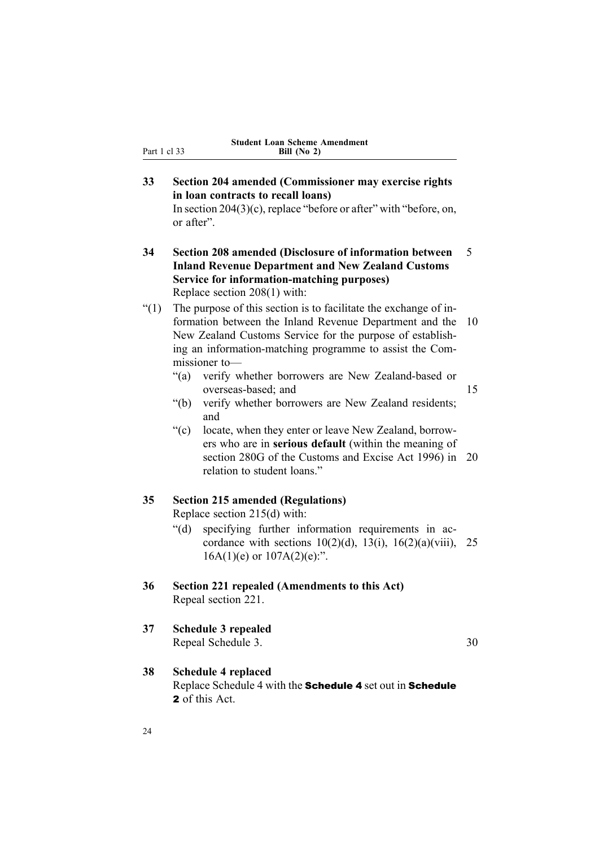## <span id="page-39-0"></span>**33 Section 204 amended (Commissioner may exercise rights in loan contracts to recall loans)**

In section 204(3)(c), replace "before or after" with "before, on, or after".

- **34 Section 208 amended (Disclosure of information between** 5 **Inland Revenue Department and New Zealand Customs Service for information-matching purposes)** Replace section 208(1) with:
- $''(1)$  The purpose of this section is to facilitate the exchange of information between the Inland Revenue Department and the 10 New Zealand Customs Service for the purpose of establishing an information-matching programme to assist the Commissioner to—
	- "(a) verify whether borrowers are New Zealand-based or overseas-based; and 15
	- "(b) verify whether borrowers are New Zealand residents; and
	- "(c) locate, when they enter or leave New Zealand, borrowers who are in **serious default** (within the meaning of section 280G of the Customs and Excise Act 1996) in 20 relation to student loans."

### **35 Section 215 amended (Regulations)**

Replace section 215(d) with:

- "(d) specifying further information requirements in accordance with sections  $10(2)(d)$ ,  $13(i)$ ,  $16(2)(a)(viii)$ , 25  $16A(1)(e)$  or  $107A(2)(e)$ :".
- **36 Section 221 repealed (Amendments to this Act)** Repeal section 221.
- **37 Schedule 3 repealed** Repeal Schedule 3. 30

**38 Schedule 4 replaced** Replace Schedule 4 with the Schedule <sup>4</sup> set out in Schedule 2 of this Act.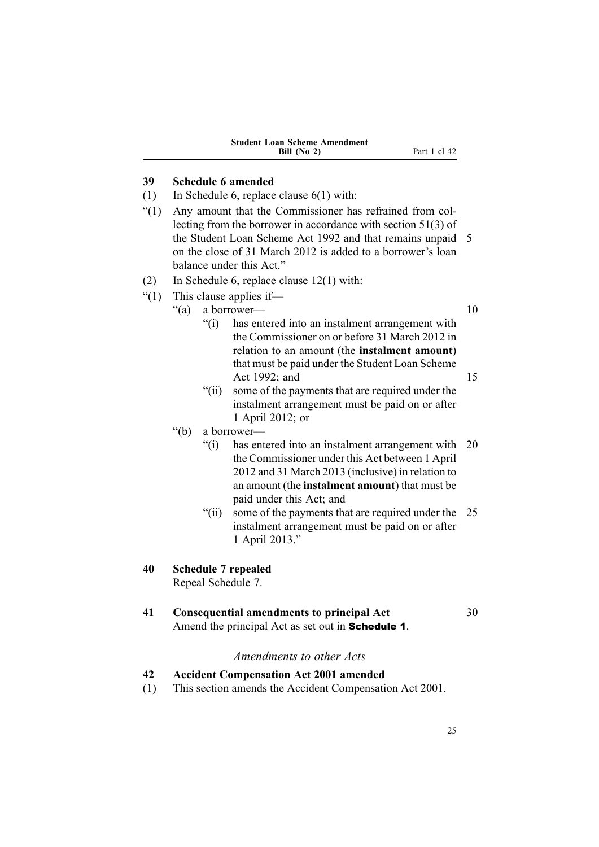| <b>Student Loan Scheme Amendment</b> |  |
|--------------------------------------|--|
| Bill $(No 2)$                        |  |

### <span id="page-40-0"></span>**39 Schedule 6 amended**

- (1) In Schedule 6, replace clause 6(1) with:
- "(1) Any amount that the Commissioner has refrained from collecting from the borrower in accordance with section 51(3) of the Student Loan Scheme Act 1992 and that remains unpaid 5 on the close of 31 March 2012 is added to <sup>a</sup> borrower's loan balance under this Act."
- (2) In Schedule 6, replace clause 12(1) with:
- "(1) This clause applies if—
	- "(a) a borrower— 10

"(i) has entered into an instalment arrangemen<sup>t</sup> with the Commissioner on or before 31 March 2012 in relation to an amount (the **instalment amount**) that must be paid under the Student Loan Scheme

- Act 1992; and 15
- "(ii) some of the payments that are required under the instalment arrangemen<sup>t</sup> must be paid on or after 1 April 2012; or
- "(b) <sup>a</sup> borrower—
	- "(i) has entered into an instalment arrangemen<sup>t</sup> with 20 the Commissioner under this Act between 1 April 2012 and 31 March 2013 (inclusive) in relation to an amount (the **instalment amount**) that must be paid under this Act; and
	- "(ii) some of the payments that are required under the 25 instalment arrangemen<sup>t</sup> must be paid on or after 1 April 2013."

## **40 Schedule 7 repealed**

Repeal Schedule 7.

### **41 Consequential amendments to principal Act** 30

Amend the principal Act as set out in **Schedule 1**.

## *Amendments to other Acts*

- **42 Accident Compensation Act 2001 amended**
- (1) This section amends the Accident Compensation Act 2001.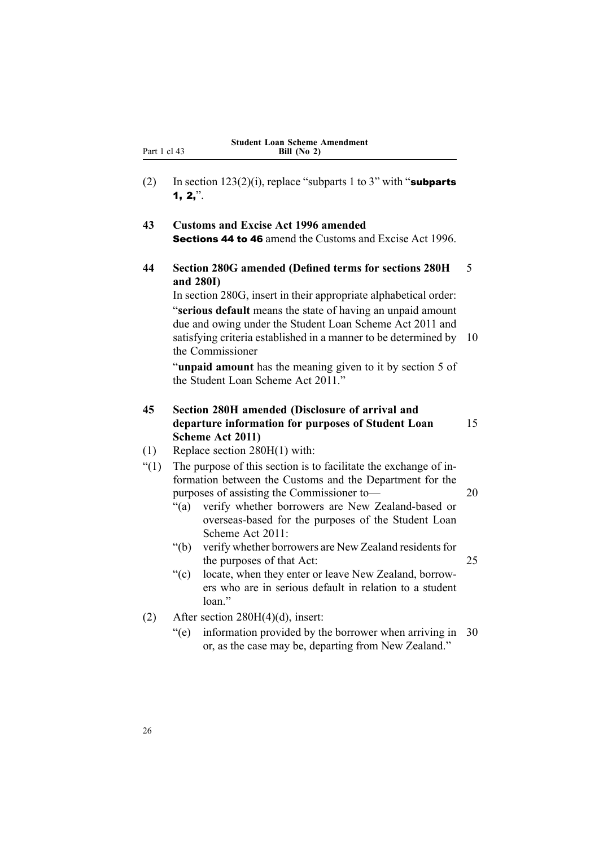<span id="page-41-0"></span>(2) In section  $123(2)(i)$ , replace "subparts 1 to 3" with "subparts" 1,  $2,$  ".

### **43 Customs and Excise Act 1996 amended** Sections 44 to 46 amend the Customs and Excise Act 1996.

**44 Section 280G amended (Defined terms for sections 280H** 5 **and 280I)**

In section 280G, insert in their appropriate alphabetical order: "**serious default** means the state of having an unpaid amount due and owing under the Student Loan Scheme Act 2011 and satisfying criteria established in a manner to be determined by 10 the Commissioner

"**unpaid amount** has the meaning given to it by section 5 of the Student Loan Scheme Act 2011."

### **45 Section 280H amended (Disclosure of arrival and departure information for purposes of Student Loan** 15 **Scheme Act 2011)**

- (1) Replace section 280H(1) with:
- "(1) The purpose of this section is to facilitate the exchange of information between the Customs and the Department for the purposes of assisting the Commissioner to— 20
	- "(a) verify whether borrowers are New Zealand-based or overseas-based for the purposes of the Student Loan Scheme Act 2011:
	- "(b) verify whether borrowers are New Zealand residents for the purposes of that Act: 25
	- "(c) locate, when they enter or leave New Zealand, borrowers who are in serious default in relation to <sup>a</sup> student loan"
- (2) After section  $280H(4)(d)$ , insert:
	- "(e) information provided by the borrower when arriving in 30 or, as the case may be, departing from New Zealand."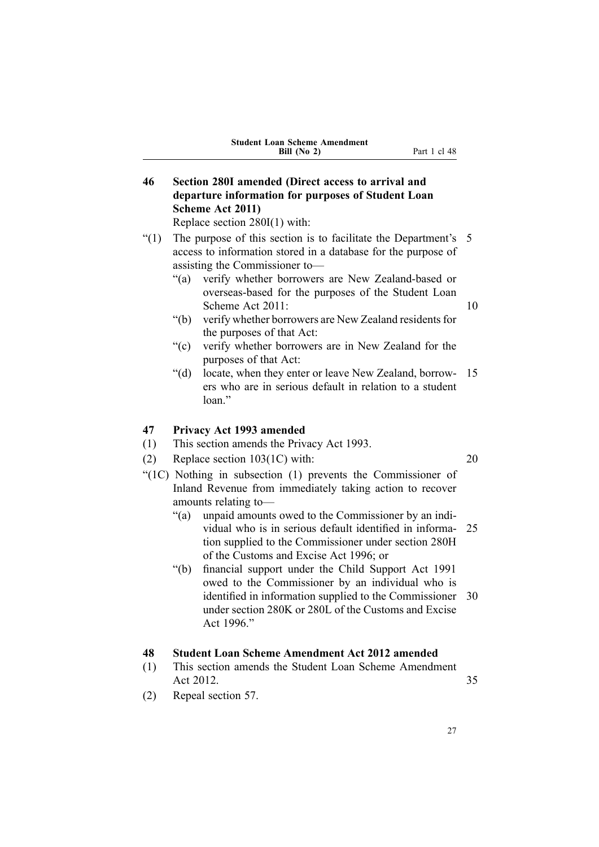| <b>Student Loan Scheme Amendment</b> |  |  |  |  |
|--------------------------------------|--|--|--|--|
| Bill $(No 2)$                        |  |  |  |  |

<span id="page-42-0"></span>**46 Section 280I amended (Direct access to arrival and departure information for purposes of Student Loan Scheme Act 2011)**

Replace section 280I(1) with:

- "(1) The purpose of this section is to facilitate the Department's 5 access to information stored in <sup>a</sup> database for the purpose of assisting the Commissioner to—
	- "(a) verify whether borrowers are New Zealand-based or overseas-based for the purposes of the Student Loan Scheme Act 2011: 10
	- "(b) verify whether borrowers are New Zealand residents for the purposes of that Act:
	- "(c) verify whether borrowers are in New Zealand for the purposes of that Act:
	- "(d) locate, when they enter or leave New Zealand, borrow- 15 ers who are in serious default in relation to <sup>a</sup> student loan."

#### **47 Privacy Act 1993 amended**

- (1) This section amends the Privacy Act 1993.
- (2) Replace section 103(1C) with: 20
- "(1C) Nothing in subsection (1) prevents the Commissioner of Inland Revenue from immediately taking action to recover amounts relating to—
	- "(a) unpaid amounts owed to the Commissioner by an individual who is in serious default identified in informa- 25 tion supplied to the Commissioner under section 280H of the Customs and Excise Act 1996; or
	- "(b) financial suppor<sup>t</sup> under the Child Support Act 1991 owed to the Commissioner by an individual who is identified in information supplied to the Commissioner 30 under section 280K or 280L of the Customs and Excise Act 1996."

### **48 Student Loan Scheme Amendment Act 2012 amended**

- (1) This section amends the Student Loan Scheme Amendment Act 2012. 35
- (2) Repeal section 57.

27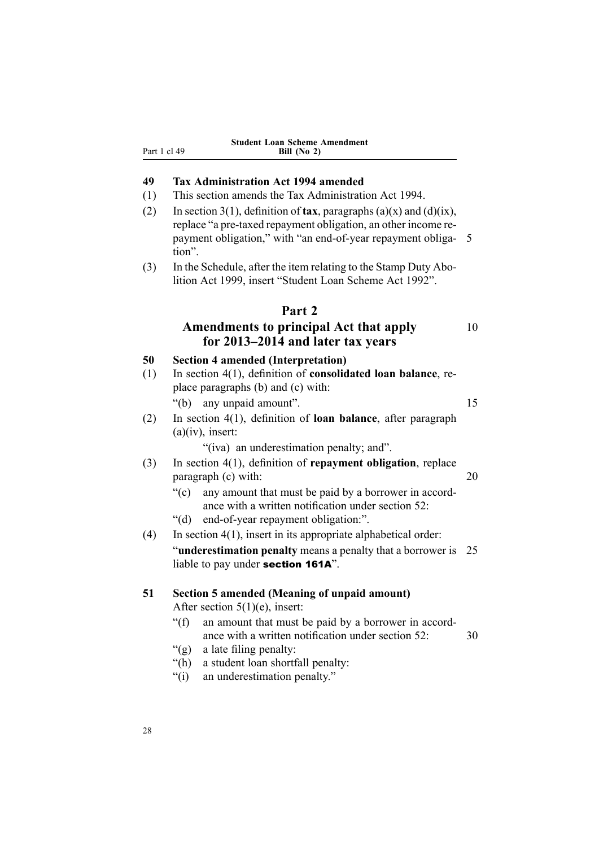<span id="page-43-0"></span>

|              | <b>Student Loan Scheme Amendment</b> |
|--------------|--------------------------------------|
| Part 1 cl 49 | Bill $(No 2)$                        |

# **49 Tax Administration Act 1994 amended**

(1) This section amends the Tax Administration Act 1994.

**Bill (No 2)**

- (2) In section 3(1), definition of **tax**, paragraphs (a)(x) and (d)(ix), replace "a pre-taxed repaymen<sup>t</sup> obligation, an other income repaymen<sup>t</sup> obligation," with "an end-of-year repaymen<sup>t</sup> obliga- 5 tion".
- (3) In the Schedule, after the item relating to the Stamp Duty Abolition Act 1999, insert "Student Loan Scheme Act 1992".

#### **Part 2**

# **Amendments to principal Act that apply** <sup>10</sup> **for 2013–2014 and later tax years**

|           | for 2015–2014 and fater tax years                                                                                                                                                                                                                                                               |    |
|-----------|-------------------------------------------------------------------------------------------------------------------------------------------------------------------------------------------------------------------------------------------------------------------------------------------------|----|
| 50<br>(1) | <b>Section 4 amended (Interpretation)</b><br>In section $4(1)$ , definition of <b>consolidated loan balance</b> , re-<br>place paragraphs (b) and (c) with:<br>"(b) any unpaid amount".                                                                                                         | 15 |
| (2)       | In section $4(1)$ , definition of <b>loan balance</b> , after paragraph<br>$(a)(iv)$ , insert:<br>"(iva) an underestimation penalty; and".                                                                                                                                                      |    |
| (3)       | In section $4(1)$ , definition of repayment obligation, replace<br>paragraph (c) with:<br>" $(c)$<br>any amount that must be paid by a borrower in accord-<br>ance with a written notification under section 52:<br>"(d) end-of-year repayment obligation:".                                    | 20 |
| (4)       | In section $4(1)$ , insert in its appropriate alphabetical order:<br>"underestimation penalty means a penalty that a borrower is<br>liable to pay under section 161A".                                                                                                                          | 25 |
| 51        | <b>Section 5 amended (Meaning of unpaid amount)</b><br>After section $5(1)(e)$ , insert:<br>" $(f)$ "<br>an amount that must be paid by a borrower in accord-<br>ance with a written notification under section 52:<br>"(g) a late filing penalty:<br>a student loan shortfall penalty:<br>"(h) | 30 |

"(i) an underestimation penalty."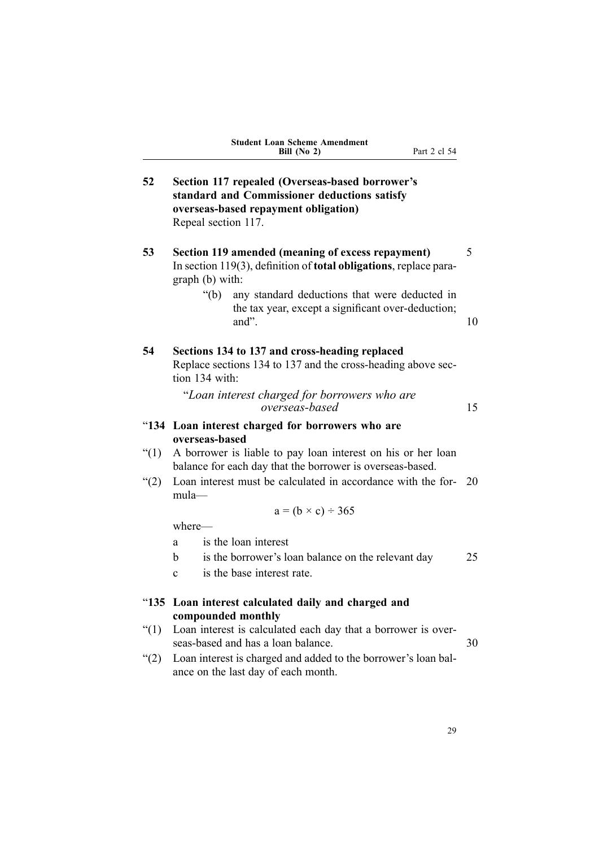| <b>Student Loan Scheme Amendment</b> |  |
|--------------------------------------|--|
| Bill $(No 2)$                        |  |

<span id="page-44-0"></span>

| 52       | Section 117 repealed (Overseas-based borrower's<br>standard and Commissioner deductions satisfy<br>overseas-based repayment obligation)<br>Repeal section 117. |    |  |  |  |
|----------|----------------------------------------------------------------------------------------------------------------------------------------------------------------|----|--|--|--|
| 53       | Section 119 amended (meaning of excess repayment)<br>In section 119(3), definition of <b>total obligations</b> , replace para-<br>graph (b) with:              | 5  |  |  |  |
|          | $\lq(b)$<br>any standard deductions that were deducted in<br>the tax year, except a significant over-deduction;<br>and".                                       | 10 |  |  |  |
| 54       | Sections 134 to 137 and cross-heading replaced<br>Replace sections 134 to 137 and the cross-heading above sec-<br>tion 134 with:                               |    |  |  |  |
|          | "Loan interest charged for borrowers who are<br>overseas-based                                                                                                 | 15 |  |  |  |
|          | "134 Loan interest charged for borrowers who are                                                                                                               |    |  |  |  |
|          | overseas-based                                                                                                                                                 |    |  |  |  |
| $\lq(1)$ | A borrower is liable to pay loan interest on his or her loan<br>balance for each day that the borrower is overseas-based.                                      |    |  |  |  |
| (2)      | Loan interest must be calculated in accordance with the for-<br>mula-                                                                                          | 20 |  |  |  |
|          | $a = (b \times c) \div 365$                                                                                                                                    |    |  |  |  |
|          | where-                                                                                                                                                         |    |  |  |  |
|          | is the loan interest<br>a                                                                                                                                      |    |  |  |  |
|          | is the borrower's loan balance on the relevant day<br>h                                                                                                        | 25 |  |  |  |
|          | is the base interest rate.<br>$\mathbf{c}$                                                                                                                     |    |  |  |  |
| " $135$  | Loan interest calculated daily and charged and<br>compounded monthly                                                                                           |    |  |  |  |
| (1)      | Loan interest is calculated each day that a borrower is over-<br>seas-based and has a loan balance.                                                            | 30 |  |  |  |
| (2)      | Loan interest is charged and added to the borrower's loan bal-<br>ance on the last day of each month.                                                          |    |  |  |  |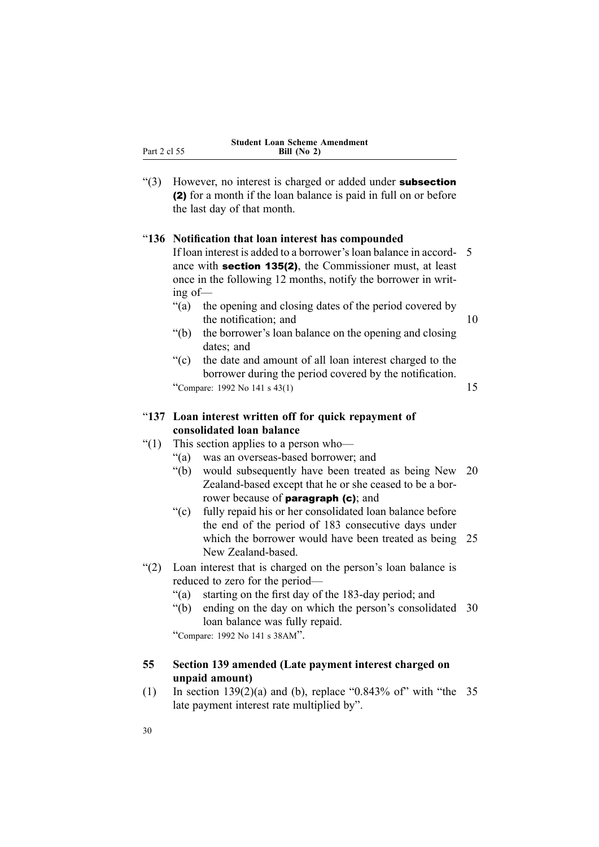<span id="page-45-0"></span>

| ш  |  |  |
|----|--|--|
| άΙ |  |  |

"(3) However, no interest is charged or added under **subsection** (2) for <sup>a</sup> month if the loan balance is paid in full on or before the last day of that month.

#### "**136 Notification that loan interest has compounded**

If loan interest is added to <sup>a</sup> borrower'sloan balance in accord- 5 ance with section 135(2), the Commissioner must, at least once in the following 12 months, notify the borrower in writing of—

- "(a) the opening and closing dates of the period covered by the notification; and 10
- "(b) the borrower's loan balance on the opening and closing dates; and
- "(c) the date and amount of all loan interest charged to the borrower during the period covered by the notification.

"Compare: 1992 No 141 s  $43(1)$  15

"**137 Loan interest written off for quick repayment of consolidated loan balance**

- "(1) This section applies to <sup>a</sup> person who—
	- "(a) was an overseas-based borrower; and
	- "(b) would subsequently have been treated as being New 20 Zealand-based excep<sup>t</sup> that he or she ceased to be <sup>a</sup> borrower because of **paragraph** (c); and
	- "(c) fully repaid his or her consolidated loan balance before the end of the period of 183 consecutive days under which the borrower would have been treated as being 25 New Zealand-based.
- "(2) Loan interest that is charged on the person's loan balance is reduced to zero for the period—
	- "(a) starting on the first day of the 183-day period; and
	- "(b) ending on the day on which the person's consolidated 30 loan balance was fully repaid.

"Compare: <sup>1992</sup> No <sup>141</sup> <sup>s</sup> 38AM".

#### **55 Section 139 amended (Late payment interest charged on unpaid amount)**

(1) In section  $139(2)(a)$  and (b), replace "0.843% of" with "the 35 late paymen<sup>t</sup> interest rate multiplied by".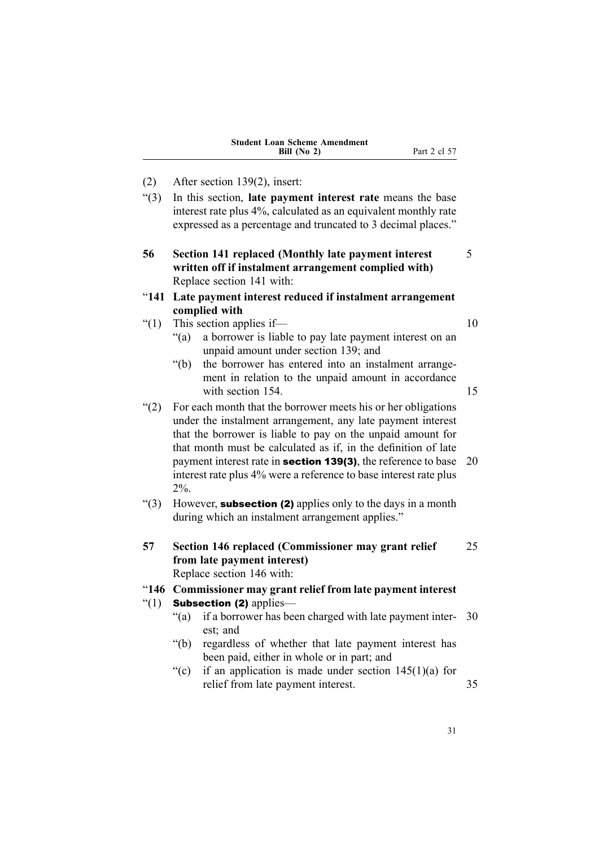| <b>Student Loan Scheme Amendment</b> |  |
|--------------------------------------|--|
| Bill $(No 2)$                        |  |

- <span id="page-46-0"></span>(2) After section 139(2), insert:
- "(3) In this section, **late paymen<sup>t</sup> interest rate** means the base interest rate plus 4%, calculated as an equivalent monthly rate expressed as <sup>a</sup> percentage and truncated to 3 decimal places."
- **56 Section 141 replaced (Monthly late payment interest** 5 **written off if instalment arrangement complied with)** Replace section 141 with:
- "**141 Late payment interest reduced if instalment arrangement complied with**
- " $(1)$  This section applies if— $10$

- "(a) <sup>a</sup> borrower is liable to pay late paymen<sup>t</sup> interest on an unpaid amount under section 139; and
- "(b) the borrower has entered into an instalment arrangement in relation to the unpaid amount in accordance with section 154. 15
- "(2) For each month that the borrower meets his or her obligations under the instalment arrangement, any late paymen<sup>t</sup> interest that the borrower is liable to pay on the unpaid amount for that month must be calculated as if, in the definition of late payment interest rate in **section 139(3)**, the reference to base 20 interest rate plus 4% were <sup>a</sup> reference to base interest rate plus 2%.
- "(3) However, **subsection (2)** applies only to the days in a month during which an instalment arrangement applies."
- **57 Section 146 replaced (Commissioner may grant relief** 25 **from late payment interest)** Replace section 146 with:

#### "**146 Commissioner may grant relief from late payment interest**

- " $(1)$  Subsection (2) applies—
	- "(a) if <sup>a</sup> borrower has been charged with late paymen<sup>t</sup> inter- 30 est; and
	- "(b) regardless of whether that late paymen<sup>t</sup> interest has been paid, either in whole or in part; and
	- "(c) if an application is made under section  $145(1)(a)$  for relief from late payment interest. 35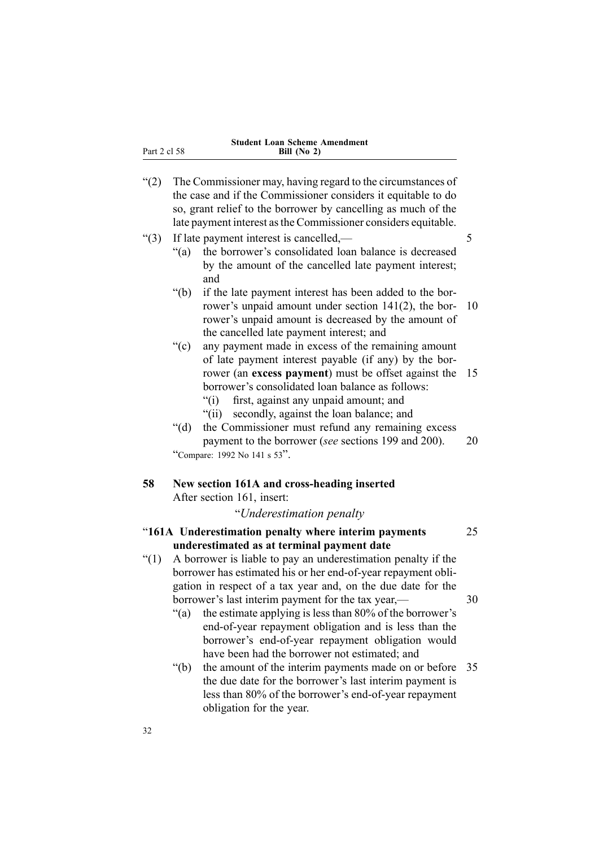<span id="page-47-0"></span>Part 2 cl 58

- "(2) The Commissioner may, having regard to the circumstances of the case and if the Commissioner considers it equitable to do so, gran<sup>t</sup> relief to the borrower by cancelling as much of the late paymen<sup>t</sup> interest asthe Commissioner considers equitable.  $\degree$ (3) If late payment interest is cancelled,— $\degree$  5 "(a) the borrower's consolidated loan balance is decreased by the amount of the cancelled late paymen<sup>t</sup> interest; and "(b) if the late paymen<sup>t</sup> interest has been added to the borrower's unpaid amount under section 141(2), the bor- 10 rower's unpaid amount is decreased by the amount of the cancelled late paymen<sup>t</sup> interest; and "(c) any paymen<sup>t</sup> made in excess of the remaining amount of late paymen<sup>t</sup> interest payable (if any) by the borrower (an **excess paymen<sup>t</sup>**) must be offset against the 15 borrower's consolidated loan balance as follows: "(i) first, against any unpaid amount; and "(ii) secondly, against the loan balance; and "(d) the Commissioner must refund any remaining excess paymen<sup>t</sup> to the borrower (*see* sections 199 and 200). 20 "Compare: <sup>1992</sup> No <sup>141</sup> <sup>s</sup> <sup>53</sup>". **58 New section 161A and cross-heading inserted** After section 161, insert: "*Underestimation penalty* "**161A Underestimation penalty where interim payments** 25 **underestimated as at terminal payment date** "(1) A borrower is liable to pay an underestimation penalty if the borrower has estimated his or her end-of-year repaymen<sup>t</sup> obligation in respec<sup>t</sup> of <sup>a</sup> tax year and, on the due date for the borrower's last interim payment for the tax year, 30 "(a) the estimate applying is less than 80% of the borrower's end-of-year repaymen<sup>t</sup> obligation and is less than the borrower's end-of-year repaymen<sup>t</sup> obligation would have been had the borrower not estimated; and
	- "(b) the amount of the interim payments made on or before 35 the due date for the borrower's last interim paymen<sup>t</sup> is less than 80% of the borrower's end-of-year repaymen<sup>t</sup> obligation for the year.

32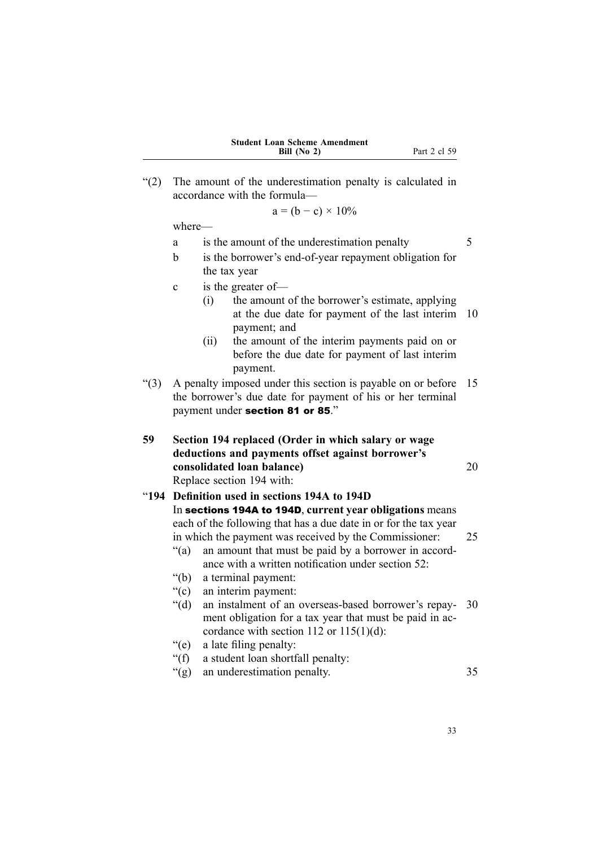| <b>Student Loan Scheme Amendment</b> |  |
|--------------------------------------|--|
| Bill $(No 2)$                        |  |

**Part 2 cl 59** 

<span id="page-48-0"></span>"(2) The amount of the underestimation penalty is calculated in accordance with the formula—

$$
a = (b - c) \times 10\%
$$

where—

a is the amount of the underestimation penalty 5

- b is the borrower's end-of-year repaymen<sup>t</sup> obligation for the tax year
- <sup>c</sup> is the greater of—
	- (i) the amount of the borrower's estimate, applying at the due date for paymen<sup>t</sup> of the last interim 10 payment; and
	- (ii) the amount of the interim payments paid on or before the due date for paymen<sup>t</sup> of last interim payment.
- "(3) A penalty imposed under this section is payable on or before 15 the borrower's due date for paymen<sup>t</sup> of his or her terminal paymen<sup>t</sup> under section <sup>81</sup> or <sup>85</sup>."
- **59 Section 194 replaced (Order in which salary or wage deductions and payments offset against borrower's consolidated loan balance)** 20 Replace section 194 with:

### "**194 Definition used in sections 194A to 194D** In sections 194A to 194D, **current year obligations** means each of the following that has <sup>a</sup> due date in or for the tax year in which the paymen<sup>t</sup> was received by the Commissioner: 25 "(a) an amount that must be paid by <sup>a</sup> borrower in accordance with <sup>a</sup> written notification under section 52:

- "(b) <sup>a</sup> terminal payment:
- "(c) an interim payment:
- "(d) an instalment of an overseas-based borrower's repay- 30 ment obligation for <sup>a</sup> tax year that must be paid in accordance with section 112 or  $115(1)(d)$ :
- "(e) <sup>a</sup> late filing penalty:
- "(f) <sup>a</sup> student loan shortfall penalty:
- "(g) an underestimation penalty. 35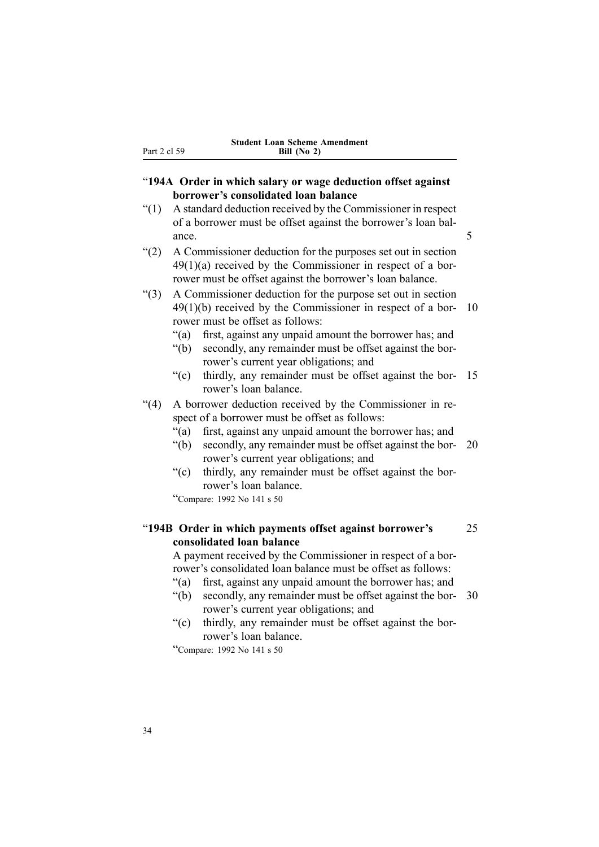#### <span id="page-49-0"></span>"**194A Order in which salary or wage deduction offset against borrower's consolidated loan balance**

- "(1) A standard deduction received by the Commissioner in respec<sup>t</sup> of <sup>a</sup> borrower must be offset against the borrower's loan balance. 5
- "(2) A Commissioner deduction for the purposes set out in section 49(1)(a) received by the Commissioner in respec<sup>t</sup> of <sup>a</sup> borrower must be offset against the borrower's loan balance.
- "(3) A Commissioner deduction for the purpose set out in section 49(1)(b) received by the Commissioner in respec<sup>t</sup> of <sup>a</sup> bor- 10 rower must be offset as follows:
	- "(a) first, against any unpaid amount the borrower has; and
	- "(b) secondly, any remainder must be offset against the borrower's current year obligations; and
	- "(c) thirdly, any remainder must be offset against the bor- 15 rower's loan balance.
- "(4) A borrower deduction received by the Commissioner in respec<sup>t</sup> of <sup>a</sup> borrower must be offset as follows:
	- "(a) first, against any unpaid amount the borrower has; and
	- "(b) secondly, any remainder must be offset against the bor- 20 rower's current year obligations; and
	- "(c) thirdly, any remainder must be offset against the borrower's loan balance.

"Compare: <sup>1992</sup> No <sup>141</sup> <sup>s</sup> <sup>50</sup>

### "**194B Order in which payments offset against borrower's** 25 **consolidated loan balance**

A paymen<sup>t</sup> received by the Commissioner in respec<sup>t</sup> of <sup>a</sup> borrower's consolidated loan balance must be offset as follows:

- "(a) first, against any unpaid amount the borrower has; and
- "(b) secondly, any remainder must be offset against the bor- 30 rower's current year obligations; and
- "(c) thirdly, any remainder must be offset against the borrower's loan balance.

"Compare: <sup>1992</sup> No <sup>141</sup> <sup>s</sup> <sup>50</sup>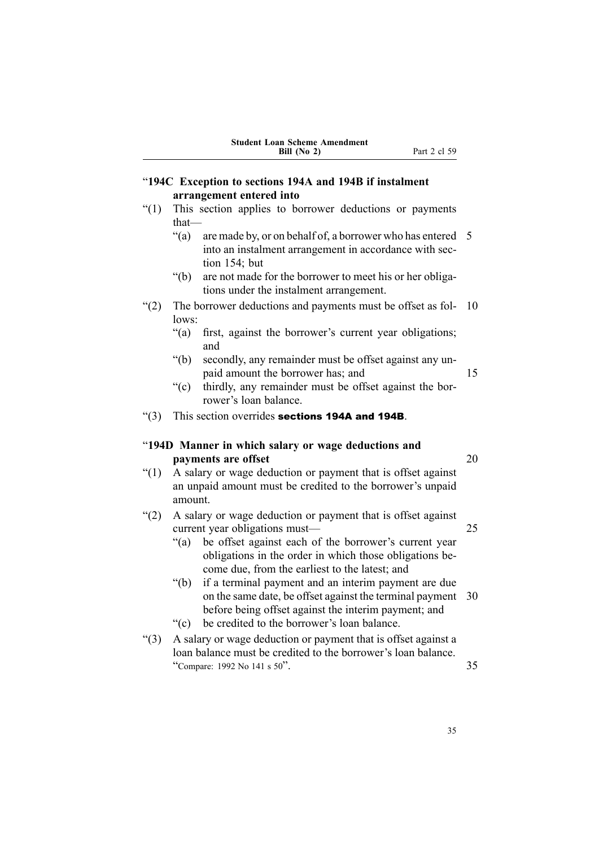<span id="page-50-0"></span>

|              | <b>Student Loan Scheme Amendment</b><br>Part 2 cl 59<br>Bill (No 2)                                                                                                                 |    |
|--------------|-------------------------------------------------------------------------------------------------------------------------------------------------------------------------------------|----|
|              | "194C Exception to sections 194A and 194B if instalment                                                                                                                             |    |
|              | arrangement entered into                                                                                                                                                            |    |
| $\lq(1)$     | This section applies to borrower deductions or payments<br>$that-$                                                                                                                  |    |
|              | " $(a)$ "<br>are made by, or on behalf of, a borrower who has entered<br>into an instalment arrangement in accordance with sec-<br>tion $154$ ; but                                 | 5  |
|              | " $(b)$ "<br>are not made for the borrower to meet his or her obliga-<br>tions under the instalment arrangement.                                                                    |    |
| (2)          | The borrower deductions and payments must be offset as fol-<br>lows:                                                                                                                | 10 |
|              | " $(a)$ "<br>first, against the borrower's current year obligations;<br>and                                                                                                         |    |
|              | " $(b)$<br>secondly, any remainder must be offset against any un-<br>paid amount the borrower has; and                                                                              | 15 |
|              | $\mathrm{``(c)}$<br>thirdly, any remainder must be offset against the bor-<br>rower's loan balance.                                                                                 |    |
| $\lq(3)$     | This section overrides sections 194A and 194B.                                                                                                                                      |    |
|              | "194D Manner in which salary or wage deductions and                                                                                                                                 |    |
|              | payments are offset                                                                                                                                                                 | 20 |
| $\degree(1)$ | A salary or wage deduction or payment that is offset against<br>an unpaid amount must be credited to the borrower's unpaid                                                          |    |
|              | amount.                                                                                                                                                                             |    |
| (2)          | A salary or wage deduction or payment that is offset against<br>current year obligations must—                                                                                      | 25 |
|              | be offset against each of the borrower's current year<br>" $(a)$<br>obligations in the order in which those obligations be-<br>come due, from the earliest to the latest; and       |    |
|              | " $(b)$<br>if a terminal payment and an interim payment are due<br>on the same date, be offset against the terminal payment<br>before being offset against the interim payment; and | 30 |
|              | be credited to the borrower's loan balance.<br>$\mathrm{``(c)}$                                                                                                                     |    |
| " $(3)$      | A salary or wage deduction or payment that is offset against a<br>loan balance must be credited to the borrower's loan balance.<br>"Compare: 1992 No 141 s 50".                     | 35 |

35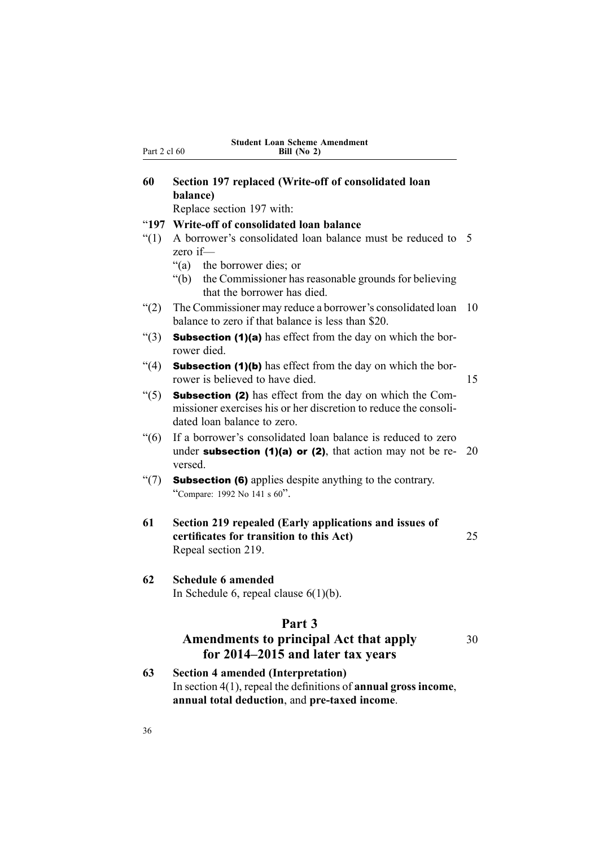<span id="page-51-0"></span>

| 60             | Section 197 replaced (Write-off of consolidated loan<br>balance)                                                                                                   |                |
|----------------|--------------------------------------------------------------------------------------------------------------------------------------------------------------------|----------------|
|                | Replace section 197 with:                                                                                                                                          |                |
| " $197$<br>(1) | Write-off of consolidated loan balance<br>A borrower's consolidated loan balance must be reduced to<br>zero if-                                                    | $\overline{5}$ |
|                | "(a) the borrower dies; or<br>the Commissioner has reasonable grounds for believing<br>" $(b)$ "<br>that the borrower has died.                                    |                |
| (2)            | The Commissioner may reduce a borrower's consolidated loan<br>balance to zero if that balance is less than \$20.                                                   | 10             |
| " $(3)$        | <b>Subsection (1)(a)</b> has effect from the day on which the bor-<br>rower died.                                                                                  |                |
| (4)            | <b>Subsection (1)(b)</b> has effect from the day on which the bor-<br>rower is believed to have died.                                                              | 15             |
| (5)            | <b>Subsection (2)</b> has effect from the day on which the Com-<br>missioner exercises his or her discretion to reduce the consoli-<br>dated loan balance to zero. |                |
| (6)            | If a borrower's consolidated loan balance is reduced to zero<br>under subsection $(1)(a)$ or $(2)$ , that action may not be re-<br>versed.                         | 20             |
| $\degree$ (7)  | <b>Subsection (6)</b> applies despite anything to the contrary.<br>"Compare: 1992 No 141 s 60".                                                                    |                |
| 61             | Section 219 repealed (Early applications and issues of<br>certificates for transition to this Act)<br>Repeal section 219.                                          | 25             |
| 62             | <b>Schedule 6 amended</b><br>In Schedule 6, repeal clause $6(1)(b)$ .                                                                                              |                |
|                | Part 3<br><b>Amendments to principal Act that apply</b><br>for 2014–2015 and later tax years                                                                       | 30             |
| $\sim$         | $\mathbf{C}$ and $\mathbf{C}$ are $\mathbf{A}$ and $\mathbf{C}$ and $\mathbf{C}$ and $\mathbf{C}$ and $\mathbf{C}$ and $\mathbf{C}$                                |                |

**63 Section 4 amended (Interpretation)** In section 4(1), repeal the definitions of **annual gross income**, **annual total deduction**, and **pre-taxed income**.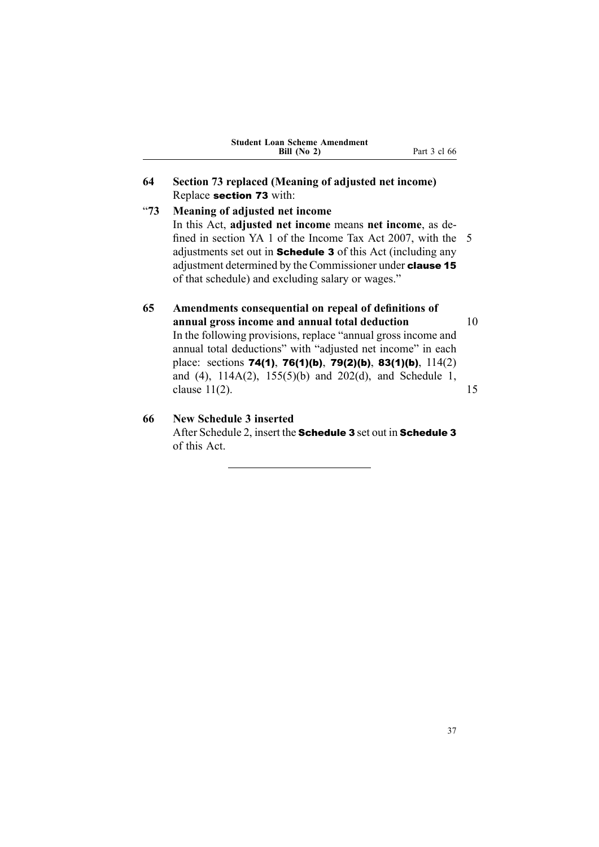<span id="page-52-0"></span>

|            | Bill $(No 2)$<br>Part 3 cl 66                                       |  |
|------------|---------------------------------------------------------------------|--|
| 64         | Section 73 replaced (Meaning of adjusted net income)                |  |
|            | Replace section 73 with:                                            |  |
| $~10^{-1}$ | Meaning of adjusted net income                                      |  |
|            | In this Act, adjusted net income means net income, as de-           |  |
|            | fined in section YA 1 of the Income Tax Act 2007, with the 5        |  |
|            | adjustments set out in <b>Schedule 3</b> of this Act (including any |  |

**Student Loan Scheme Amendment**

adjustments set out in **Schedule 3** of this Act (including any adjustment determined by the Commissioner under clause <sup>15</sup> of that schedule) and excluding salary or wages."

### **65 Amendments consequential on repeal of definitions of annual gross income and annual total deduction** 10 In the following provisions, replace "annual gross income and annual total deductions" with "adjusted net income" in each place: sections 74(1), 76(1)(b), 79(2)(b), 83(1)(b), 114(2) and (4), 114A(2), 155(5)(b) and 202(d), and Schedule 1, clause  $11(2)$ . 15

## **66 New Schedule 3 inserted**

After Schedule 2, insert the Schedule 3 set out in Schedule 3 of this Act.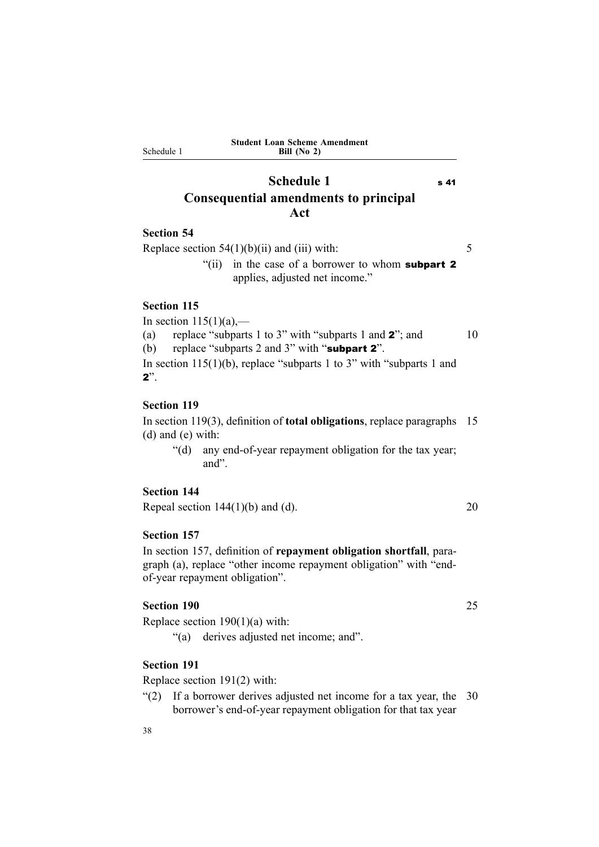# **Schedule** 1 s 41 **Consequential amendments to principal Act**

#### **Section 54**

<span id="page-53-0"></span>Schedule 1

Replace section  $54(1)(b)(ii)$  and (iii) with: 5 "(ii) in the case of a borrower to whom **subpart 2** 

applies, adjusted net income."

### **Section 115**

In section  $115(1)(a)$ ,—

(a) replace "subparts 1 to 3" with "subparts 1 and  $2$ "; and 10

(b) replace "subparts 2 and 3" with "subpart <sup>2</sup>".

In section  $115(1)(b)$ , replace "subparts 1 to 3" with "subparts 1 and 2".

### **Section 119**

In section 119(3), definition of **total obligations**, replace paragraphs 15 (d) and (e) with:

"(d) any end-of-year repaymen<sup>t</sup> obligation for the tax year; and".

#### **Section 144**

Repeal section  $144(1)(b)$  and (d). 20

#### **Section 157**

In section 157, definition of **repaymen<sup>t</sup> obligation shortfall**, paragraph (a), replace "other income repaymen<sup>t</sup> obligation" with "endof-year repaymen<sup>t</sup> obligation".

### **Section 190** 25

Replace section 190(1)(a) with:

"(a) derives adjusted net income; and".

#### **Section 191**

Replace section 191(2) with:

"(2) If <sup>a</sup> borrower derives adjusted net income for <sup>a</sup> tax year, the 30 borrower's end-of-year repaymen<sup>t</sup> obligation for that tax year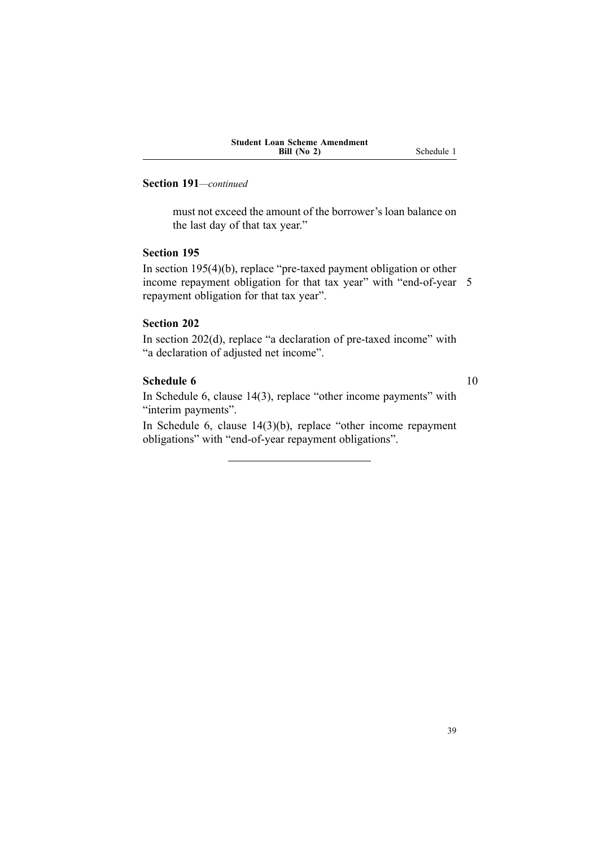### **Section 191***—continued*

must not exceed the amount of the borrower's loan balance on the last day of that tax year."

#### **Section 195**

In section 195(4)(b), replace "pre-taxed paymen<sup>t</sup> obligation or other income repaymen<sup>t</sup> obligation for that tax year" with "end-of-year 5 repaymen<sup>t</sup> obligation for that tax year".

#### **Section 202**

In section 202(d), replace "a declaration of pre-taxed income" with "a declaration of adjusted net income".

### **Schedule 6** 10

In Schedule 6, clause 14(3), replace "other income payments" with "interim payments".

In Schedule 6, clause 14(3)(b), replace "other income repaymen<sup>t</sup> obligations" with "end-of-year repaymen<sup>t</sup> obligations".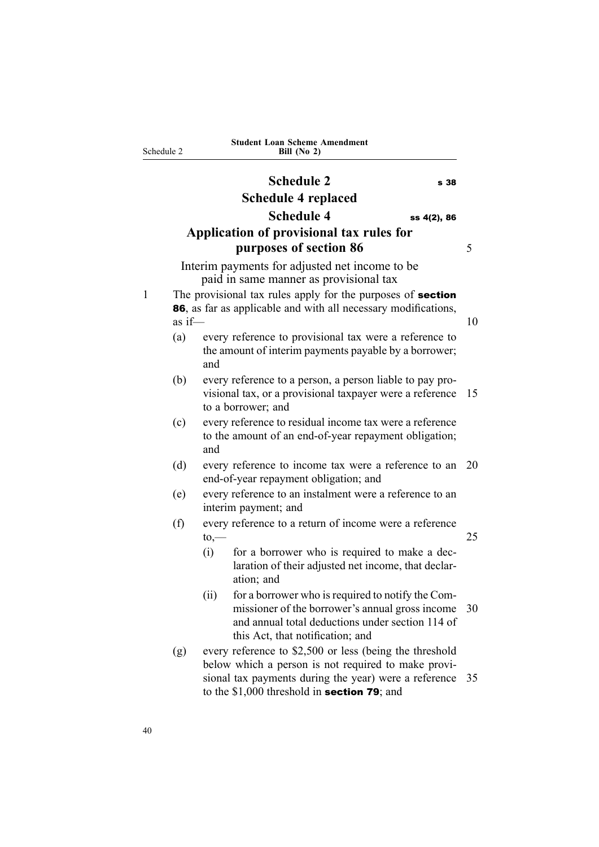<span id="page-55-0"></span>

|   | Schedule 2 | <b>Student Loan Scheme Amendment</b><br>Bill (No 2)                                                                                                                                                                     |    |
|---|------------|-------------------------------------------------------------------------------------------------------------------------------------------------------------------------------------------------------------------------|----|
|   |            | <b>Schedule 2</b><br>s 38                                                                                                                                                                                               |    |
|   |            | Schedule 4 replaced                                                                                                                                                                                                     |    |
|   |            | <b>Schedule 4</b><br>ss 4(2), 86                                                                                                                                                                                        |    |
|   |            | Application of provisional tax rules for<br>purposes of section 86                                                                                                                                                      | 5  |
|   |            | Interim payments for adjusted net income to be<br>paid in same manner as provisional tax                                                                                                                                |    |
| 1 | as $if-$   | The provisional tax rules apply for the purposes of <b>section</b><br>86, as far as applicable and with all necessary modifications,                                                                                    | 10 |
|   | (a)        | every reference to provisional tax were a reference to<br>the amount of interim payments payable by a borrower;<br>and                                                                                                  |    |
|   | (b)        | every reference to a person, a person liable to pay pro-<br>visional tax, or a provisional taxpayer were a reference<br>to a borrower; and                                                                              | 15 |
|   | (c)        | every reference to residual income tax were a reference<br>to the amount of an end-of-year repayment obligation;<br>and                                                                                                 |    |
|   | (d)        | every reference to income tax were a reference to an<br>end-of-year repayment obligation; and                                                                                                                           | 20 |
|   | (e)        | every reference to an instalment were a reference to an<br>interim payment; and                                                                                                                                         |    |
|   | (f)        | every reference to a return of income were a reference<br>$\mathsf{to},\!$                                                                                                                                              | 25 |
|   |            | for a borrower who is required to make a dec-<br>(i)<br>laration of their adjusted net income, that declar-<br>ation; and                                                                                               |    |
|   |            | (ii)<br>for a borrower who is required to notify the Com-<br>missioner of the borrower's annual gross income<br>and annual total deductions under section 114 of<br>this Act, that notification; and                    | 30 |
|   | (g)        | every reference to \$2,500 or less (being the threshold<br>below which a person is not required to make provi-<br>sional tax payments during the year) were a reference<br>to the $$1,000$ threshold in section 79; and | 35 |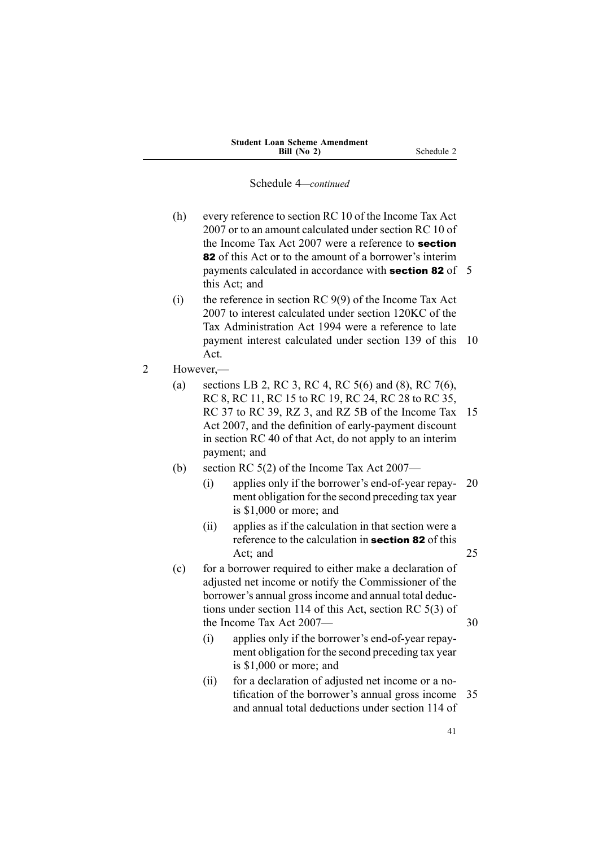- (h) every reference to section RC 10 of the Income Tax Act 2007 or to an amount calculated under section RC 10 of the Income Tax Act 2007 were <sup>a</sup> reference to section 82 of this Act or to the amount of a borrower's interim payments calculated in accordance with **section 82** of 5 this Act; and
- (i) the reference in section RC 9(9) of the Income Tax Act 2007 to interest calculated under section 120KC of the Tax Administration Act 1994 were <sup>a</sup> reference to late paymen<sup>t</sup> interest calculated under section 139 of this 10 Act.
- 2 However,—
	- (a) sections LB 2, RC 3, RC 4, RC 5(6) and (8), RC 7(6), RC 8, RC 11, RC 15 to RC 19, RC 24, RC 28 to RC 35, RC 37 to RC 39, RZ 3, and RZ 5B of the Income Tax 15 Act 2007, and the definition of early-payment discount in section RC 40 of that Act, do not apply to an interim payment; and
	- (b) section RC 5(2) of the Income Tax Act 2007—
		- (i) applies only if the borrower's end-of-year repay- 20 ment obligation for the second preceding tax year is \$1,000 or more; and
		- (ii) applies as if the calculation in that section were <sup>a</sup> reference to the calculation in **section 82** of this Act: and 25
	- (c) for <sup>a</sup> borrower required to either make <sup>a</sup> declaration of adjusted net income or notify the Commissioner of the borrower's annual grossincome and annual total deductions under section 114 of this Act, section RC 5(3) of the Income Tax Act  $2007$ — 30
		- (i) applies only if the borrower's end-of-year repayment obligation for the second preceding tax year is \$1,000 or more; and
		- (ii) for <sup>a</sup> declaration of adjusted net income or <sup>a</sup> notification of the borrower's annual gross income 35 and annual total deductions under section 114 of

41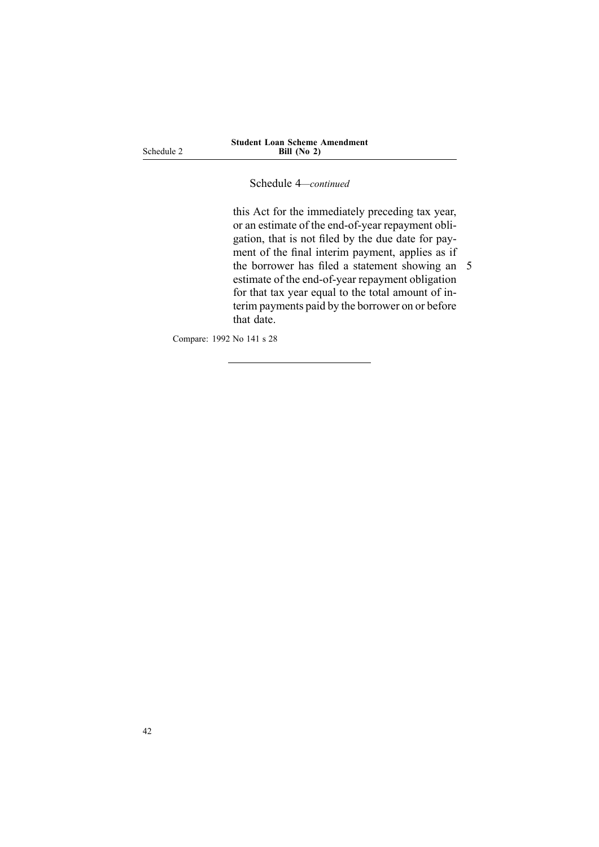Schedule 2

Schedule 4*—continued*

this Act for the immediately preceding tax year, or an estimate of the end-of-year repaymen<sup>t</sup> obligation, that is not filed by the due date for payment of the final interim payment, applies as if the borrower has filed <sup>a</sup> statement showing an 5 estimate of the end-of-year repaymen<sup>t</sup> obligation for that tax year equal to the total amount of interim payments paid by the borrower on or before that date.

Compare: 1992 No 141 <sup>s</sup> 28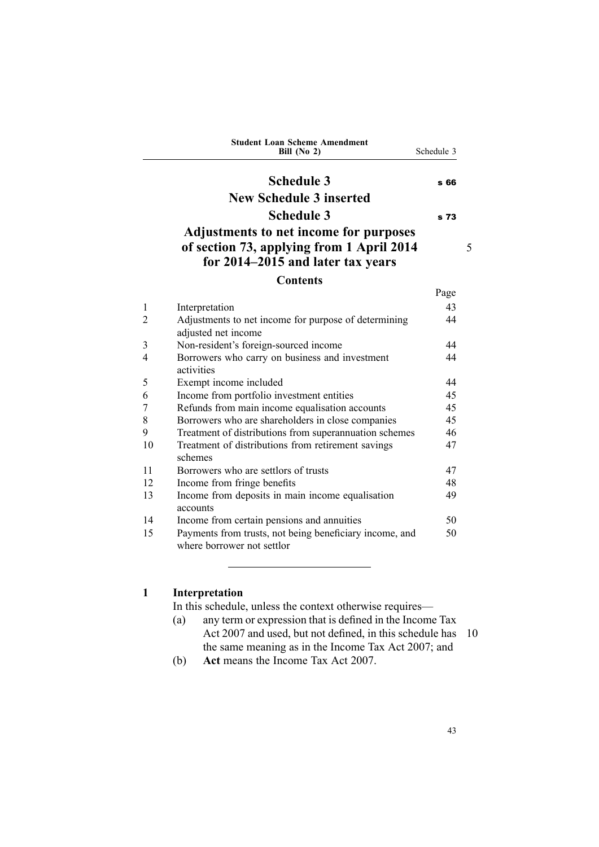<span id="page-58-0"></span>

|    | <b>Student Loan Scheme Amendment</b><br>Bill $(No 2)$                                                                           | Schedule 3 |   |
|----|---------------------------------------------------------------------------------------------------------------------------------|------------|---|
|    | <b>Schedule 3</b>                                                                                                               | s 66       |   |
|    | <b>New Schedule 3 inserted</b>                                                                                                  |            |   |
|    | <b>Schedule 3</b>                                                                                                               | s 73       |   |
|    | <b>Adjustments to net income for purposes</b><br>of section 73, applying from 1 April 2014<br>for 2014–2015 and later tax years |            | 5 |
|    | <b>Contents</b>                                                                                                                 |            |   |
|    |                                                                                                                                 | Page       |   |
| 1  | Interpretation                                                                                                                  | 43         |   |
| 2  | Adjustments to net income for purpose of determining<br>adjusted net income                                                     | 44         |   |
| 3  | Non-resident's foreign-sourced income                                                                                           | 44         |   |
| 4  | Borrowers who carry on business and investment<br>activities                                                                    | 44         |   |
| 5  | Exempt income included                                                                                                          | 44         |   |
| 6  | Income from portfolio investment entities                                                                                       | 45         |   |
| 7  | Refunds from main income equalisation accounts                                                                                  | 45         |   |
| 8  | Borrowers who are shareholders in close companies                                                                               | 45         |   |
| 9  | Treatment of distributions from superannuation schemes                                                                          | 46         |   |
| 10 | Treatment of distributions from retirement savings<br>schemes                                                                   | 47         |   |
| 11 | Borrowers who are settlors of trusts                                                                                            | 47         |   |
| 12 | Income from fringe benefits                                                                                                     | 48         |   |
| 13 | Income from deposits in main income equalisation<br>accounts                                                                    | 49         |   |
| 14 | Income from certain pensions and annuities                                                                                      | 50         |   |
| 15 | Payments from trusts, not being beneficiary income, and<br>where borrower not settlor                                           | 50         |   |

# **1 Interpretation**

In this schedule, unless the context otherwise requires—

- (a) any term or expression that is defined in the Income Tax Act 2007 and used, but not defined, in this schedule has 10 the same meaning as in the Income Tax Act 2007; and
- (b) **Act** means the Income Tax Act 2007.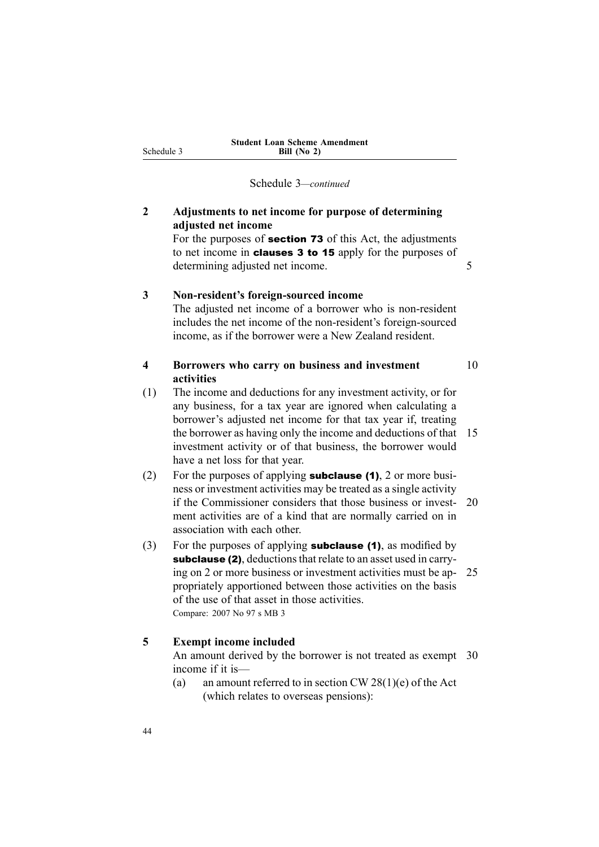## <span id="page-59-0"></span>**2 Adjustments to net income for purpose of determining adjusted net income**

For the purposes of section <sup>73</sup> of this Act, the adjustments to net income in clauses <sup>3</sup> to <sup>15</sup> apply for the purposes of determining adjusted net income.

#### **3 Non-resident's foreign-sourced income**

The adjusted net income of <sup>a</sup> borrower who is non-resident includes the net income of the non-resident's foreign-sourced income, as if the borrower were <sup>a</sup> New Zealand resident.

### **4 Borrowers who carry on business and investment** 10 **activities**

- (1) The income and deductions for any investment activity, or for any business, for <sup>a</sup> tax year are ignored when calculating <sup>a</sup> borrower's adjusted net income for that tax year if, treating the borrower as having only the income and deductions of that 15 investment activity or of that business, the borrower would have <sup>a</sup> net loss for that year.
- (2) For the purposes of applying **subclause (1)**, 2 or more business or investment activities may be treated as <sup>a</sup> single activity if the Commissioner considers that those business or invest- 20 ment activities are of <sup>a</sup> kind that are normally carried on in association with each other.
- (3) For the purposes of applying **subclause (1)**, as modified by subclause (2), deductions that relate to an asset used in carrying on 2 or more business or investment activities must be ap- 25 propriately apportioned between those activities on the basis of the use of that asset in those activities. Compare: 2007 No 97 <sup>s</sup> MB 3

#### **5 Exempt income included**

An amount derived by the borrower is not treated as exempt 30 income if it is—

(a) an amount referred to in section CW 28(1)(e) of the Act (which relates to overseas pensions):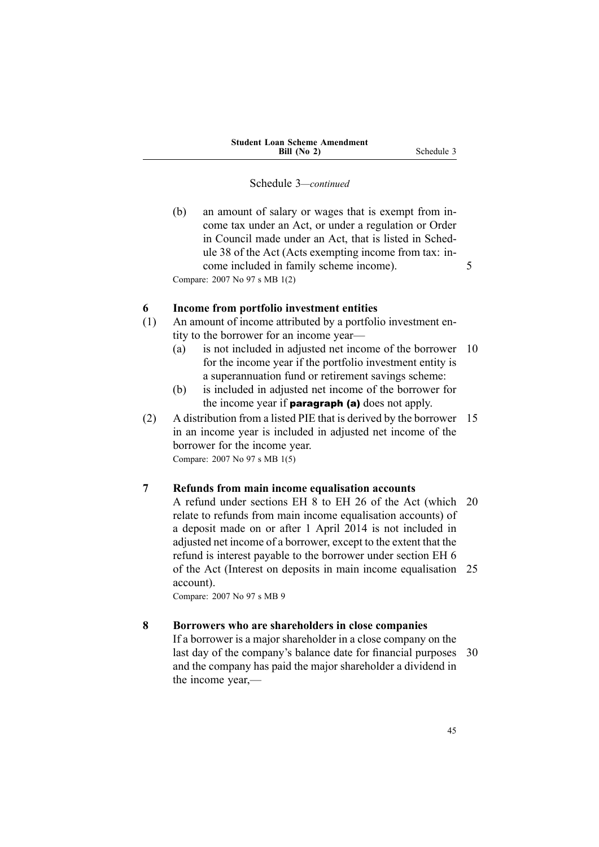<span id="page-60-0"></span>(b) an amount of salary or wages that is exemp<sup>t</sup> from income tax under an Act, or under <sup>a</sup> regulation or Order in Council made under an Act, that is listed in Schedule 38 of the Act (Acts exempting income from tax: income included in family scheme income). 5 Compare: 2007 No 97 <sup>s</sup> MB 1(2)

### **6 Income from portfolio investment entities**

- (1) An amount of income attributed by <sup>a</sup> portfolio investment entity to the borrower for an income year—
	- (a) is not included in adjusted net income of the borrower 10 for the income year if the portfolio investment entity is <sup>a</sup> superannuation fund or retirement savings scheme:
	- (b) is included in adjusted net income of the borrower for the income year if **paragraph (a)** does not apply.
- (2) A distribution from <sup>a</sup> listed PIE that is derived by the borrower 15 in an income year is included in adjusted net income of the borrower for the income year. Compare: 2007 No 97 <sup>s</sup> MB 1(5)

#### **7 Refunds from main income equalisation accounts**

A refund under sections EH 8 to EH 26 of the Act (which 20 relate to refunds from main income equalisation accounts) of <sup>a</sup> deposit made on or after 1 April 2014 is not included in adjusted net income of <sup>a</sup> borrower, excep<sup>t</sup> to the extent that the refund is interest payable to the borrower under section EH 6 of the Act (Interest on deposits in main income equalisation 25 account).

Compare: 2007 No 97 <sup>s</sup> MB 9

#### **8 Borrowers who are shareholders in close companies**

If <sup>a</sup> borrower is <sup>a</sup> major shareholder in <sup>a</sup> close company on the last day of the company's balance date for financial purposes 30 and the company has paid the major shareholder <sup>a</sup> dividend in the income year,—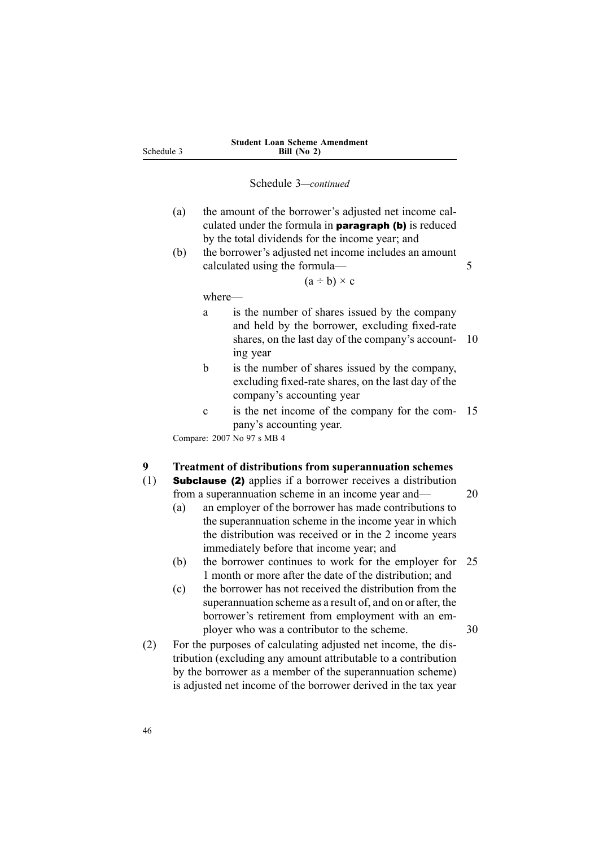| (a) | the amount of the borrower's adjusted net income cal-        |
|-----|--------------------------------------------------------------|
|     | culated under the formula in <b>paragraph (b)</b> is reduced |
|     | by the total dividends for the income year; and              |

(b) the borrower's adjusted net income includes an amount calculated using the formula— 5

 $(a \div b) \times c$ 

where—

<span id="page-61-0"></span>Schedule 3

- <sup>a</sup> is the number of shares issued by the company and held by the borrower, excluding fixed-rate shares, on the last day of the company's account- 10 ing year
- b is the number of shares issued by the company, excluding fixed-rate shares, on the last day of the company's accounting year
- <sup>c</sup> is the net income of the company for the com- 15 pany's accounting year.

Compare: 2007 No 97 <sup>s</sup> MB 4

#### **9 Treatment of distributions from superannuation schemes**

- (1) Subclause (2) applies if <sup>a</sup> borrower receives <sup>a</sup> distribution from a superannuation scheme in an income year and— 20
	- (a) an employer of the borrower has made contributions to the superannuation scheme in the income year in which the distribution was received or in the 2 income years immediately before that income year; and
	- (b) the borrower continues to work for the employer for 25 1 month or more after the date of the distribution; and
	- (c) the borrower has not received the distribution from the superannuation scheme as <sup>a</sup> result of, and on or after, the borrower's retirement from employment with an employer who was a contributor to the scheme. 30
- (2) For the purposes of calculating adjusted net income, the distribution (excluding any amount attributable to <sup>a</sup> contribution by the borrower as <sup>a</sup> member of the superannuation scheme) is adjusted net income of the borrower derived in the tax year

46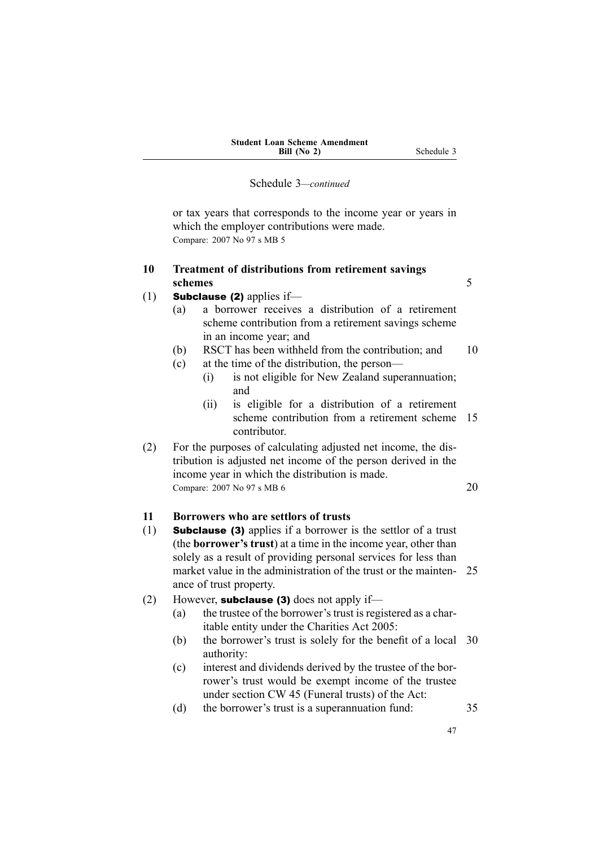<span id="page-62-0"></span>or tax years that corresponds to the income year or years in which the employer contributions were made. Compare: 2007 No 97 <sup>s</sup> MB 5

### **10 Treatment of distributions from retirement savings schemes** 5

#### (1) **Subclause (2)** applies if—

- (a) <sup>a</sup> borrower receives <sup>a</sup> distribution of <sup>a</sup> retirement scheme contribution from <sup>a</sup> retirement savings scheme in an income year; and
- (b) RSCT has been withheld from the contribution; and 10
- (c) at the time of the distribution, the person—
	- (i) is not eligible for New Zealand superannuation; and
	- (ii) is eligible for <sup>a</sup> distribution of <sup>a</sup> retirement scheme contribution from a retirement scheme 15 contributor.
- (2) For the purposes of calculating adjusted net income, the distribution is adjusted net income of the person derived in the income year in which the distribution is made. Compare: 2007 No 97 s MB 6 20

#### **11 Borrowers who are settlors of trusts**

- (1) Subclause (3) applies if <sup>a</sup> borrower is the settlor of <sup>a</sup> trust (the **borrower's trust**) at <sup>a</sup> time in the income year, other than solely as <sup>a</sup> result of providing personal services for less than market value in the administration of the trust or the mainten- 25 ance of trust property.
- (2) However, **subclause (3)** does not apply if—
	- (a) the trustee of the borrower's trust is registered as <sup>a</sup> charitable entity under the Charities Act 2005:
	- (b) the borrower's trust is solely for the benefit of <sup>a</sup> local 30 authority:
	- (c) interest and dividends derived by the trustee of the borrower's trust would be exemp<sup>t</sup> income of the trustee under section CW 45 (Funeral trusts) of the Act:
	- (d) the borrower's trust is <sup>a</sup> superannuation fund: 35

47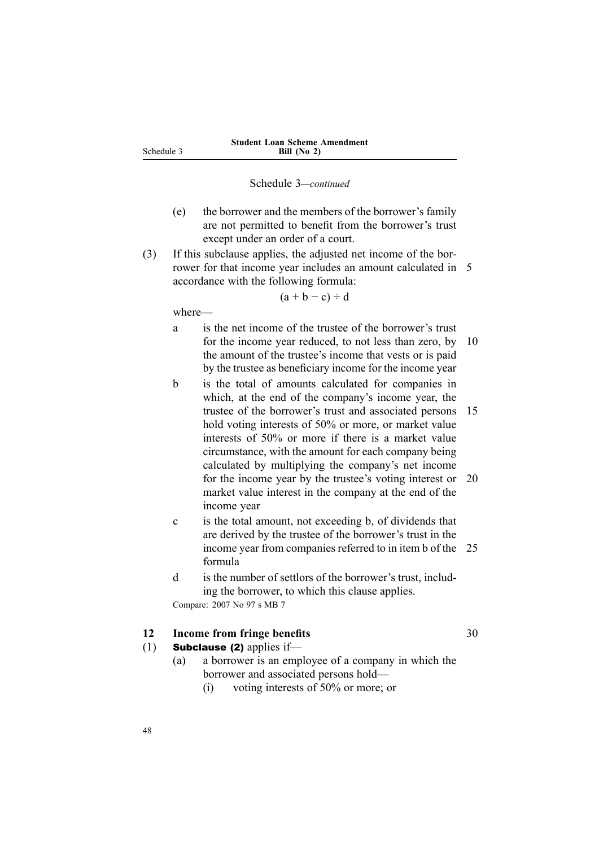- <span id="page-63-0"></span>(e) the borrower and the members of the borrower's family are not permitted to benefit from the borrower's trust excep<sup>t</sup> under an order of <sup>a</sup> court.
- (3) If this subclause applies, the adjusted net income of the borrower for that income year includes an amount calculated in 5 accordance with the following formula:

 $(a + b - c) \div d$ 

where—

- <sup>a</sup> is the net income of the trustee of the borrower's trust for the income year reduced, to not less than zero, by 10 the amount of the trustee's income that vests or is paid by the trustee as beneficiary income for the income year
- b is the total of amounts calculated for companies in which, at the end of the company's income year, the trustee of the borrower's trust and associated persons 15 hold voting interests of 50% or more, or market value interests of 50% or more if there is <sup>a</sup> market value circumstance, with the amount for each company being calculated by multiplying the company's net income for the income year by the trustee's voting interest or 20 market value interest in the company at the end of the income year
- <sup>c</sup> is the total amount, not exceeding b, of dividends that are derived by the trustee of the borrower's trust in the income year from companies referred to in item b of the 25 formula
- d is the number of settlors of the borrower's trust, including the borrower, to which this clause applies. Compare: 2007 No 97 <sup>s</sup> MB 7

**12 Income from fringe benefits** 30

- (1) **Subclause (2)** applies if—
	- (a) <sup>a</sup> borrower is an employee of <sup>a</sup> company in which the borrower and associated persons hold—
		- (i) voting interests of 50% or more; or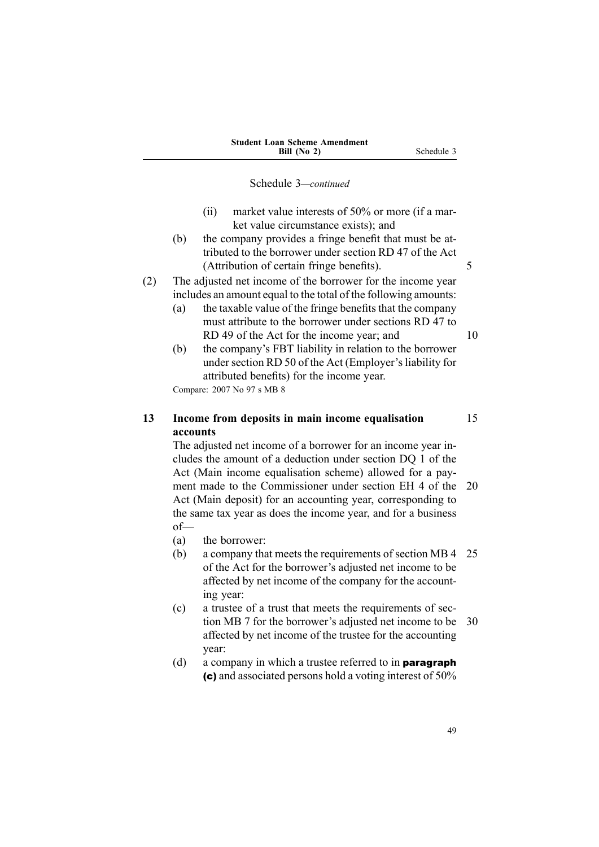- <span id="page-64-0"></span>(ii) market value interests of 50% or more (if <sup>a</sup> market value circumstance exists); and
- (b) the company provides <sup>a</sup> fringe benefit that must be attributed to the borrower under section RD 47 of the Act (Attribution of certain fringe benefits). 5

(2) The adjusted net income of the borrower for the income year includes an amount equal to the total of the following amounts:

- (a) the taxable value of the fringe benefits that the company must attribute to the borrower under sections RD 47 to RD 49 of the Act for the income year; and 10
- (b) the company's FBT liability in relation to the borrower under section RD 50 of the Act (Employer's liability for attributed benefits) for the income year.

Compare: 2007 No 97 <sup>s</sup> MB 8

### **13 Income from deposits in main income equalisation** 15 **accounts**

The adjusted net income of <sup>a</sup> borrower for an income year includes the amount of <sup>a</sup> deduction under section DQ 1 of the Act (Main income equalisation scheme) allowed for <sup>a</sup> payment made to the Commissioner under section EH 4 of the 20 Act (Main deposit) for an accounting year, corresponding to the same tax year as does the income year, and for <sup>a</sup> business of—

- (a) the borrower:
- (b) <sup>a</sup> company that meets the requirements of section MB 4 25 of the Act for the borrower's adjusted net income to be affected by net income of the company for the accounting year:
- (c) <sup>a</sup> trustee of <sup>a</sup> trust that meets the requirements of section MB 7 for the borrower's adjusted net income to be 30 affected by net income of the trustee for the accounting year:
- (d) a company in which a trustee referred to in **paragraph** (c) and associated persons hold <sup>a</sup> voting interest of 50%